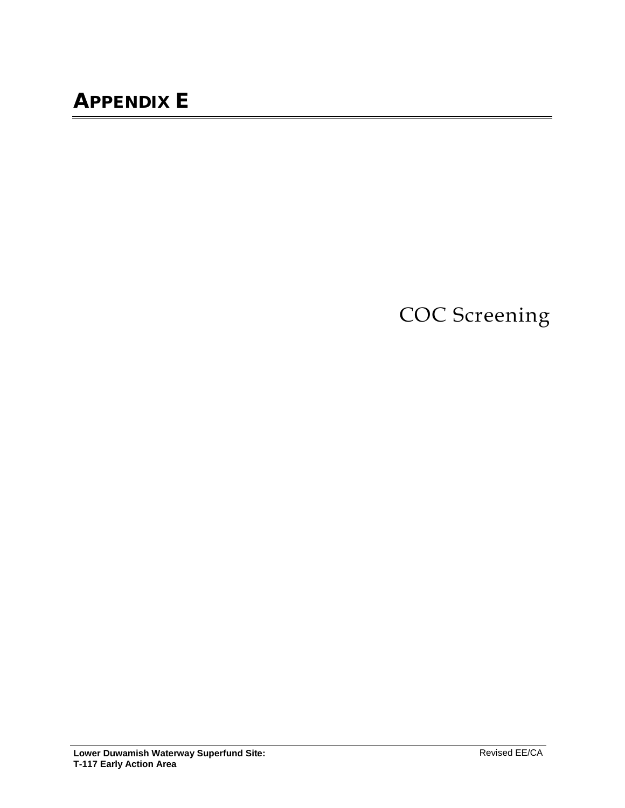COC Screening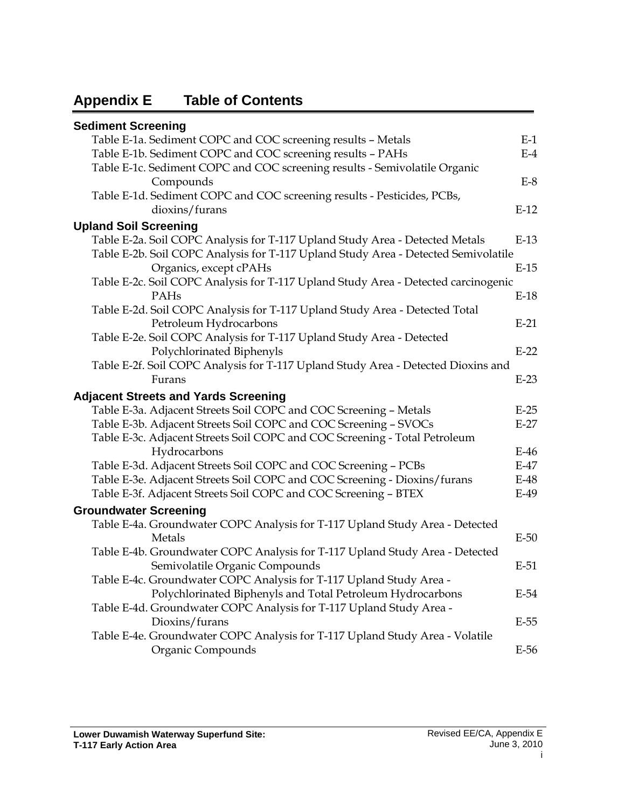# **Appendix E Table of Contents**

| <b>Sediment Screening</b>                                                          |        |
|------------------------------------------------------------------------------------|--------|
| Table E-1a. Sediment COPC and COC screening results - Metals                       | $E-1$  |
| Table E-1b. Sediment COPC and COC screening results - PAHs                         | $E-4$  |
| Table E-1c. Sediment COPC and COC screening results - Semivolatile Organic         |        |
| Compounds                                                                          | $E-8$  |
| Table E-1d. Sediment COPC and COC screening results - Pesticides, PCBs,            |        |
| dioxins/furans                                                                     | $E-12$ |
| <b>Upland Soil Screening</b>                                                       |        |
| Table E-2a. Soil COPC Analysis for T-117 Upland Study Area - Detected Metals       | $E-13$ |
| Table E-2b. Soil COPC Analysis for T-117 Upland Study Area - Detected Semivolatile |        |
| Organics, except cPAHs                                                             | $E-15$ |
| Table E-2c. Soil COPC Analysis for T-117 Upland Study Area - Detected carcinogenic |        |
| PAHs                                                                               | $E-18$ |
| Table E-2d. Soil COPC Analysis for T-117 Upland Study Area - Detected Total        |        |
| Petroleum Hydrocarbons                                                             | $E-21$ |
| Table E-2e. Soil COPC Analysis for T-117 Upland Study Area - Detected              |        |
| Polychlorinated Biphenyls                                                          | $E-22$ |
| Table E-2f. Soil COPC Analysis for T-117 Upland Study Area - Detected Dioxins and  |        |
| Furans                                                                             | $E-23$ |
| <b>Adjacent Streets and Yards Screening</b>                                        |        |
| Table E-3a. Adjacent Streets Soil COPC and COC Screening - Metals                  | $E-25$ |
| Table E-3b. Adjacent Streets Soil COPC and COC Screening - SVOCs                   | $E-27$ |
| Table E-3c. Adjacent Streets Soil COPC and COC Screening - Total Petroleum         |        |
| Hydrocarbons                                                                       | $E-46$ |
| Table E-3d. Adjacent Streets Soil COPC and COC Screening - PCBs                    | $E-47$ |
| Table E-3e. Adjacent Streets Soil COPC and COC Screening - Dioxins/furans          | $E-48$ |
| Table E-3f. Adjacent Streets Soil COPC and COC Screening - BTEX                    | $E-49$ |
|                                                                                    |        |
| <b>Groundwater Screening</b>                                                       |        |
| Table E-4a. Groundwater COPC Analysis for T-117 Upland Study Area - Detected       |        |
| Metals                                                                             | $E-50$ |
| Table E-4b. Groundwater COPC Analysis for T-117 Upland Study Area - Detected       |        |
| Semivolatile Organic Compounds                                                     | $E-51$ |
| Table E-4c. Groundwater COPC Analysis for T-117 Upland Study Area -                |        |
| Polychlorinated Biphenyls and Total Petroleum Hydrocarbons                         | E-54   |
| Table E-4d. Groundwater COPC Analysis for T-117 Upland Study Area -                |        |
| Dioxins/furans                                                                     | $E-55$ |
| Table E-4e. Groundwater COPC Analysis for T-117 Upland Study Area - Volatile       |        |
| Organic Compounds                                                                  | $E-56$ |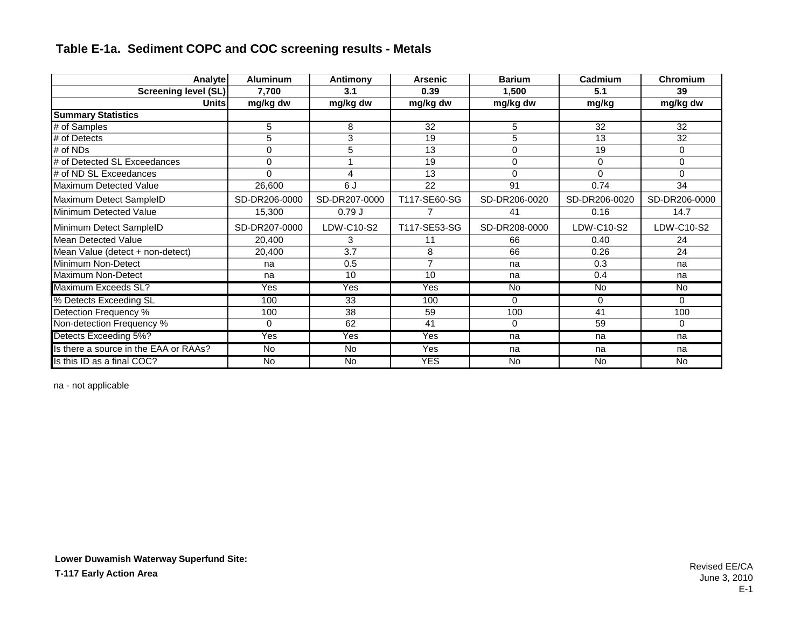| Analyte                               | <b>Aluminum</b>           | Antimony       | <b>Arsenic</b>            | <b>Barium</b> | Cadmium        | Chromium       |
|---------------------------------------|---------------------------|----------------|---------------------------|---------------|----------------|----------------|
| Screening level (SL)                  | 7,700                     | 3.1            | 0.39                      | 1,500         | 5.1            | 39             |
| Unitsl                                | mg/kg dw                  | mg/kg dw       | mg/kg dw                  | mg/kg dw      | mg/kg          | mg/kg dw       |
| <b>Summary Statistics</b>             |                           |                |                           |               |                |                |
| # of Samples                          | 5                         | 8              | 32                        | 5             | 32             | 32             |
| # of Detects                          | 5                         | 3              | 19                        | 5             | 13             | 32             |
| # of NDs                              | 0                         | 5              | 13                        | $\Omega$      | 19             | $\mathbf 0$    |
| # of Detected SL Exceedances          | 0                         |                | 19                        | $\Omega$      | $\Omega$       | 0              |
| # of ND SL Exceedances                | $\Omega$                  | 4              | 13                        | $\Omega$      | $\Omega$       | $\Omega$       |
| Maximum Detected Value                | 26,600                    | 6 J            | 22                        | 91            | 0.74           | 34             |
| Maximum Detect SampleID               | SD-DR206-0000             | SD-DR207-0000  | T117-SE60-SG              | SD-DR206-0020 | SD-DR206-0020  | SD-DR206-0000  |
| Minimum Detected Value                | 15,300                    | 0.79J          |                           | 41            | 0.16           | 14.7           |
| Minimum Detect SampleID               | SD-DR207-0000             | LDW-C10-S2     | T117-SE53-SG              | SD-DR208-0000 | LDW-C10-S2     | LDW-C10-S2     |
| Mean Detected Value                   | 20,400                    | 3              | 11                        | 66            | 0.40           | 24             |
| Mean Value (detect + non-detect)      | 20,400                    | 3.7            | 8                         | 66            | 0.26           | 24             |
| Minimum Non-Detect                    | na                        | 0.5            | 7                         | na            | 0.3            | na             |
| Maximum Non-Detect                    | na                        | 10             | 10                        | na            | 0.4            | na             |
| Maximum Exceeds SL?                   | $\overline{\mathsf{Yes}}$ | Yes            | $\overline{\mathsf{Yes}}$ | <b>No</b>     | No.            | No             |
| % Detects Exceeding SL                | 100                       | 33             | 100                       | $\Omega$      | $\Omega$       | $\Omega$       |
| Detection Frequency %                 | 100                       | 38             | 59                        | 100           | 41             | 100            |
| Non-detection Frequency %             | 0                         | 62             | 41                        | 0             | 59             | $\mathbf 0$    |
| Detects Exceeding 5%?                 | Yes                       | Yes            | Yes                       | na            | na             | na             |
| Is there a source in the EAA or RAAs? | <b>No</b>                 | <b>No</b>      | Yes                       | na            | na             | na             |
| Is this ID as a final COC?            | No                        | $\overline{N}$ | YES                       | <b>No</b>     | $\overline{N}$ | $\overline{N}$ |

na - not applicable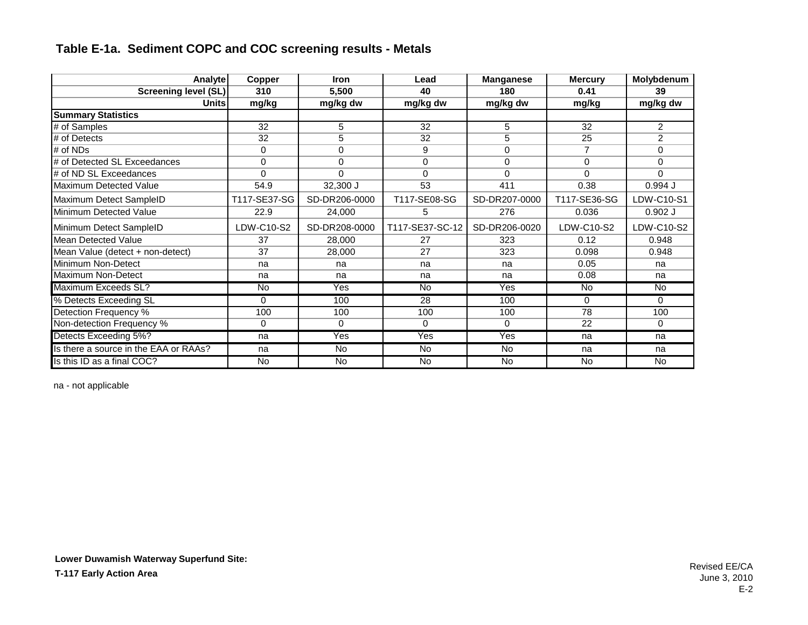| <b>Analyte</b>                        | Copper         | <b>Iron</b>    | Lead            | <b>Manganese</b> | <b>Mercury</b> | Molybdenum     |
|---------------------------------------|----------------|----------------|-----------------|------------------|----------------|----------------|
| <b>Screening level (SL)</b>           | 310            | 5,500          | 40              | 180              | 0.41           | 39             |
| Units                                 | mg/kg          | mg/kg dw       | mg/kg dw        | mg/kg dw         | mg/kg          | mg/kg dw       |
| <b>Summary Statistics</b>             |                |                |                 |                  |                |                |
| # of Samples                          | 32             | 5              | 32              | 5                | 32             | $\overline{2}$ |
| # of Detects                          | 32             | 5              | 32              | 5                | 25             | 2              |
| # of NDs                              | 0              | $\Omega$       | 9               | $\Omega$         | $\overline{7}$ | $\Omega$       |
| # of Detected SL Exceedances          | $\Omega$       | $\Omega$       | $\Omega$        | $\Omega$         | $\Omega$       | $\Omega$       |
| # of ND SL Exceedances                | $\Omega$       | $\Omega$       | $\Omega$        | $\Omega$         | $\Omega$       | $\Omega$       |
| Maximum Detected Value                | 54.9           | $32,300$ J     | 53              | 411              | 0.38           | $0.994$ J      |
| Maximum Detect SampleID               | T117-SE37-SG   | SD-DR206-0000  | T117-SE08-SG    | SD-DR207-0000    | T117-SE36-SG   | LDW-C10-S1     |
| Minimum Detected Value                | 22.9           | 24,000         | 5               | 276              | 0.036          | $0.902$ J      |
| Minimum Detect SampleID               | LDW-C10-S2     | SD-DR208-0000  | T117-SE37-SC-12 | SD-DR206-0020    | LDW-C10-S2     | LDW-C10-S2     |
| Mean Detected Value                   | 37             | 28,000         | 27              | 323              | 0.12           | 0.948          |
| Mean Value (detect + non-detect)      | 37             | 28,000         | 27              | 323              | 0.098          | 0.948          |
| Minimum Non-Detect                    | na             | na             | na              | na               | 0.05           | na             |
| Maximum Non-Detect                    | na             | na             | na              | na               | 0.08           | na             |
| Maximum Exceeds SL?                   | No             | Yes            | No              | Yes              | <b>No</b>      | No             |
| % Detects Exceeding SL                | $\Omega$       | 100            | 28              | 100              | $\Omega$       | $\Omega$       |
| Detection Frequency %                 | 100            | 100            | 100             | 100              | 78             | 100            |
| Non-detection Frequency %             | 0              | $\Omega$       | $\Omega$        | 0                | 22             | 0              |
| Detects Exceeding 5%?                 | na             | Yes            | Yes             | Yes              | na             | na             |
| Is there a source in the EAA or RAAs? | na             | No.            | No              | No.              | na             | na             |
| Is this ID as a final COC?            | $\overline{N}$ | $\overline{N}$ | $\overline{N}$  | $\overline{N}$   | $\overline{N}$ | No.            |

na - not applicable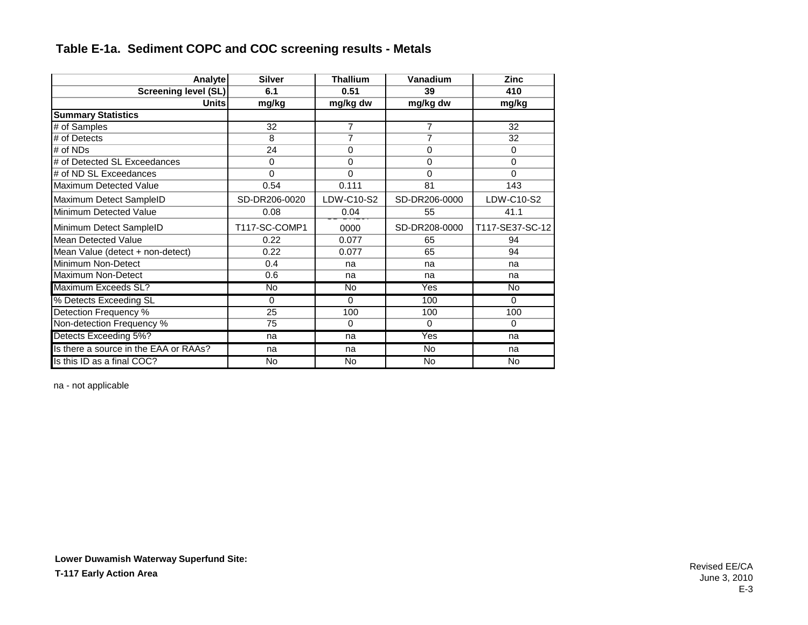| Analyte                               | <b>Silver</b> | <b>Thallium</b> | Vanadium                | <b>Zinc</b>     |
|---------------------------------------|---------------|-----------------|-------------------------|-----------------|
| <b>Screening level (SL)</b>           | 6.1           | 0.51            | 39                      | 410             |
| <b>Units</b>                          | mg/kg         | mg/kg dw        | mg/kg dw                | mg/kg           |
| <b>Summary Statistics</b>             |               |                 |                         |                 |
| # of Samples                          | 32            | $\overline{7}$  | $\overline{7}$          | 32              |
| # of Detects                          | 8             | 7               | 7                       | 32              |
| # of $NDs$                            | 24            | 0               | 0                       | $\Omega$        |
| # of Detected SL Exceedances          | 0             | $\Omega$        | 0                       | $\Omega$        |
| # of ND SL Exceedances                | $\Omega$      | $\Omega$        | 0                       | $\Omega$        |
| Maximum Detected Value                | 0.54          | 0.111           | 81                      | 143             |
| Maximum Detect SampleID               | SD-DR206-0020 | LDW-C10-S2      | SD-DR206-0000           | LDW-C10-S2      |
| Minimum Detected Value                | 0.08          | 0.04            | 55                      | 41.1            |
| Minimum Detect SampleID               | T117-SC-COMP1 | 0000            | SD-DR208-0000           | T117-SE37-SC-12 |
| <b>Mean Detected Value</b>            | 0.22          | 0.077           | 65                      | 94              |
| Mean Value (detect + non-detect)      | 0.22          | 0.077           | 65                      | 94              |
| Minimum Non-Detect                    | 0.4           | na              | na                      | na              |
| Maximum Non-Detect                    | 0.6           | na              | na                      | na              |
| Maximum Exceeds SL?                   | <b>No</b>     | <b>No</b>       | $\overline{\text{Yes}}$ | No.             |
| % Detects Exceeding SL                | 0             | $\Omega$        | 100                     | $\Omega$        |
| Detection Frequency %                 | 25            | 100             | 100                     | 100             |
| Non-detection Frequency %             | 75            | $\Omega$        | $\Omega$                | $\Omega$        |
| Detects Exceeding 5%?                 | na            | na              | Yes                     | na              |
| Is there a source in the EAA or RAAs? | na            | na              | No                      | na              |
| Is this ID as a final COC?            | No            | $\overline{N}$  | $\overline{N}$          | No              |

na - not applicable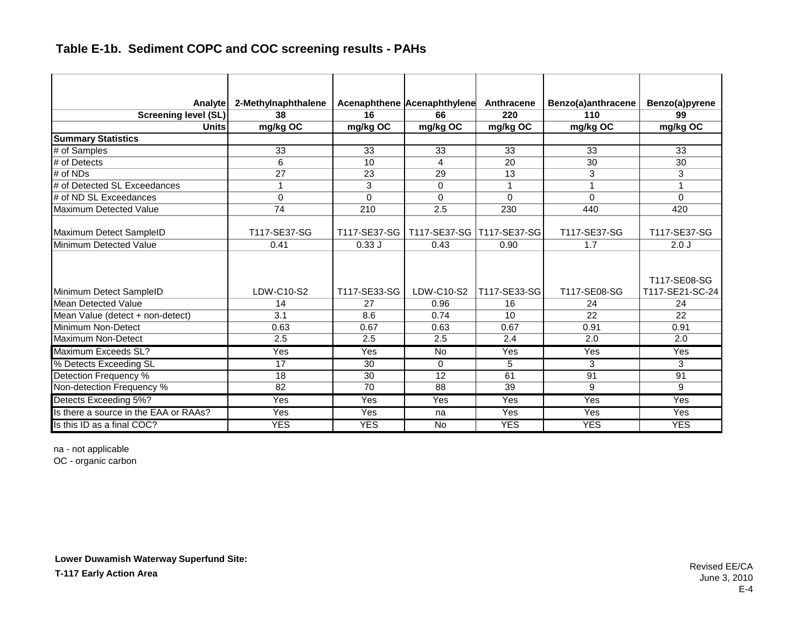| <b>Analyte</b>                        | 2-Methylnaphthalene |              | Acenaphthene Acenaphthylene            | Anthracene      | Benzo(a)anthracene | Benzo(a)pyrene                  |
|---------------------------------------|---------------------|--------------|----------------------------------------|-----------------|--------------------|---------------------------------|
| <b>Screening level (SL)</b>           | 38                  | 16           | 66                                     | 220             | 110                | 99                              |
| <b>Units</b>                          | mg/kg OC            | mg/kg OC     | mg/kg OC                               | mg/kg OC        | mg/kg OC           | mg/kg OC                        |
| <b>Summary Statistics</b>             |                     |              |                                        |                 |                    |                                 |
| # of Samples                          | 33                  | 33           | 33                                     | 33              | 33                 | 33                              |
| # of Detects                          | 6                   | 10           | 4                                      | 20              | 30                 | 30                              |
| $#$ of NDs                            | 27                  | 23           | 29                                     | 13              | 3                  | 3                               |
| # of Detected SL Exceedances          | 1                   | 3            | $\Omega$                               | 1               | 1                  | 1                               |
| # of ND SL Exceedances                | $\Omega$            | $\Omega$     | $\Omega$                               | $\Omega$        | $\Omega$           | $\Omega$                        |
| <b>Maximum Detected Value</b>         | 74                  | 210          | 2.5                                    | 230             | 440                | 420                             |
| Maximum Detect SampleID               | T117-SE37-SG        |              | T117-SE37-SG T117-SE37-SG T117-SE37-SG |                 | T117-SE37-SG       | T117-SE37-SG                    |
| Minimum Detected Value                | 0.41                | 0.33J        | 0.43                                   | 0.90            | 1.7                | 2.0J                            |
| Minimum Detect SampleID               | LDW-C10-S2          | T117-SE33-SG | LDW-C10-S2                             | T117-SE33-SG    | T117-SE08-SG       | T117-SE08-SG<br>T117-SE21-SC-24 |
| Mean Detected Value                   | 14                  | 27           | 0.96                                   | 16              | 24                 | 24                              |
| Mean Value (detect + non-detect)      | 3.1                 | 8.6          | 0.74                                   | 10 <sup>1</sup> | 22                 | 22                              |
| Minimum Non-Detect                    | 0.63                | 0.67         | 0.63                                   | 0.67            | 0.91               | 0.91                            |
| Maximum Non-Detect                    | 2.5                 | 2.5          | 2.5                                    | 2.4             | 2.0                | 2.0                             |
| Maximum Exceeds SL?                   | Yes                 | Yes          | <b>No</b>                              | Yes             | Yes                | Yes                             |
| % Detects Exceeding SL                | 17                  | 30           | $\Omega$                               | 5               | 3                  | 3                               |
| Detection Frequency %                 | 18                  | 30           | 12                                     | 61              | 91                 | 91                              |
| Non-detection Frequency %             | 82                  | 70           | 88                                     | 39              | 9                  | 9                               |
| Detects Exceeding 5%?                 | Yes                 | Yes          | Yes                                    | Yes             | Yes                | Yes                             |
| Is there a source in the EAA or RAAs? | Yes                 | Yes          | na                                     | Yes             | Yes                | Yes                             |
| Is this ID as a final COC?            | <b>YES</b>          | <b>YES</b>   | <b>No</b>                              | <b>YES</b>      | <b>YES</b>         | <b>YES</b>                      |

na - not applicable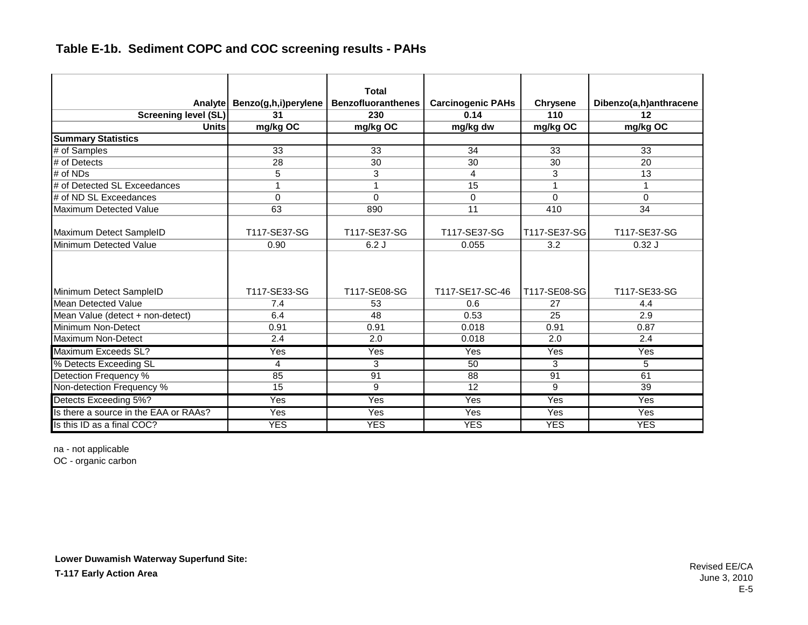|                                       |                      | <b>Total</b>              |                          |                 |                           |
|---------------------------------------|----------------------|---------------------------|--------------------------|-----------------|---------------------------|
| Analytel                              | Benzo(g,h,i)perylene | <b>Benzofluoranthenes</b> | <b>Carcinogenic PAHs</b> | <b>Chrysene</b> | Dibenzo(a,h)anthracene    |
| <b>Screening level (SL)</b>           | 31                   | 230                       | 0.14                     | 110             | 12                        |
| <b>Units</b>                          | mg/kg OC             | mg/kg OC                  | mg/kg dw                 | mg/kg OC        | mg/kg OC                  |
| <b>Summary Statistics</b>             |                      |                           |                          |                 |                           |
| # of Samples                          | 33                   | 33                        | 34                       | 33              | 33                        |
| $#$ of Detects                        | 28                   | 30                        | 30                       | 30              | 20                        |
| # of NDs                              | 5                    | 3                         | 4                        | 3               | 13                        |
| # of Detected SL Exceedances          | 1                    |                           | 15                       | 1               | 1                         |
| # of ND SL Exceedances                | 0                    | $\Omega$                  | 0                        | $\Omega$        | 0                         |
| Maximum Detected Value                | 63                   | 890                       | 11                       | 410             | 34                        |
| Maximum Detect SampleID               | T117-SE37-SG         | T117-SE37-SG              | T117-SE37-SG             | T117-SE37-SG    | T117-SE37-SG              |
| Minimum Detected Value                | 0.90                 | 6.2J                      | 0.055                    | 3.2             | 0.32J                     |
| Minimum Detect SampleID               | T117-SE33-SG         | T117-SE08-SG              | T117-SE17-SC-46          | T117-SE08-SG    | T117-SE33-SG              |
| Mean Detected Value                   | 7.4                  | 53                        | 0.6                      | 27              | 4.4                       |
| Mean Value (detect + non-detect)      | 6.4                  | 48                        | 0.53                     | 25              | 2.9                       |
| Minimum Non-Detect                    | 0.91                 | 0.91                      | 0.018                    | 0.91            | 0.87                      |
| Maximum Non-Detect                    | 2.4                  | 2.0                       | 0.018                    | 2.0             | 2.4                       |
| Maximum Exceeds SL?                   | Yes                  | Yes                       | Yes                      | Yes             | Yes                       |
| % Detects Exceeding SL                | 4                    | 3                         | 50                       | 3               | 5                         |
| Detection Frequency %                 | 85                   | 91                        | 88                       | 91              | 61                        |
| Non-detection Frequency %             | 15                   | 9                         | 12                       | 9               | 39                        |
| Detects Exceeding 5%?                 | Yes                  | Yes                       | Yes                      | Yes             | Yes                       |
| Is there a source in the EAA or RAAs? | Yes                  | $\overline{\text{Yes}}$   | Yes                      | Yes             | $\overline{\mathsf{Yes}}$ |
| Is this ID as a final COC?            | <b>YES</b>           | <b>YES</b>                | <b>YES</b>               | <b>YES</b>      | <b>YES</b>                |

na - not applicable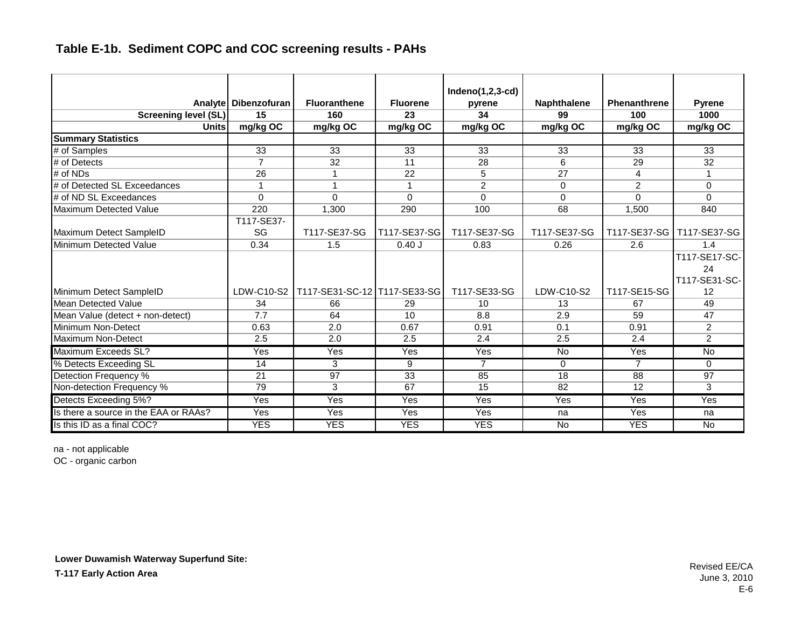|                                       |                        |                              |                 | $Indeno(1,2,3-cd)$ |                    |                     |                |
|---------------------------------------|------------------------|------------------------------|-----------------|--------------------|--------------------|---------------------|----------------|
|                                       | Analyte   Dibenzofuran | <b>Fluoranthene</b>          | <b>Fluorene</b> | pyrene             | <b>Naphthalene</b> | <b>Phenanthrene</b> | <b>Pyrene</b>  |
| <b>Screening level (SL)</b>           | $\overline{15}$        | 160                          | 23              | 34                 | 99                 | 100                 | 1000           |
| <b>Units</b>                          | mg/kg OC               | mg/kg OC                     | mg/kg OC        | mg/kg OC           | mg/kg OC           | mg/kg OC            | mg/kg OC       |
| <b>Summary Statistics</b>             |                        |                              |                 |                    |                    |                     |                |
| # of Samples                          | 33                     | 33                           | 33              | 33                 | 33                 | 33                  | 33             |
| # of Detects                          | $\overline{7}$         | 32                           | 11              | 28                 | 6                  | 29                  | 32             |
| # of NDs                              | 26                     | 1                            | 22              | 5                  | 27                 | 4                   |                |
| # of Detected SL Exceedances          | 1                      | 1                            | $\mathbf{1}$    | $\overline{2}$     | $\Omega$           | $\mathfrak{p}$      | $\Omega$       |
| # of ND SL Exceedances                | $\Omega$               | $\mathbf{0}$                 | $\Omega$        | $\mathbf{0}$       | $\Omega$           | $\Omega$            | $\Omega$       |
| Maximum Detected Value                | 220                    | 1,300                        | 290             | 100                | 68                 | 1.500               | 840            |
|                                       | T117-SE37-             |                              |                 |                    |                    |                     |                |
| Maximum Detect SampleID               | SG                     | T117-SE37-SG                 | T117-SE37-SG    | T117-SE37-SG       | T117-SE37-SG       | T117-SE37-SG        | T117-SE37-SG   |
| Minimum Detected Value                | 0.34                   | 1.5                          | 0.40J           | 0.83               | 0.26               | 2.6                 | 1.4            |
|                                       |                        |                              |                 |                    |                    |                     | T117-SE17-SC-  |
|                                       |                        |                              |                 |                    |                    |                     | 24             |
|                                       |                        |                              |                 |                    |                    |                     | T117-SE31-SC-  |
| Minimum Detect SampleID               | LDW-C10-S2             | T117-SE31-SC-12 T117-SE33-SG |                 | T117-SE33-SG       | LDW-C10-S2         | T117-SE15-SG        | 12             |
| Mean Detected Value                   | 34                     | 66                           | 29              | 10                 | 13                 | 67                  | 49             |
| Mean Value (detect + non-detect)      | 7.7                    | 64                           | 10              | 8.8                | 2.9                | 59                  | 47             |
| Minimum Non-Detect                    | 0.63                   | 2.0                          | 0.67            | 0.91               | 0.1                | 0.91                | $\overline{2}$ |
| Maximum Non-Detect                    | 2.5                    | 2.0                          | 2.5             | 2.4                | 2.5                | 2.4                 | $\overline{2}$ |
| Maximum Exceeds SL?                   | Yes                    | <b>Yes</b>                   | Yes             | <b>Yes</b>         | <b>No</b>          | Yes                 | <b>No</b>      |
| % Detects Exceeding SL                | 14                     | 3                            | 9               | $\overline{7}$     | $\Omega$           | $\overline{7}$      | $\Omega$       |
| Detection Frequency %                 | 21                     | 97                           | 33              | 85                 | 18                 | 88                  | 97             |
| Non-detection Frequency %             | 79                     | 3                            | 67              | 15                 | 82                 | 12                  | 3              |
| Detects Exceeding 5%?                 | Yes                    | Yes                          | Yes             | Yes                | Yes                | Yes                 | Yes            |
| Is there a source in the EAA or RAAs? | Yes                    | Yes                          | Yes             | Yes                | na                 | Yes                 | na             |
| Is this ID as a final COC?            | <b>YES</b>             | <b>YES</b>                   | <b>YES</b>      | <b>YES</b>         | <b>No</b>          | <b>YES</b>          | <b>No</b>      |

na - not applicable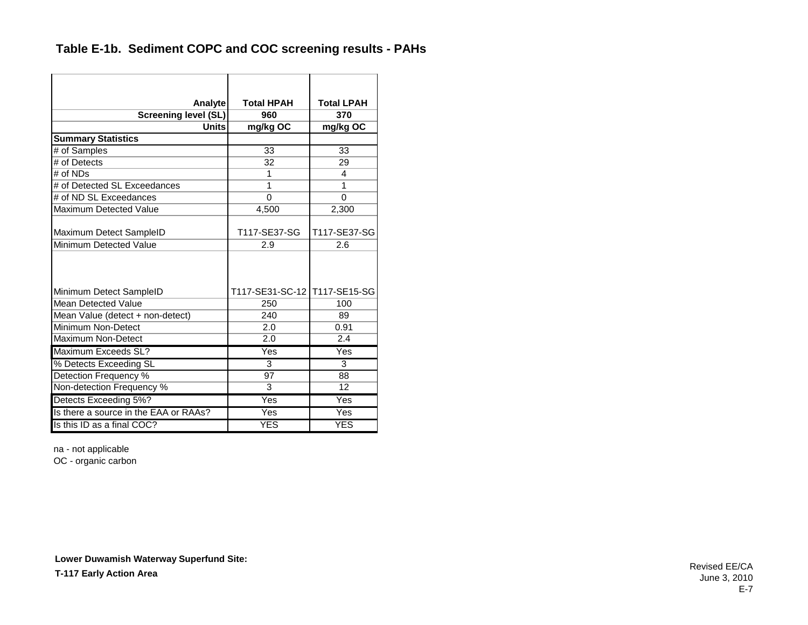| Analyte                               | <b>Total HPAH</b>            | <b>Total LPAH</b> |
|---------------------------------------|------------------------------|-------------------|
| <b>Screening level (SL)</b>           | 960                          | 370               |
| Units                                 | mg/kg OC                     | mg/kg OC          |
| <b>Summary Statistics</b>             |                              |                   |
| # of Samples                          | 33                           | 33                |
| # of Detects                          | 32                           | 29                |
| # of NDs                              | 1                            | 4                 |
| # of Detected SL Exceedances          | 1                            | 1                 |
| # of ND SL Exceedances                | 0                            | $\mathbf 0$       |
| Maximum Detected Value                | 4,500                        | 2,300             |
| Maximum Detect SampleID               | T117-SE37-SG                 | T117-SE37-SG      |
| Minimum Detected Value                | 2.9                          | 2.6               |
| Minimum Detect SampleID               | T117-SE31-SC-12 T117-SE15-SG |                   |
| <b>Mean Detected Value</b>            | 250                          | 100               |
| Mean Value (detect + non-detect)      | 240                          | 89                |
| Minimum Non-Detect                    | 2.0                          | 0.91              |
| <b>Maximum Non-Detect</b>             | 2.0                          | 2.4               |
| Maximum Exceeds SL?                   | Yes                          | Yes               |
| % Detects Exceeding SL                | 3                            | 3                 |
| Detection Frequency %                 | 97                           | 88                |
| Non-detection Frequency %             | 3                            | 12                |
| Detects Exceeding 5%?                 | Yes                          | Yes               |
| Is there a source in the EAA or RAAs? | Yes                          | Yes               |
| Is this ID as a final COC?            | <b>YES</b>                   | <b>YES</b>        |

na - not applicable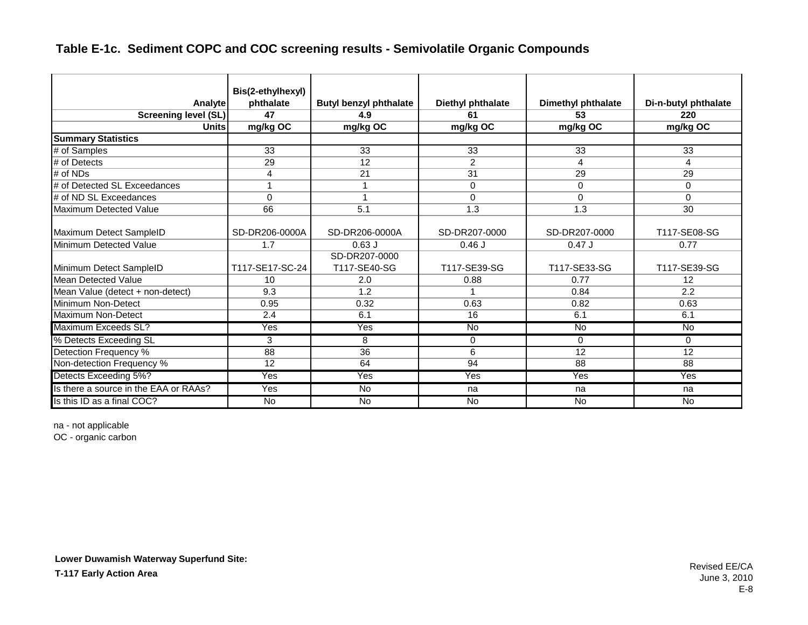|                                       | Bis(2-ethylhexyl) |                               |                   |                           |                         |
|---------------------------------------|-------------------|-------------------------------|-------------------|---------------------------|-------------------------|
| Analyte                               | phthalate         | <b>Butyl benzyl phthalate</b> | Diethyl phthalate | <b>Dimethyl phthalate</b> | Di-n-butyl phthalate    |
| <b>Screening level (SL)</b>           | 47                | 4.9                           | 61                | 53                        | 220                     |
| <b>Units</b>                          | mg/kg OC          | mg/kg OC                      | mg/kg OC          | mg/kg OC                  | mg/kg OC                |
| <b>Summary Statistics</b>             |                   |                               |                   |                           |                         |
| # of Samples                          | 33                | 33                            | 33                | 33                        | 33                      |
| # of Detects                          | 29                | 12                            | $\overline{2}$    | 4                         | 4                       |
| # of NDs                              | 4                 | 21                            | 31                | 29                        | 29                      |
| # of Detected SL Exceedances          | 1                 |                               | $\Omega$          | $\Omega$                  | 0                       |
| # of ND SL Exceedances                | $\Omega$          |                               | $\Omega$          | $\Omega$                  | 0                       |
| Maximum Detected Value                | 66                | 5.1                           | 1.3               | 1.3                       | 30                      |
| Maximum Detect SampleID               | SD-DR206-0000A    | SD-DR206-0000A                | SD-DR207-0000     | SD-DR207-0000             | T117-SE08-SG            |
| Minimum Detected Value                | 1.7               | $0.63$ J                      | $0.46$ J          | $0.47$ J                  | 0.77                    |
|                                       |                   | SD-DR207-0000                 |                   |                           |                         |
| Minimum Detect SampleID               | T117-SE17-SC-24   | T117-SE40-SG                  | T117-SE39-SG      | T117-SE33-SG              | T117-SE39-SG            |
| <b>Mean Detected Value</b>            | 10                | 2.0                           | 0.88              | 0.77                      | 12                      |
| Mean Value (detect + non-detect)      | 9.3               | 1.2                           | $\overline{ }$    | 0.84                      | 2.2                     |
| Minimum Non-Detect                    | 0.95              | 0.32                          | 0.63              | 0.82                      | 0.63                    |
| Maximum Non-Detect                    | 2.4               | 6.1                           | 16                | 6.1                       | 6.1                     |
| Maximum Exceeds SL?                   | Yes               | Yes                           | <b>No</b>         | $\overline{N}$            | <b>No</b>               |
| % Detects Exceeding SL                | 3                 | 8                             | 0                 | $\Omega$                  | $\Omega$                |
| Detection Frequency %                 | 88                | 36                            | 6                 | 12                        | 12                      |
| Non-detection Frequency %             | 12                | 64                            | 94                | 88                        | 88                      |
| Detects Exceeding 5%?                 | Yes               | $\overline{\text{Yes}}$       | Yes               | Yes                       | $\overline{\text{Yes}}$ |
| Is there a source in the EAA or RAAs? | Yes               | <b>No</b>                     | na                | na                        | na                      |
| Is this ID as a final COC?            | No                | <b>No</b>                     | <b>No</b>         | <b>No</b>                 | <b>No</b>               |

na - not applicable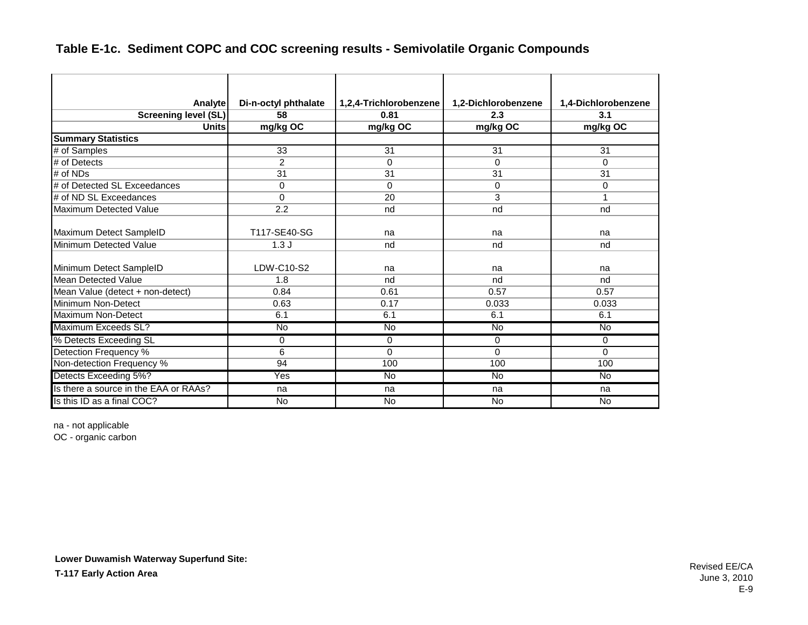| Analyte                               | Di-n-octyl phthalate | 1,2,4-Trichlorobenzene | 1,2-Dichlorobenzene | 1,4-Dichlorobenzene |
|---------------------------------------|----------------------|------------------------|---------------------|---------------------|
| <b>Screening level (SL)</b>           | 58                   | 0.81                   | 2.3                 | 3.1                 |
| Units                                 | mg/kg OC             | mg/kg OC               | mg/kg OC            | mg/kg OC            |
| <b>Summary Statistics</b>             |                      |                        |                     |                     |
| # of Samples                          | 33                   | 31                     | 31                  | 31                  |
| # of Detects                          | $\overline{2}$       | $\Omega$               | $\Omega$            | 0                   |
| # of NDs                              | 31                   | 31                     | 31                  | 31                  |
| # of Detected SL Exceedances          | 0                    | $\Omega$               | $\Omega$            | 0                   |
| # of ND SL Exceedances                | $\Omega$             | 20                     | 3                   | 1                   |
| <b>Maximum Detected Value</b>         | 2.2                  | nd                     | nd                  | nd                  |
| Maximum Detect SampleID               | T117-SE40-SG         | na                     | na                  | na                  |
| Minimum Detected Value                | 1.3J                 | nd                     | nd                  | nd                  |
| Minimum Detect SampleID               | LDW-C10-S2           | na                     | na                  | na                  |
| Mean Detected Value                   | 1.8                  | nd                     | nd                  | nd                  |
| Mean Value (detect + non-detect)      | 0.84                 | 0.61                   | 0.57                | 0.57                |
| Minimum Non-Detect                    | 0.63                 | 0.17                   | 0.033               | 0.033               |
| <b>Maximum Non-Detect</b>             | 6.1                  | 6.1                    | 6.1                 | 6.1                 |
| Maximum Exceeds SL?                   | <b>No</b>            | <b>No</b>              | <b>No</b>           | <b>No</b>           |
| % Detects Exceeding SL                | 0                    | $\Omega$               | 0                   | 0                   |
| Detection Frequency %                 | 6                    | $\Omega$               | $\Omega$            | $\Omega$            |
| Non-detection Frequency %             | 94                   | 100                    | 100                 | 100                 |
| Detects Exceeding 5%?                 | Yes                  | $\overline{N}$         | $\overline{N}$      | <b>No</b>           |
| Is there a source in the EAA or RAAs? | na                   | na                     | na                  | na                  |
| Is this ID as a final COC?            | <b>No</b>            | <b>No</b>              | <b>No</b>           | <b>No</b>           |

na - not applicable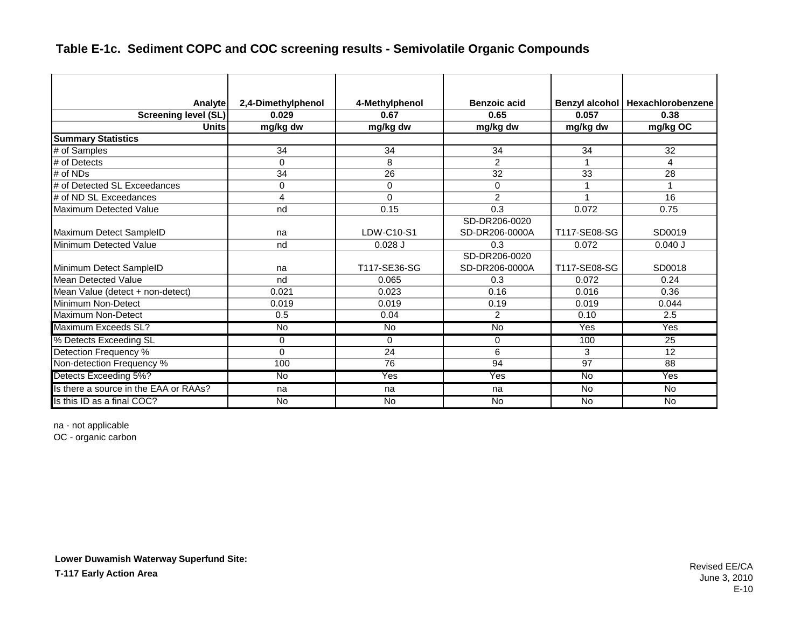| <b>Analyte</b>                        | 2,4-Dimethylphenol | 4-Methylphenol | <b>Benzoic acid</b>             | Benzyl alcohol | Hexachlorobenzene       |
|---------------------------------------|--------------------|----------------|---------------------------------|----------------|-------------------------|
| <b>Screening level (SL)</b>           | 0.029              | 0.67           | 0.65                            | 0.057          | 0.38                    |
| <b>Units</b>                          | mg/kg dw           | mg/kg dw       | mg/kg dw                        | mg/kg dw       | mg/kg OC                |
| <b>Summary Statistics</b>             |                    |                |                                 |                |                         |
| # of Samples                          | 34                 | 34             | 34                              | 34             | 32                      |
| # of Detects                          | $\Omega$           | 8              | $\mathcal{P}$                   | 1              | 4                       |
| $#$ of NDs                            | 34                 | 26             | 32                              | 33             | 28                      |
| # of Detected SL Exceedances          | 0                  | 0              | 0                               | 1              |                         |
| # of ND SL Exceedances                | 4                  | $\Omega$       | 2                               | 1              | 16                      |
| Maximum Detected Value                | nd                 | 0.15           | 0.3                             | 0.072          | 0.75                    |
|                                       |                    |                | SD-DR206-0020                   |                |                         |
| Maximum Detect SampleID               | na                 | LDW-C10-S1     | SD-DR206-0000A                  | T117-SE08-SG   | SD0019                  |
| Minimum Detected Value                | nd                 | $0.028$ J      | 0.3                             | 0.072          | $0.040$ J               |
| Minimum Detect SampleID               | na                 | T117-SE36-SG   | SD-DR206-0020<br>SD-DR206-0000A | T117-SE08-SG   | SD0018                  |
| Mean Detected Value                   | nd                 | 0.065          | 0.3                             | 0.072          | 0.24                    |
| Mean Value (detect + non-detect)      | 0.021              | 0.023          | 0.16                            | 0.016          | 0.36                    |
| Minimum Non-Detect                    | 0.019              | 0.019          | 0.19                            | 0.019          | 0.044                   |
| Maximum Non-Detect                    | 0.5                | 0.04           | $\overline{2}$                  | 0.10           | 2.5                     |
| Maximum Exceeds SL?                   | <b>No</b>          | <b>No</b>      | <b>No</b>                       | Yes            | <b>Yes</b>              |
| % Detects Exceeding SL                | 0                  | $\Omega$       | 0                               | 100            | 25                      |
| Detection Frequency %                 | 0                  | 24             | 6                               | 3              | 12                      |
| Non-detection Frequency %             | 100                | 76             | 94                              | 97             | 88                      |
| Detects Exceeding 5%?                 | No                 | Yes            | Yes                             | $\overline{N}$ | $\overline{\text{Yes}}$ |
| Is there a source in the EAA or RAAs? | na                 | na             | na                              | No.            | <b>No</b>               |
| Is this ID as a final COC?            | <b>No</b>          | <b>No</b>      | <b>No</b>                       | <b>No</b>      | $\overline{N}$          |

na - not applicable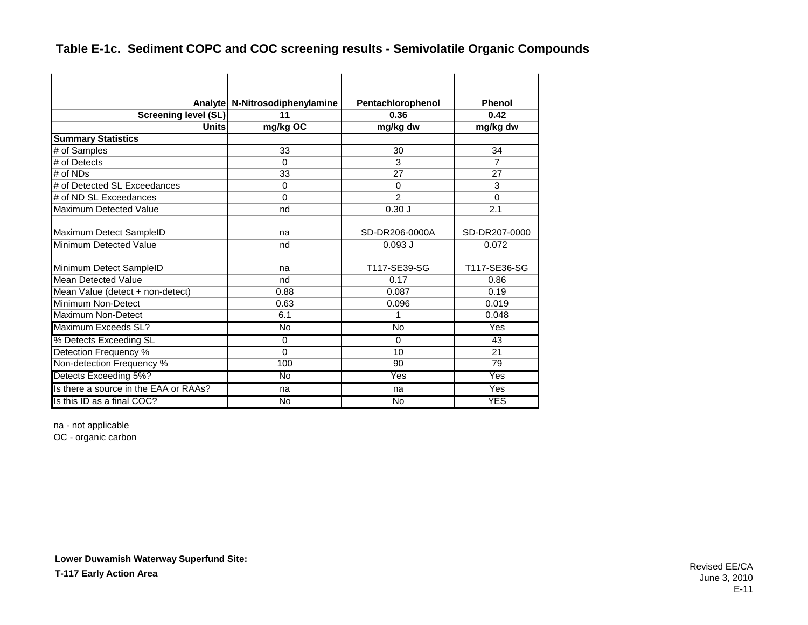|                                       | Analyte   N-Nitrosodiphenylamine | Pentachlorophenol | Phenol         |
|---------------------------------------|----------------------------------|-------------------|----------------|
| <b>Screening level (SL)</b>           | 11                               | 0.36              | 0.42           |
| <b>Units</b>                          | mg/kg OC                         | mg/kg dw          | mg/kg dw       |
| <b>Summary Statistics</b>             |                                  |                   |                |
| # of Samples                          | 33                               | 30                | 34             |
| # of Detects                          | $\Omega$                         | 3                 | $\overline{7}$ |
| # of NDs                              | 33                               | 27                | 27             |
| # of Detected SL Exceedances          | $\Omega$                         | $\Omega$          | 3              |
| # of ND SL Exceedances                | $\Omega$                         | $\mathcal{P}$     | $\Omega$       |
| <b>Maximum Detected Value</b>         | nd                               | 0.30J             | 2.1            |
| Maximum Detect SampleID               | na                               | SD-DR206-0000A    | SD-DR207-0000  |
| Minimum Detected Value                | nd                               | $0.093$ J         | 0.072          |
| Minimum Detect SampleID               | na                               | T117-SE39-SG      | T117-SE36-SG   |
| <b>Mean Detected Value</b>            | nd                               | 0.17              | 0.86           |
| Mean Value (detect + non-detect)      | 0.88                             | 0.087             | 0.19           |
| Minimum Non-Detect                    | 0.63                             | 0.096             | 0.019          |
| Maximum Non-Detect                    | 6.1                              | 1                 | 0.048          |
| Maximum Exceeds SL?                   | <b>No</b>                        | <b>No</b>         | Yes            |
| % Detects Exceeding SL                | $\Omega$                         | $\Omega$          | 43             |
| Detection Frequency %                 | $\Omega$                         | 10                | 21             |
| Non-detection Frequency %             | 100                              | 90                | 79             |
| Detects Exceeding 5%?                 | <b>No</b>                        | Yes               | Yes            |
| Is there a source in the EAA or RAAs? | na                               | na                | Yes            |
| Is this ID as a final COC?            | No                               | <b>No</b>         | <b>YES</b>     |

na - not applicable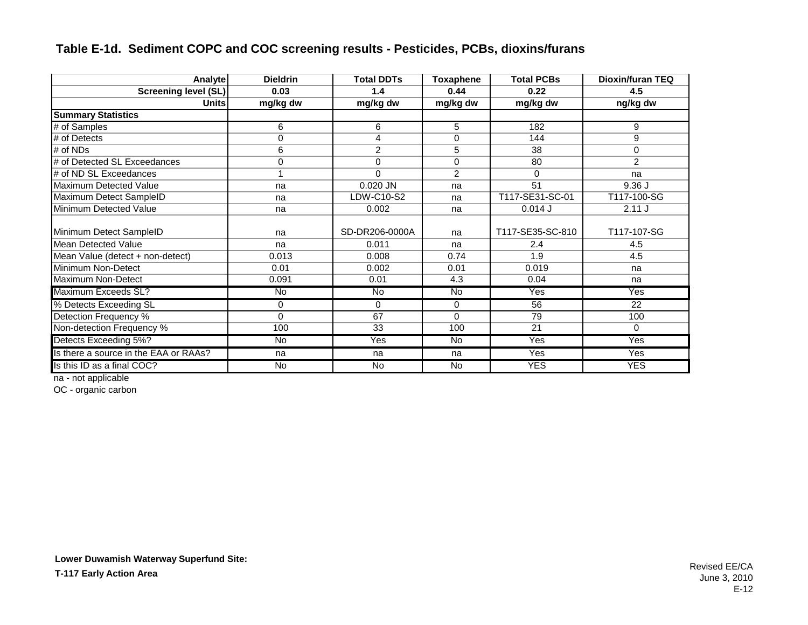### **Table E-1d. Sediment COPC and COC screening results - Pesticides, PCBs, dioxins/furans**

| Analyte                               | <b>Dieldrin</b> | <b>Total DDTs</b> | <b>Toxaphene</b> | <b>Total PCBs</b> | Dioxin/furan TEQ |
|---------------------------------------|-----------------|-------------------|------------------|-------------------|------------------|
| <b>Screening level (SL)</b>           | 0.03            | 1.4               | 0.44             | 0.22              | 4.5              |
| Unitsl                                | mg/kg dw        | mg/kg dw          | mg/kg dw         | mg/kg dw          | ng/kg dw         |
| <b>Summary Statistics</b>             |                 |                   |                  |                   |                  |
| # of Samples                          | 6               | 6                 | 5                | 182               | 9                |
| # of Detects                          | 0               | 4                 | 0                | 144               | 9                |
| # of NDs                              | 6               | $\overline{2}$    | 5                | 38                | $\Omega$         |
| # of Detected SL Exceedances          | 0               | 0                 | $\mathbf 0$      | 80                | $\overline{2}$   |
| # of ND SL Exceedances                |                 | $\Omega$          | $\overline{2}$   | $\Omega$          | na               |
| Maximum Detected Value                | na              | 0.020 JN          | na               | 51                | 9.36J            |
| Maximum Detect SampleID               | na              | LDW-C10-S2        | na               | T117-SE31-SC-01   | T117-100-SG      |
| Minimum Detected Value                | na              | 0.002             | na               | $0.014$ J         | 2.11J            |
| Minimum Detect SampleID               | na              | SD-DR206-0000A    | na               | T117-SE35-SC-810  | T117-107-SG      |
| Mean Detected Value                   | na              | 0.011             | na               | 2.4               | 4.5              |
| Mean Value (detect + non-detect)      | 0.013           | 0.008             | 0.74             | 1.9               | 4.5              |
| Minimum Non-Detect                    | 0.01            | 0.002             | 0.01             | 0.019             | na               |
| Maximum Non-Detect                    | 0.091           | 0.01              | 4.3              | 0.04              | na               |
| Maximum Exceeds SL?                   | <b>No</b>       | <b>No</b>         | No               | Yes               | Yes              |
| % Detects Exceeding SL                | 0               | 0                 | $\mathbf 0$      | 56                | 22               |
| Detection Frequency %                 | 0               | 67                | $\Omega$         | 79                | 100              |
| Non-detection Frequency %             | 100             | 33                | 100              | 21                | 0                |
| Detects Exceeding 5%?                 | No              | Yes               | $\overline{N}$   | Yes               | Yes              |
| Is there a source in the EAA or RAAs? | na              | na                | na               | Yes               | Yes              |
| Is this ID as a final COC?            | $\overline{N}$  | $\overline{N}$    | $\overline{N}$   | <b>YES</b>        | <b>YES</b>       |

na - not applicable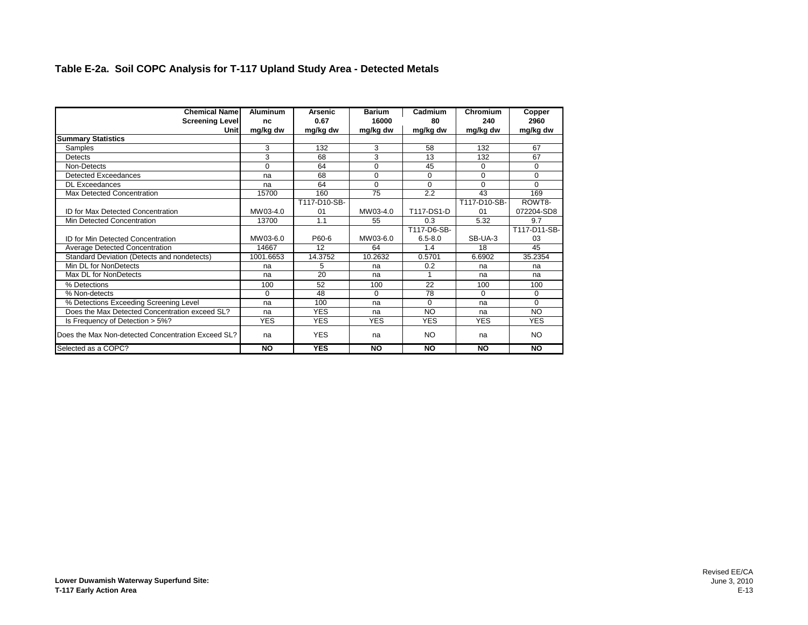#### **Table E-2a. Soil COPC Analysis for T-117 Upland Study Area - Detected Metals**

| <b>Chemical Name</b>                               | <b>Aluminum</b> | Arsenic      | <b>Barium</b> | Cadmium     | Chromium     | Copper       |
|----------------------------------------------------|-----------------|--------------|---------------|-------------|--------------|--------------|
| <b>Screening Level</b>                             | nc              | 0.67         | 16000         | 80          | 240          | 2960         |
| Unit                                               | mg/kg dw        | mg/kg dw     | mg/kg dw      | mg/kg dw    | mg/kg dw     | mg/kg dw     |
| <b>Summary Statistics</b>                          |                 |              |               |             |              |              |
| Samples                                            | 3               | 132          | 3             | 58          | 132          | 67           |
| Detects                                            | 3               | 68           | 3             | 13          | 132          | 67           |
| Non-Detects                                        | $\Omega$        | 64           | $\Omega$      | 45          | $\Omega$     | $\Omega$     |
| Detected Exceedances                               | na              | 68           | $\Omega$      | $\Omega$    | $\Omega$     | $\Omega$     |
| <b>DL</b> Exceedances                              | na              | 64           | $\Omega$      | $\Omega$    | $\Omega$     | $\Omega$     |
| Max Detected Concentration                         | 15700           | 160          | 75            | 2.2         | 43           | 169          |
|                                                    |                 | T117-D10-SB- |               |             | T117-D10-SB- | ROWT8-       |
| ID for Max Detected Concentration                  | MW03-4.0        | 01           | MW03-4.0      | T117-DS1-D  | 01           | 072204-SD8   |
| Min Detected Concentration                         | 13700           | 1.1          | 55            | 0.3         | 5.32         | 9.7          |
|                                                    |                 |              |               | T117-D6-SB- |              | T117-D11-SB- |
| <b>ID for Min Detected Concentration</b>           | MW03-6.0        | P60-6        | MW03-6.0      | $6.5 - 8.0$ | SB-UA-3      | 03           |
| Average Detected Concentration                     | 14667           | 12           | 64            | 1.4         | 18           | 45           |
| Standard Deviation (Detects and nondetects)        | 1001.6653       | 14.3752      | 10.2632       | 0.5701      | 6.6902       | 35.2354      |
| Min DL for NonDetects                              | na              | 5            | na            | 0.2         | na           | na           |
| Max DL for NonDetects                              | na              | 20           | na            |             | na           | na           |
| % Detections                                       | 100             | 52           | 100           | 22          | 100          | 100          |
| % Non-detects                                      | $\Omega$        | 48           | $\Omega$      | 78          | 0            | $\Omega$     |
| % Detections Exceeding Screening Level             | na              | 100          | na            | $\Omega$    | na           | $\Omega$     |
| Does the Max Detected Concentration exceed SL?     | na              | <b>YES</b>   | na            | <b>NO</b>   | na           | <b>NO</b>    |
| Is Frequency of Detection > 5%?                    | <b>YES</b>      | <b>YES</b>   | <b>YES</b>    | <b>YES</b>  | <b>YES</b>   | <b>YES</b>   |
| Does the Max Non-detected Concentration Exceed SL? | na              | <b>YES</b>   | na            | NO.         | na           | <b>NO</b>    |
| Selected as a COPC?                                | <b>NO</b>       | <b>YES</b>   | <b>NO</b>     | <b>NO</b>   | <b>NO</b>    | <b>NO</b>    |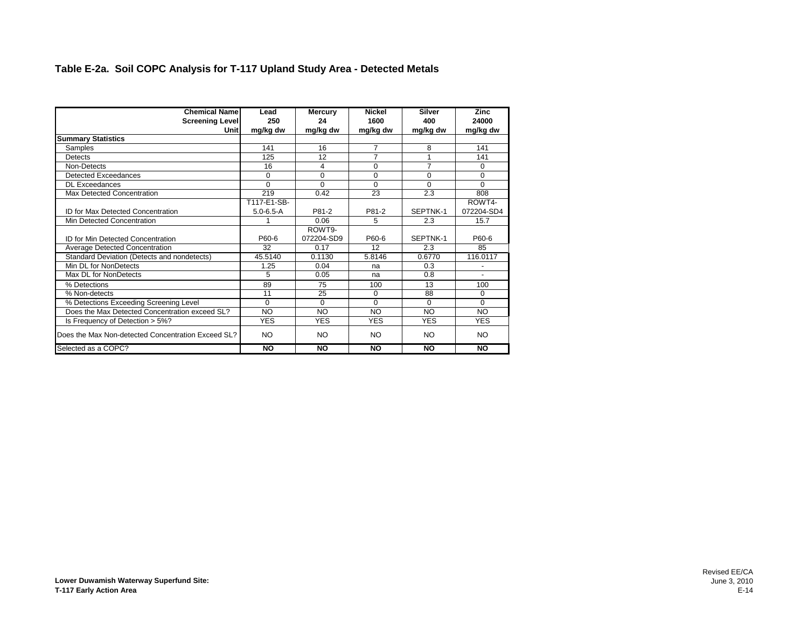#### **Table E-2a. Soil COPC Analysis for T-117 Upland Study Area - Detected Metals**

| <b>Chemical Name</b>                               | Lead            | Mercury        | <b>Nickel</b>  | <b>Silver</b>  | Zinc       |
|----------------------------------------------------|-----------------|----------------|----------------|----------------|------------|
| <b>Screening Level</b>                             | 250             | 24             | 1600           | 400            | 24000      |
| Unit                                               | mg/kg dw        | mg/kg dw       | mg/kg dw       | mg/kg dw       | mg/kg dw   |
| <b>Summary Statistics</b>                          |                 |                |                |                |            |
| Samples                                            | 141             | 16             | $\overline{7}$ | 8              | 141        |
| Detects                                            | 125             | 12             | $\overline{7}$ |                | 141        |
| Non-Detects                                        | 16              | $\overline{4}$ | $\Omega$       | $\overline{7}$ | 0          |
| Detected Exceedances                               | $\Omega$        | 0              | $\Omega$       | $\Omega$       | 0          |
| <b>DL Exceedances</b>                              | $\Omega$        | $\Omega$       | $\Omega$       | $\Omega$       | $\Omega$   |
| Max Detected Concentration                         | 219             | 0.42           | 23             | 2.3            | 808        |
|                                                    | T117-E1-SB-     |                |                |                | ROWT4-     |
| ID for Max Detected Concentration                  | $5.0 - 6.5 - A$ | P81-2          | P81-2          | SEPTNK-1       | 072204-SD4 |
| Min Detected Concentration                         |                 | 0.06           | 5              | 2.3            | 15.7       |
|                                                    |                 | ROWT9-         |                |                |            |
| <b>ID for Min Detected Concentration</b>           | P60-6           | 072204-SD9     | P60-6          | SEPTNK-1       | P60-6      |
| <b>Average Detected Concentration</b>              | 32              | 0.17           | 12             | 2.3            | 85         |
| Standard Deviation (Detects and nondetects)        | 45.5140         | 0.1130         | 5.8146         | 0.6770         | 116.0117   |
| Min DI for NonDetects                              | 1.25            | 0.04           | na             | 0.3            |            |
| Max DL for NonDetects                              | 5               | 0.05           | na             | 0.8            |            |
| % Detections                                       | 89              | 75             | 100            | 13             | 100        |
| % Non-detects                                      | 11              | 25             | $\Omega$       | 88             | 0          |
| % Detections Exceeding Screening Level             | $\Omega$        | $\Omega$       | $\Omega$       | $\Omega$       | $\Omega$   |
| Does the Max Detected Concentration exceed SL?     | <b>NO</b>       | <b>NO</b>      | NO             | <b>NO</b>      | <b>NO</b>  |
| Is Frequency of Detection > 5%?                    | <b>YES</b>      | <b>YES</b>     | <b>YES</b>     | <b>YES</b>     | <b>YES</b> |
| Does the Max Non-detected Concentration Exceed SL? | NO.             | NO             | NO             | NO.            | NO.        |
| Selected as a COPC?                                | NO              | <b>NO</b>      | <b>NO</b>      | <b>NO</b>      | <b>NO</b>  |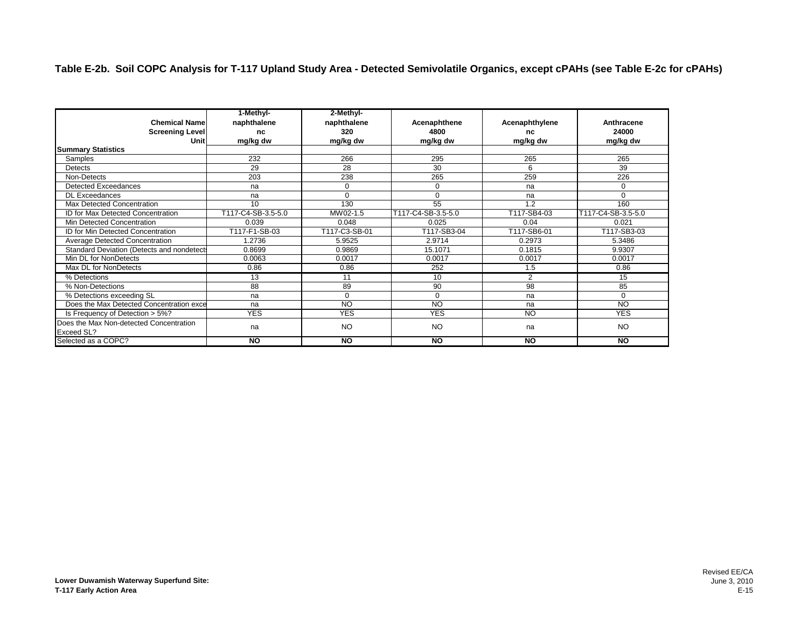|                                                       | 1-Methyl-          | 2-Methyl-     |                    |                |                    |
|-------------------------------------------------------|--------------------|---------------|--------------------|----------------|--------------------|
| <b>Chemical Namel</b>                                 | naphthalene        | naphthalene   | Acenaphthene       | Acenaphthylene | Anthracene         |
| Screening Level                                       | nc                 | 320           | 4800               | nc             | 24000              |
| Unit                                                  | mg/kg dw           | mg/kg dw      | mg/kg dw           | mg/kg dw       | mg/kg dw           |
| <b>Summary Statistics</b>                             |                    |               |                    |                |                    |
| Samples                                               | 232                | 266           | 295                | 265            | 265                |
| Detects                                               | 29                 | 28            | 30                 | 6              | 39                 |
| Non-Detects                                           | 203                | 238           | 265                | 259            | 226                |
| Detected Exceedances                                  | na                 | 0             | 0                  | na             | 0                  |
| <b>DL Exceedances</b>                                 | na                 | $\Omega$      | $\Omega$           | na             | $\Omega$           |
| Max Detected Concentration                            | 10                 | 130           | 55                 | 1.2            | 160                |
| ID for Max Detected Concentration                     | T117-C4-SB-3.5-5.0 | MW02-1.5      | T117-C4-SB-3.5-5.0 | T117-SB4-03    | T117-C4-SB-3.5-5.0 |
| Min Detected Concentration                            | 0.039              | 0.048         | 0.025              | 0.04           | 0.021              |
| <b>ID for Min Detected Concentration</b>              | T117-F1-SB-03      | T117-C3-SB-01 | T117-SB3-04        | T117-SB6-01    | T117-SB3-03        |
| Average Detected Concentration                        | 1.2736             | 5.9525        | 2.9714             | 0.2973         | 5.3486             |
| Standard Deviation (Detects and nondetects            | 0.8699             | 0.9869        | 15.1071            | 0.1815         | 9.9307             |
| Min DL for NonDetects                                 | 0.0063             | 0.0017        | 0.0017             | 0.0017         | 0.0017             |
| Max DL for NonDetects                                 | 0.86               | 0.86          | 252                | 1.5            | 0.86               |
| % Detections                                          | 13                 | 11            | 10                 | $\mathcal{P}$  | 15                 |
| % Non-Detections                                      | 88                 | 89            | 90                 | 98             | 85                 |
| % Detections exceeding SL                             | na                 | $\mathbf 0$   | $\mathbf 0$        | na             | 0                  |
| Does the Max Detected Concentration exce              | na                 | <b>NO</b>     | <b>NO</b>          | na             | <b>NO</b>          |
| Is Frequency of Detection > 5%?                       | <b>YES</b>         | <b>YES</b>    | <b>YES</b>         | <b>NO</b>      | <b>YES</b>         |
| Does the Max Non-detected Concentration<br>Exceed SL? | na                 | <b>NO</b>     | <b>NO</b>          | na             | <b>NO</b>          |
| Selected as a COPC?                                   | <b>NO</b>          | <b>NO</b>     | <b>NO</b>          | <b>NO</b>      | <b>NO</b>          |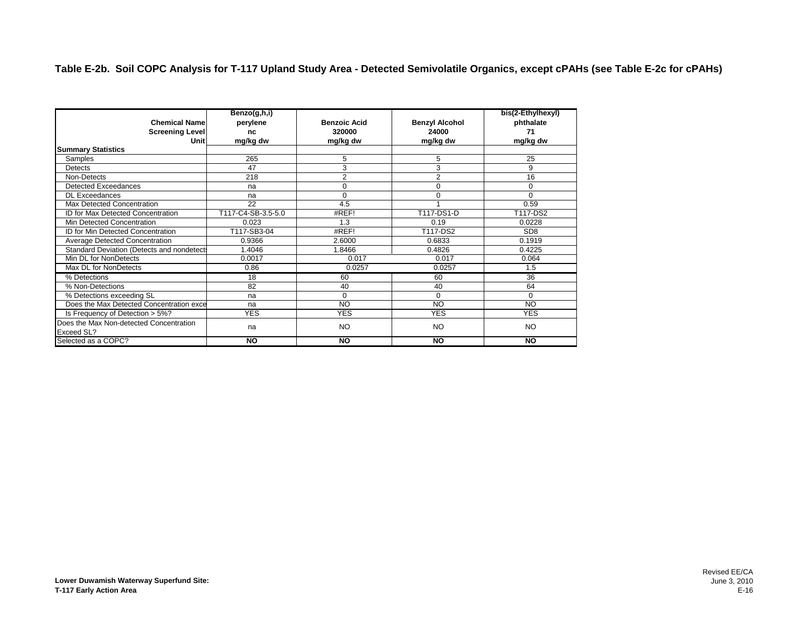|                                                              | Benzo(g,h,i)       |                     |                       | bis(2-Ethylhexyl) |
|--------------------------------------------------------------|--------------------|---------------------|-----------------------|-------------------|
| <b>Chemical Name</b>                                         | perylene           | <b>Benzoic Acid</b> | <b>Benzyl Alcohol</b> | phthalate         |
| <b>Screening Level</b>                                       | nc                 | 320000              | 24000                 | 71                |
| Unit                                                         | mg/kg dw           | mg/kg dw            | mg/kg dw              | mg/kg dw          |
| <b>Summary Statistics</b>                                    |                    |                     |                       |                   |
| Samples                                                      | 265                | 5                   | 5                     | 25                |
| Detects                                                      | 47                 | 3                   | 3                     | 9                 |
| Non-Detects                                                  | 218                | 2                   | $\overline{2}$        | 16                |
| <b>Detected Exceedances</b>                                  | na                 | $\Omega$            | $\Omega$              | $\Omega$          |
| <b>DL</b> Exceedances                                        | na                 | $\Omega$            | 0                     | $\Omega$          |
| Max Detected Concentration                                   | 22                 | 4.5                 |                       | 0.59              |
| <b>ID for Max Detected Concentration</b>                     | T117-C4-SB-3.5-5.0 | #REF!               | T117-DS1-D            | T117-DS2          |
| Min Detected Concentration                                   | 0.023              | 1.3                 | 0.19                  | 0.0228            |
| <b>ID for Min Detected Concentration</b>                     | T117-SB3-04        | #REF!               | T117-DS2              | SD <sub>8</sub>   |
| Average Detected Concentration                               | 0.9366             | 2.6000              | 0.6833                | 0.1919            |
| Standard Deviation (Detects and nondetects                   | 1.4046             | 1.8466              | 0.4826                | 0.4225            |
| Min DL for NonDetects                                        | 0.0017             | 0.017               | 0.017                 | 0.064             |
| Max DL for NonDetects                                        | 0.86               | 0.0257              | 0.0257                | 1.5               |
| % Detections                                                 | 18                 | 60                  | 60                    | $\overline{36}$   |
| % Non-Detections                                             | 82                 | 40                  | 40                    | 64                |
| % Detections exceeding SL                                    | na                 | $\Omega$            | $\Omega$              | $\Omega$          |
| Does the Max Detected Concentration exce                     | na                 | <b>NO</b>           | <b>NO</b>             | <b>NO</b>         |
| Is Frequency of Detection > 5%?                              | <b>YES</b>         | <b>YES</b>          | <b>YES</b>            | <b>YES</b>        |
| Does the Max Non-detected Concentration<br><b>Exceed SL?</b> | na                 | <b>NO</b>           | <b>NO</b>             | <b>NO</b>         |
| Selected as a COPC?                                          | <b>NO</b>          | <b>NO</b>           | <b>NO</b>             | <b>NO</b>         |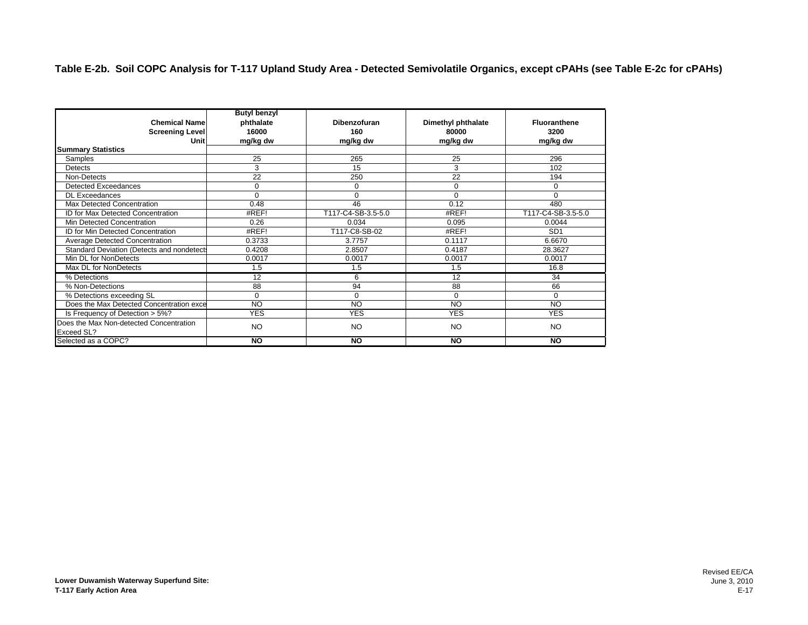|                                                              | <b>Butyl benzyl</b> |                    |                    |                     |
|--------------------------------------------------------------|---------------------|--------------------|--------------------|---------------------|
| <b>Chemical Name</b>                                         | phthalate           | Dibenzofuran       | Dimethyl phthalate | <b>Fluoranthene</b> |
| <b>Screening Level</b>                                       | 16000               | 160                | 80000              | 3200                |
| Unit                                                         | mg/kg dw            | mg/kg dw           | mg/kg dw           | mg/kg dw            |
| <b>Summary Statistics</b>                                    |                     |                    |                    |                     |
| Samples                                                      | 25                  | 265                | 25                 | 296                 |
| Detects                                                      | 3                   | 15                 | 3                  | 102                 |
| Non-Detects                                                  | 22                  | 250                | 22                 | 194                 |
| Detected Exceedances                                         | 0                   | $\Omega$           | $\mathbf 0$        | $\Omega$            |
| <b>DL Exceedances</b>                                        | U                   | $\Omega$           | $\Omega$           | $\Omega$            |
| Max Detected Concentration                                   | 0.48                | 46                 | 0.12               | 480                 |
| <b>ID for Max Detected Concentration</b>                     | #REF!               | T117-C4-SB-3.5-5.0 | #REF!              | T117-C4-SB-3.5-5.0  |
| Min Detected Concentration                                   | 0.26                | 0.034              | 0.095              | 0.0044              |
| <b>ID for Min Detected Concentration</b>                     | #REF!               | T117-C8-SB-02      | #REF!              | SD <sub>1</sub>     |
| <b>Average Detected Concentration</b>                        | 0.3733              | 3.7757             | 0.1117             | 6.6670              |
| Standard Deviation (Detects and nondetect                    | 0.4208              | 2.8507             | 0.4187             | 28.3627             |
| Min DL for NonDetects                                        | 0.0017              | 0.0017             | 0.0017             | 0.0017              |
| Max DL for NonDetects                                        | 1.5                 | 1.5                | 1.5                | 16.8                |
| % Detections                                                 | 12                  | 6                  | $\overline{12}$    | 34                  |
| % Non-Detections                                             | 88                  | 94                 | 88                 | 66                  |
| % Detections exceeding SL                                    | $\Omega$            | $\Omega$           | $\Omega$           | $\Omega$            |
| Does the Max Detected Concentration exce                     | <b>NO</b>           | <b>NO</b>          | <b>NO</b>          | <b>NO</b>           |
| Is Frequency of Detection > 5%?                              | <b>YES</b>          | <b>YES</b>         | <b>YES</b>         | <b>YES</b>          |
| Does the Max Non-detected Concentration<br><b>Exceed SL?</b> | <b>NO</b>           | <b>NO</b>          | NO.                | <b>NO</b>           |
| Selected as a COPC?                                          | <b>NO</b>           | <b>NO</b>          | <b>NO</b>          | <b>NO</b>           |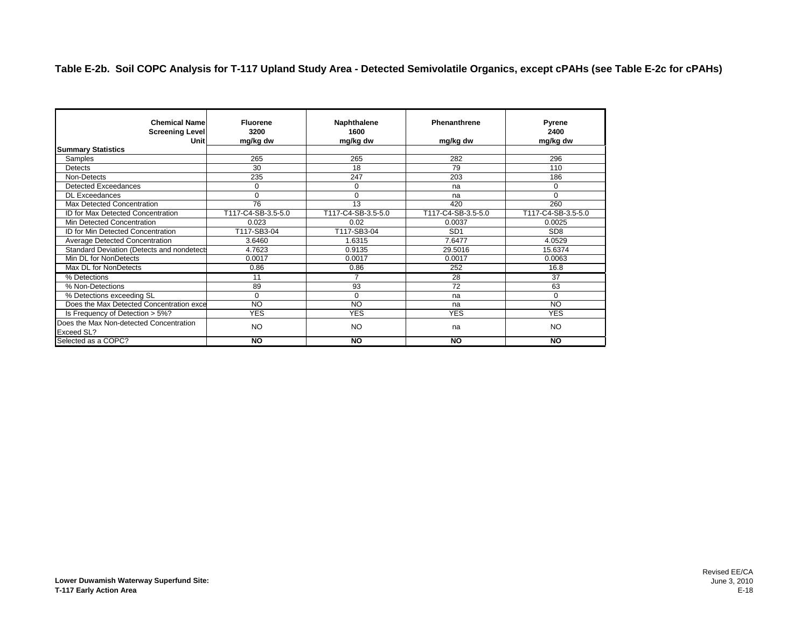| <b>Chemical Name</b><br><b>Screening Level</b><br>Unit | <b>Fluorene</b><br>3200<br>mg/kg dw | Naphthalene<br>1600<br>mg/kg dw | Phenanthrene<br>mg/kg dw | <b>Pyrene</b><br>2400<br>mg/kg dw |
|--------------------------------------------------------|-------------------------------------|---------------------------------|--------------------------|-----------------------------------|
| <b>Summary Statistics</b>                              |                                     |                                 |                          |                                   |
| Samples                                                | 265                                 | 265                             | 282                      | 296                               |
| Detects                                                | 30                                  | 18                              | 79                       | 110                               |
| Non-Detects                                            | 235                                 | 247                             | 203                      | 186                               |
| Detected Exceedances                                   | $\Omega$                            | $\Omega$                        | na                       | $\mathbf 0$                       |
| <b>DL Exceedances</b>                                  | $\Omega$                            | $\Omega$                        | na                       | $\Omega$                          |
| Max Detected Concentration                             | 76                                  | 13                              | 420                      | 260                               |
| <b>ID for Max Detected Concentration</b>               | T117-C4-SB-3.5-5.0                  | T117-C4-SB-3.5-5.0              | T117-C4-SB-3.5-5.0       | T117-C4-SB-3.5-5.0                |
| Min Detected Concentration                             | 0.023                               | 0.02                            | 0.0037                   | 0.0025                            |
| ID for Min Detected Concentration                      | T117-SB3-04                         | T117-SB3-04                     | SD <sub>1</sub>          | SD <sub>8</sub>                   |
| <b>Average Detected Concentration</b>                  | 3.6460                              | 1.6315                          | 7.6477                   | 4.0529                            |
| Standard Deviation (Detects and nondetects             | 4.7623                              | 0.9135                          | 29.5016                  | 15.6374                           |
| Min DL for NonDetects                                  | 0.0017                              | 0.0017                          | 0.0017                   | 0.0063                            |
| Max DL for NonDetects                                  | 0.86                                | 0.86                            | 252                      | 16.8                              |
| % Detections                                           | 11                                  | 7                               | 28                       | $\overline{37}$                   |
| % Non-Detections                                       | 89                                  | 93                              | 72                       | 63                                |
| % Detections exceeding SL                              | $\Omega$                            | $\Omega$                        | na                       | $\Omega$                          |
| Does the Max Detected Concentration exce               | <b>NO</b>                           | <b>NO</b>                       | na                       | NO                                |
| Is Frequency of Detection > 5%?                        | <b>YES</b>                          | <b>YES</b>                      | <b>YES</b>               | <b>YES</b>                        |
| Does the Max Non-detected Concentration<br>Exceed SL?  | <b>NO</b>                           | <b>NO</b>                       | na                       | <b>NO</b>                         |
| Selected as a COPC?                                    | <b>NO</b>                           | <b>NO</b>                       | <b>NO</b>                | <b>NO</b>                         |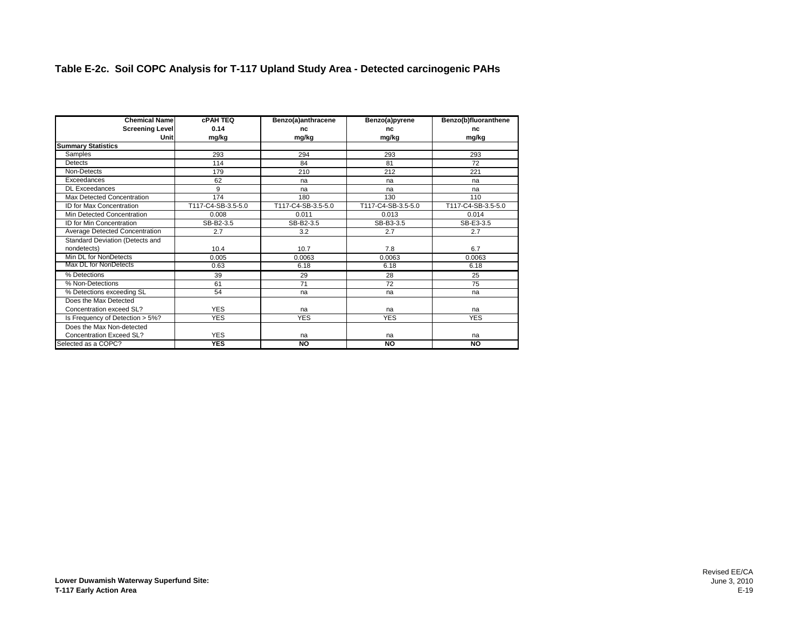#### **Table E-2c. Soil COPC Analysis for T-117 Upland Study Area - Detected carcinogenic PAHs**

| <b>Chemical Name</b>            | <b>CPAH TEQ</b>    | Benzo(a)anthracene | Benzo(a)pyrene     | Benzo(b)fluoranthene |
|---------------------------------|--------------------|--------------------|--------------------|----------------------|
| <b>Screening Level</b>          | 0.14               | nc                 | nc                 | nc                   |
| Unit                            | mg/kg              | mg/kg              | mg/kg              | mg/kg                |
| <b>Summary Statistics</b>       |                    |                    |                    |                      |
| Samples                         | 293                | 294                | 293                | 293                  |
| Detects                         | 114                | 84                 | 81                 | 72                   |
| Non-Detects                     | 179                | 210                | 212                | 221                  |
| Exceedances                     | 62                 | na                 | na                 | na                   |
| <b>DL Exceedances</b>           | 9                  | na                 | na                 | na                   |
| Max Detected Concentration      | 174                | 180                | 130                | 110                  |
| ID for Max Concentration        | T117-C4-SB-3.5-5.0 | T117-C4-SB-3.5-5.0 | T117-C4-SB-3.5-5.0 | T117-C4-SB-3.5-5.0   |
| Min Detected Concentration      | 0.008              | 0.011              | 0.013              | 0.014                |
| ID for Min Concentration        | SB-B2-3.5          | SB-B2-3.5          | SB-B3-3.5          | SB-E3-3.5            |
| Average Detected Concentration  | 2.7                | 3.2                | 2.7                | 2.7                  |
| Standard Deviation (Detects and |                    |                    |                    |                      |
| nondetects)                     | 10.4               | 10.7               | 7.8                | 6.7                  |
| Min DL for NonDetects           | 0.005              | 0.0063             | 0.0063             | 0.0063               |
| Max DL for NonDetects           | 0.63               | 6.18               | 6.18               | 6.18                 |
| % Detections                    | 39                 | 29                 | 28                 | 25                   |
| % Non-Detections                | 61                 | 71                 | 72                 | 75                   |
| % Detections exceeding SL       | 54                 | na                 | na                 | na                   |
| Does the Max Detected           |                    |                    |                    |                      |
| Concentration exceed SL?        | <b>YES</b>         | na                 | na                 | na                   |
| Is Frequency of Detection > 5%? | <b>YES</b>         | <b>YES</b>         | <b>YES</b>         | <b>YES</b>           |
| Does the Max Non-detected       |                    |                    |                    |                      |
| Concentration Exceed SL?        | <b>YES</b>         | na                 | na                 | na                   |
| Selected as a COPC?             | <b>YES</b>         | NO                 | <b>NO</b>          | <b>NO</b>            |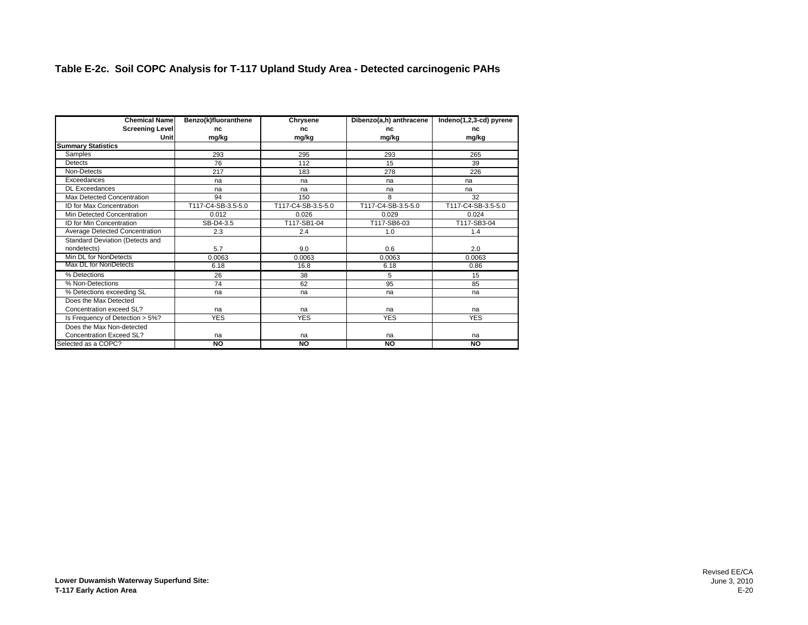#### **Table E-2c. Soil COPC Analysis for T-117 Upland Study Area - Detected carcinogenic PAHs**

| <b>Chemical Name</b>            | Benzo(k)fluoranthene | Chrysene           | Dibenzo(a,h) anthracene | Indeno(1,2,3-cd) pyrene |
|---------------------------------|----------------------|--------------------|-------------------------|-------------------------|
| <b>Screening Level</b>          | nc                   | nc                 | nc                      | nc                      |
| Unit                            | mg/kg                | mg/kg              | mg/kg                   | mg/kg                   |
| <b>Summary Statistics</b>       |                      |                    |                         |                         |
| Samples                         | 293                  | 295                | 293                     | 265                     |
| <b>Detects</b>                  | 76                   | 112                | 15                      | 39                      |
| Non-Detects                     | 217                  | 183                | 278                     | 226                     |
| Exceedances                     | na                   | na                 | na                      | na                      |
| <b>DL</b> Exceedances           | na                   | na                 | na                      | na                      |
| Max Detected Concentration      | 94                   | 150                | 8                       | 32                      |
| <b>ID for Max Concentration</b> | T117-C4-SB-3.5-5.0   | T117-C4-SB-3.5-5.0 | T117-C4-SB-3.5-5.0      | T117-C4-SB-3.5-5.0      |
| Min Detected Concentration      | 0.012                | 0.026              | 0.029                   | 0.024                   |
| ID for Min Concentration        | SB-D4-3.5            | T117-SB1-04        | T117-SB6-03             | T117-SB3-04             |
| Average Detected Concentration  | 2.3                  | 2.4                | 1.0                     | 1.4                     |
| Standard Deviation (Detects and |                      |                    |                         |                         |
| nondetects)                     | 5.7                  | 9.0                | 0.6                     | 2.0                     |
| Min DL for NonDetects           | 0.0063               | 0.0063             | 0.0063                  | 0.0063                  |
| Max DL for NonDetects           | 6.18                 | 16.8               | 6.18                    | 0.86                    |
| % Detections                    | 26                   | 38                 | 5                       | 15                      |
| % Non-Detections                | 74                   | 62                 | 95                      | 85                      |
| % Detections exceeding SL       | na                   | na                 | na                      | na                      |
| Does the Max Detected           |                      |                    |                         |                         |
| Concentration exceed SL?        | na                   | na                 | na                      | na                      |
| Is Frequency of Detection > 5%? | <b>YES</b>           | <b>YES</b>         | <b>YES</b>              | <b>YES</b>              |
| Does the Max Non-detected       |                      |                    |                         |                         |
| <b>Concentration Exceed SL?</b> | na                   | na                 | na                      | na                      |
| Selected as a COPC?             | NO                   | NO                 | NO                      | <b>NO</b>               |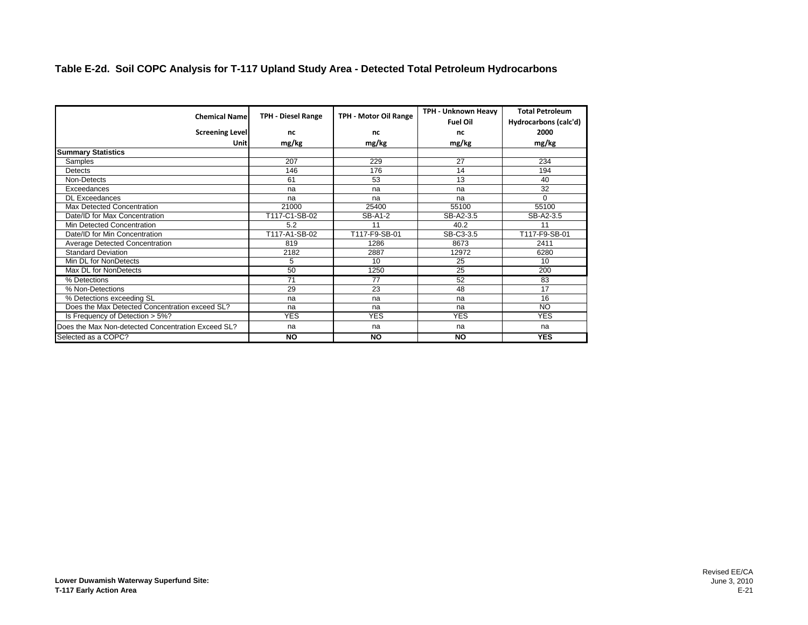#### **Table E-2d. Soil COPC Analysis for T-117 Upland Study Area - Detected Total Petroleum Hydrocarbons**

| <b>Chemical Name</b>                               | <b>TPH - Diesel Range</b> | TPH - Motor Oil Range | TPH - Unknown Heavy<br><b>Fuel Oil</b> | <b>Total Petroleum</b><br>Hydrocarbons (calc'd) |
|----------------------------------------------------|---------------------------|-----------------------|----------------------------------------|-------------------------------------------------|
| <b>Screening Level</b>                             | nc                        | nc                    | nc                                     | 2000                                            |
| Unit                                               | mg/kg                     | mg/kg                 | mg/kg                                  | mg/kg                                           |
| <b>Summary Statistics</b>                          |                           |                       |                                        |                                                 |
| <b>Samples</b>                                     | 207                       | 229                   | 27                                     | 234                                             |
| Detects                                            | 146                       | 176                   | 14                                     | 194                                             |
| Non-Detects                                        | 61                        | 53                    | 13                                     | 40                                              |
| Exceedances                                        | na                        | na                    | na                                     | 32                                              |
| <b>DL Exceedances</b>                              | na                        | na                    | na                                     | $\Omega$                                        |
| Max Detected Concentration                         | 21000                     | 25400                 | 55100                                  | 55100                                           |
| Date/ID for Max Concentration                      | T117-C1-SB-02             | SB-A1-2               | SB-A2-3.5                              | SB-A2-3.5                                       |
| Min Detected Concentration                         | 5.2                       | 11                    | 40.2                                   | 11                                              |
| Date/ID for Min Concentration                      | T117-A1-SB-02             | T117-F9-SB-01         | SB-C3-3.5                              | T117-F9-SB-01                                   |
| Average Detected Concentration                     | 819                       | 1286                  | 8673                                   | 2411                                            |
| <b>Standard Deviation</b>                          | 2182                      | 2887                  | 12972                                  | 6280                                            |
| Min DL for NonDetects                              | 5                         | 10                    | 25                                     | 10                                              |
| Max DL for NonDetects                              | 50                        | 1250                  | 25                                     | 200                                             |
| % Detections                                       | $\overline{71}$           | $\overline{77}$       | 52                                     | 83                                              |
| % Non-Detections                                   | 29                        | 23                    | 48                                     | 17                                              |
| % Detections exceeding SL                          | na                        | na                    | na                                     | 16                                              |
| Does the Max Detected Concentration exceed SL?     | na                        | na                    | na                                     | NO.                                             |
| Is Frequency of Detection > 5%?                    | <b>YES</b>                | <b>YES</b>            | <b>YES</b>                             | <b>YES</b>                                      |
| Does the Max Non-detected Concentration Exceed SL? | na                        | na                    | na                                     | na                                              |
| Selected as a COPC?                                | <b>NO</b>                 | <b>NO</b>             | <b>NO</b>                              | <b>YES</b>                                      |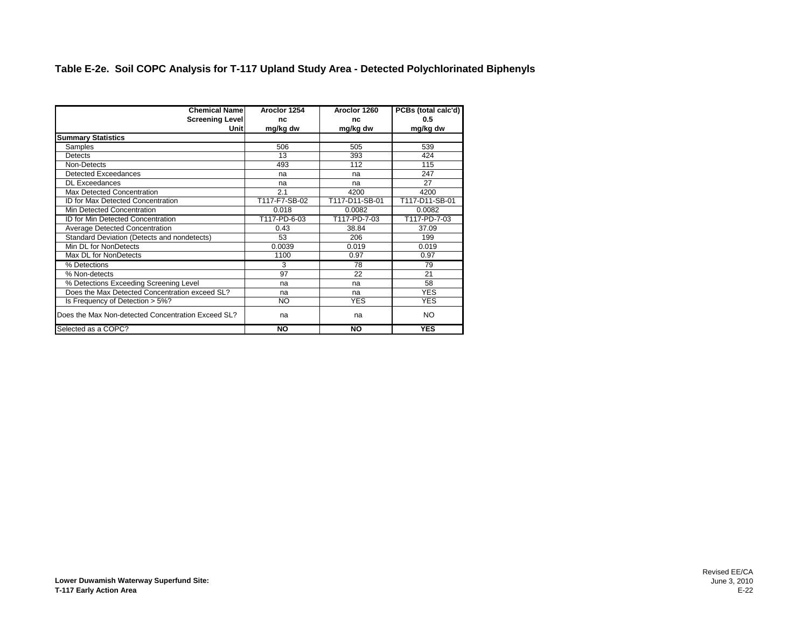#### **Table E-2e. Soil COPC Analysis for T-117 Upland Study Area - Detected Polychlorinated Biphenyls**

| <b>Chemical Namel</b>                              | Aroclor 1254  | Aroclor 1260   | PCBs (total calc'd) |
|----------------------------------------------------|---------------|----------------|---------------------|
| Screening Level                                    | nc            | nc             | 0.5                 |
| Unitl                                              | mg/kg dw      | mg/kg dw       | mg/kg dw            |
| <b>Summary Statistics</b>                          |               |                |                     |
| Samples                                            | 506           | 505            | 539                 |
| Detects                                            | 13            | 393            | 424                 |
| Non-Detects                                        | 493           | 112            | 115                 |
| <b>Detected Exceedances</b>                        | na            | na             | 247                 |
| <b>DL Exceedances</b>                              | na            | na             | 27                  |
| Max Detected Concentration                         | 2.1           | 4200           | 4200                |
| <b>ID for Max Detected Concentration</b>           | T117-F7-SB-02 | T117-D11-SB-01 | T117-D11-SB-01      |
| Min Detected Concentration                         | 0.018         | 0.0082         | 0.0082              |
| <b>ID for Min Detected Concentration</b>           | T117-PD-6-03  | T117-PD-7-03   | T117-PD-7-03        |
| Average Detected Concentration                     | 0.43          | 38.84          | 37.09               |
| Standard Deviation (Detects and nondetects)        | 53            | 206            | 199                 |
| Min DL for NonDetects                              | 0.0039        | 0.019          | 0.019               |
| Max DL for NonDetects                              | 1100          | 0.97           | 0.97                |
| % Detections                                       | 3             | 78             | 79                  |
| % Non-detects                                      | 97            | 22             | 21                  |
| % Detections Exceeding Screening Level             | na            | na             | 58                  |
| Does the Max Detected Concentration exceed SL?     | na            | na             | <b>YES</b>          |
| Is Frequency of Detection > 5%?                    | NO.           | <b>YES</b>     | <b>YES</b>          |
| Does the Max Non-detected Concentration Exceed SL? | na            | na             | <b>NO</b>           |
| Selected as a COPC?                                | <b>NO</b>     | <b>NO</b>      | <b>YES</b>          |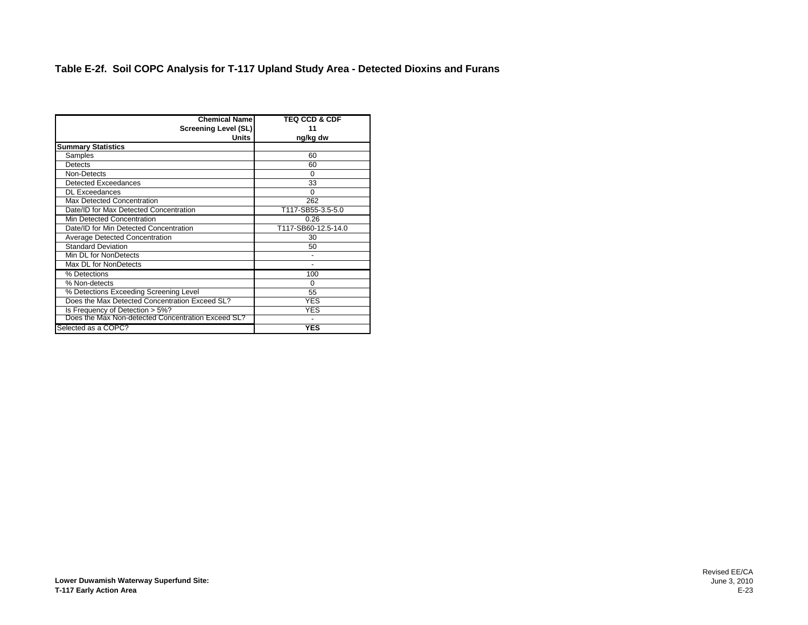#### **Table E-2f. Soil COPC Analysis for T-117 Upland Study Area - Detected Dioxins and Furans**

| <b>Chemical Name</b>                               | <b>TEQ CCD &amp; CDF</b> |
|----------------------------------------------------|--------------------------|
|                                                    |                          |
| <b>Screening Level (SL)</b>                        | 11                       |
| Units                                              | ng/kg dw                 |
| <b>Summary Statistics</b>                          |                          |
| Samples                                            | 60                       |
| Detects                                            | 60                       |
| Non-Detects                                        | 0                        |
| <b>Detected Exceedances</b>                        | 33                       |
| <b>DL Exceedances</b>                              | 0                        |
| Max Detected Concentration                         | 262                      |
| Date/ID for Max Detected Concentration             | T117-SB55-3.5-5.0        |
| Min Detected Concentration                         | 0.26                     |
| Date/ID for Min Detected Concentration             | T117-SB60-12.5-14.0      |
| <b>Average Detected Concentration</b>              | 30                       |
| <b>Standard Deviation</b>                          | 50                       |
| Min DL for NonDetects                              |                          |
| Max DL for NonDetects                              |                          |
| % Detections                                       | 100                      |
| % Non-detects                                      | 0                        |
| % Detections Exceeding Screening Level             | 55                       |
| Does the Max Detected Concentration Exceed SL?     | <b>YES</b>               |
| Is Frequency of Detection > 5%?                    | YES                      |
| Does the Max Non-detected Concentration Exceed SL? |                          |
| Selected as a COPC?                                | <b>YES</b>               |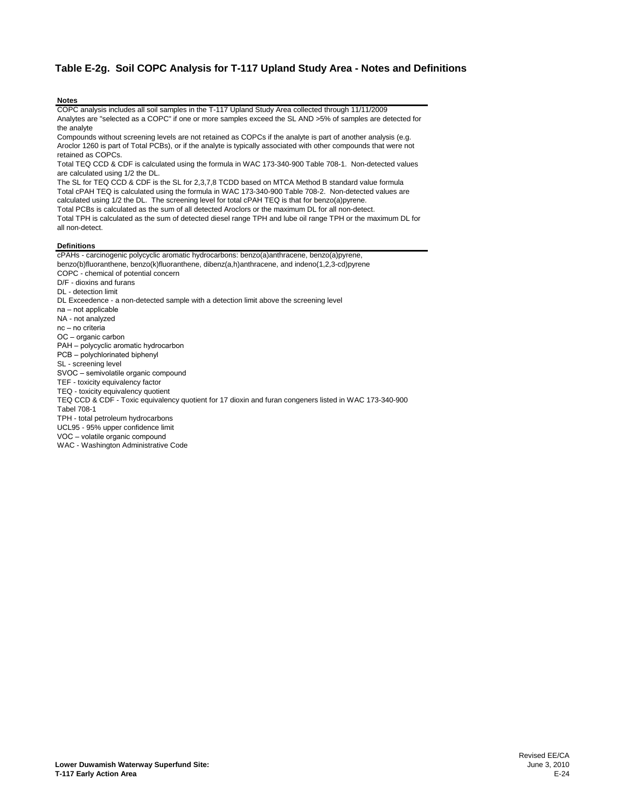#### **Table E-2g. Soil COPC Analysis for T-117 Upland Study Area - Notes and Definitions**

#### **Notes**

COPC analysis includes all soil samples in the T-117 Upland Study Area collected through 11/11/2009 Analytes are "selected as a COPC" if one or more samples exceed the SL AND >5% of samples are detected for the analyte

Compounds without screening levels are not retained as COPCs if the analyte is part of another analysis (e.g. Aroclor 1260 is part of Total PCBs), or if the analyte is typically associated with other compounds that were not retained as COPCs.

Total TEQ CCD & CDF is calculated using the formula in WAC 173-340-900 Table 708-1. Non-detected values are calculated using 1/2 the DL.

The SL for TEQ CCD & CDF is the SL for 2,3,7,8 TCDD based on MTCA Method B standard value formula Total cPAH TEQ is calculated using the formula in WAC 173-340-900 Table 708-2. Non-detected values are calculated using 1/2 the DL. The screening level for total cPAH TEQ is that for benzo(a)pyrene. Total PCBs is calculated as the sum of all detected Aroclors or the maximum DL for all non-detect. Total TPH is calculated as the sum of detected diesel range TPH and lube oil range TPH or the maximum DL for

all non-detect.

#### **Definitions**

cPAHs - carcinogenic polycyclic aromatic hydrocarbons: benzo(a)anthracene, benzo(a)pyrene, benzo(b)fluoranthene, benzo(k)fluoranthene, dibenz(a,h)anthracene, and indeno(1,2,3-cd)pyrene COPC - chemical of potential concern D/F - dioxins and furans DL - detection limit DL Exceedence - a non-detected sample with a detection limit above the screening level na – not applicable NA - not analyzed nc – no criteria OC – organic carbon PAH – polycyclic aromatic hydrocarbon PCB – polychlorinated biphenyl SL - screening level SVOC – semivolatile organic compound TEF - toxicity equivalency factor TEQ - toxicity equivalency quotient TEQ CCD & CDF - Toxic equivalency quotient for 17 dioxin and furan congeners listed in WAC 173-340-900 Tabel 708-1 TPH - total petroleum hydrocarbons UCL95 - 95% upper confidence limit VOC – volatile organic compound WAC - Washington Administrative Code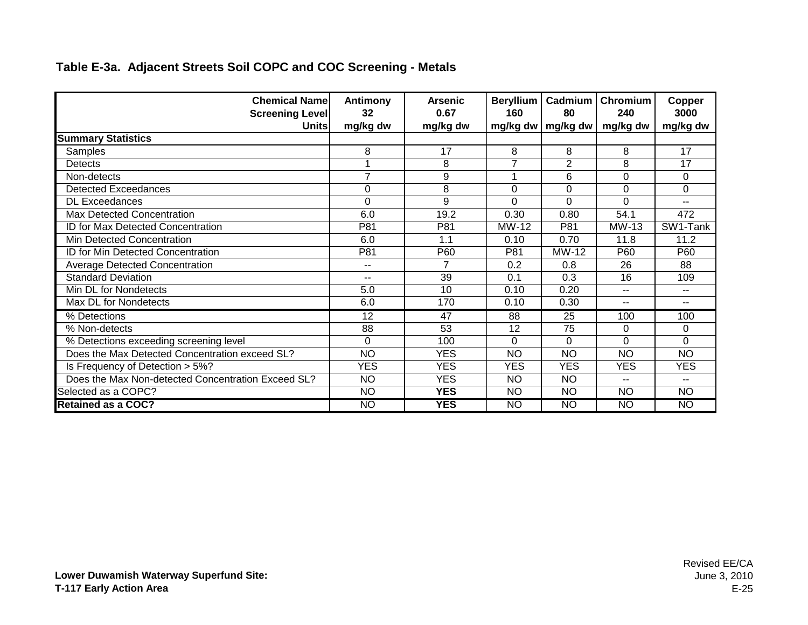| <b>Chemical Name</b><br><b>Screening Level</b><br><b>Units</b> | Antimony<br>32<br>mg/kg dw | <b>Arsenic</b><br>0.67<br>mg/kg dw | Beryllium<br>160 | Cadmium<br>80<br>mg/kg dw   mg/kg dw | <b>Chromium</b><br>240<br>mg/kg dw | Copper<br>3000<br>mg/kg dw |
|----------------------------------------------------------------|----------------------------|------------------------------------|------------------|--------------------------------------|------------------------------------|----------------------------|
| <b>Summary Statistics</b>                                      |                            |                                    |                  |                                      |                                    |                            |
| Samples                                                        | 8                          | 17                                 | 8                | 8                                    | 8                                  | 17                         |
| Detects                                                        |                            | 8                                  | 7                | $\overline{2}$                       | 8                                  | 17                         |
| Non-detects                                                    | $\overline{7}$             | 9                                  |                  | 6                                    | $\Omega$                           | $\Omega$                   |
| Detected Exceedances                                           | $\Omega$                   | 8                                  | $\overline{0}$   | 0                                    | $\Omega$                           | 0                          |
| <b>DL Exceedances</b>                                          | 0                          | $\overline{9}$                     | $\Omega$         | 0                                    | $\overline{0}$                     | $-1$                       |
| Max Detected Concentration                                     | 6.0                        | 19.2                               | 0.30             | 0.80                                 | 54.1                               | 472                        |
| <b>ID for Max Detected Concentration</b>                       | P81                        | P81                                | MW-12            | P81                                  | MW-13                              | SW1-Tank                   |
| Min Detected Concentration                                     | 6.0                        | 1.1                                | 0.10             | 0.70                                 | 11.8                               | 11.2                       |
| ID for Min Detected Concentration                              | P81                        | P60                                | P81              | <b>MW-12</b>                         | P60                                | P60                        |
| Average Detected Concentration                                 | $-$                        | 7                                  | 0.2              | 0.8                                  | 26                                 | 88                         |
| <b>Standard Deviation</b>                                      | $-$                        | 39                                 | 0.1              | 0.3                                  | 16                                 | 109                        |
| Min DL for Nondetects                                          | 5.0                        | 10                                 | 0.10             | 0.20                                 | $\overline{\phantom{a}}$           | $- -$                      |
| Max DL for Nondetects                                          | 6.0                        | 170                                | 0.10             | 0.30                                 | $\overline{\phantom{a}}$           | $\sim$ $\sim$              |
| % Detections                                                   | 12                         | 47                                 | 88               | $\overline{25}$                      | 100                                | 100                        |
| % Non-detects                                                  | 88                         | 53                                 | 12               | 75                                   | 0                                  | $\Omega$                   |
| % Detections exceeding screening level                         | $\mathbf 0$                | 100                                | $\Omega$         | 0                                    | $\Omega$                           | $\Omega$                   |
| Does the Max Detected Concentration exceed SL?                 | <b>NO</b>                  | <b>YES</b>                         | <b>NO</b>        | <b>NO</b>                            | <b>NO</b>                          | <b>NO</b>                  |
| Is Frequency of Detection > 5%?                                | <b>YES</b>                 | <b>YES</b>                         | <b>YES</b>       | <b>YES</b>                           | <b>YES</b>                         | <b>YES</b>                 |
| Does the Max Non-detected Concentration Exceed SL?             | <b>NO</b>                  | <b>YES</b>                         | <b>NO</b>        | <b>NO</b>                            | $-$                                | $- -$                      |
| Selected as a COPC?                                            | <b>NO</b>                  | <b>YES</b>                         | <b>NO</b>        | <b>NO</b>                            | <b>NO</b>                          | <b>NO</b>                  |
| <b>Retained as a COC?</b>                                      | $\overline{NO}$            | <b>YES</b>                         | NO               | <b>NO</b>                            | NO                                 | NO                         |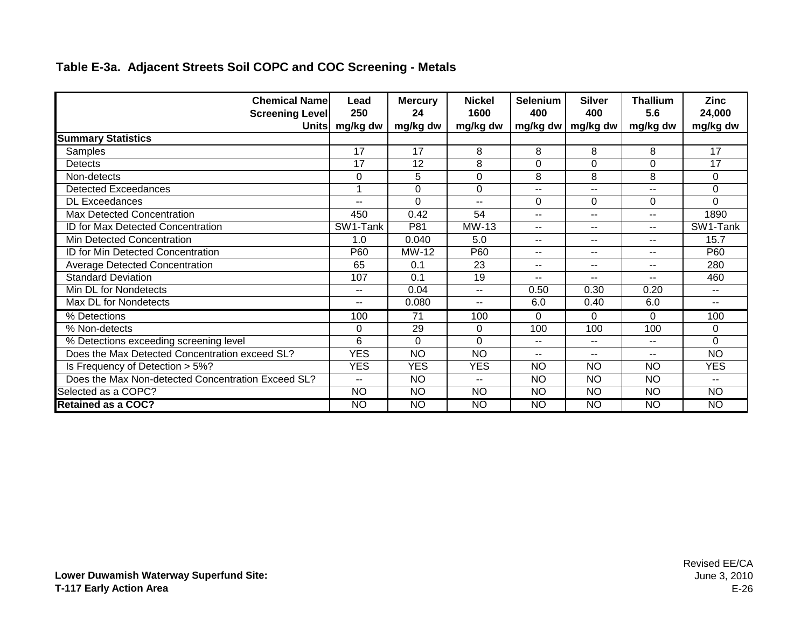| <b>Chemical Namel</b><br><b>Screening Level</b>    | Lead<br>250      | <b>Mercury</b><br>24 | <b>Nickel</b><br>1600 | <b>Selenium</b><br>400 | <b>Silver</b><br>400 | <b>Thallium</b><br>5.6   | <b>Zinc</b><br>24,000    |
|----------------------------------------------------|------------------|----------------------|-----------------------|------------------------|----------------------|--------------------------|--------------------------|
|                                                    | Units   mg/kg dw | mg/kg dw             | mg/kg dw              | $mg/kg$ dw             | mg/kg dw             | mg/kg dw                 | mg/kg dw                 |
| <b>Summary Statistics</b>                          |                  |                      |                       |                        |                      |                          |                          |
| Samples                                            | 17               | 17                   | 8                     | 8                      | 8                    | 8                        | 17                       |
| <b>Detects</b>                                     | 17               | 12                   | 8                     | $\Omega$               | $\Omega$             | $\Omega$                 | 17                       |
| Non-detects                                        | 0                | 5                    | $\overline{0}$        | 8                      | 8                    | 8                        | 0                        |
| <b>Detected Exceedances</b>                        |                  | $\Omega$             | $\Omega$              | $-$                    | $-$                  | $\overline{\phantom{a}}$ | $\Omega$                 |
| <b>DL Exceedances</b>                              |                  | 0                    |                       | $\Omega$               | $\Omega$             | $\Omega$                 | $\mathbf 0$              |
| <b>Max Detected Concentration</b>                  | 450              | 0.42                 | 54                    | $-$                    | $-$                  | $-$                      | 1890                     |
| ID for Max Detected Concentration                  | SW1-Tank         | P81                  | MW-13                 | $-$                    | $- -$                | $-$                      | SW1-Tank                 |
| Min Detected Concentration                         | 1.0              | 0.040                | 5.0                   | $-$                    | $- -$                | $\overline{a}$           | 15.7                     |
| ID for Min Detected Concentration                  | P60              | MW-12                | P60                   | $\sim$ $\sim$          | $\sim$ $\sim$        | $\sim$                   | P60                      |
| <b>Average Detected Concentration</b>              | 65               | 0.1                  | 23                    | $- -$                  | $- -$                | $\sim$                   | 280                      |
| <b>Standard Deviation</b>                          | 107              | 0.1                  | 19                    | $-$                    | $-$                  | $-$                      | 460                      |
| Min DL for Nondetects                              | $-$              | 0.04                 | $-1$                  | 0.50                   | 0.30                 | 0.20                     | $\overline{\phantom{a}}$ |
| Max DL for Nondetects                              | $-$              | 0.080                | $- -$                 | 6.0                    | 0.40                 | 6.0                      | $\frac{1}{2}$            |
| % Detections                                       | 100              | 71                   | 100                   | 0                      | 0                    | $\Omega$                 | 100                      |
| % Non-detects                                      | 0                | 29                   | 0                     | 100                    | 100                  | 100                      | $\Omega$                 |
| % Detections exceeding screening level             | 6                | $\mathbf 0$          | $\Omega$              | $\sim$ $\sim$          | $\sim$ $\sim$        | $\sim$                   | $\mathbf 0$              |
| Does the Max Detected Concentration exceed SL?     | <b>YES</b>       | <b>NO</b>            | <b>NO</b>             | $- -$                  | $-$                  | $-$                      | <b>NO</b>                |
| Is Frequency of Detection > 5%?                    | <b>YES</b>       | <b>YES</b>           | <b>YES</b>            | <b>NO</b>              | <b>NO</b>            | <b>NO</b>                | <b>YES</b>               |
| Does the Max Non-detected Concentration Exceed SL? | $-$              | <b>NO</b>            |                       | <b>NO</b>              | <b>NO</b>            | <b>NO</b>                |                          |
| Selected as a COPC?                                | <b>NO</b>        | <b>NO</b>            | <b>NO</b>             | <b>NO</b>              | <b>NO</b>            | <b>NO</b>                | <b>NO</b>                |
| <b>Retained as a COC?</b>                          | <b>NO</b>        | $\overline{NO}$      | NO                    | NO                     | NO <sub>1</sub>      | $\overline{NO}$          | $\overline{NO}$          |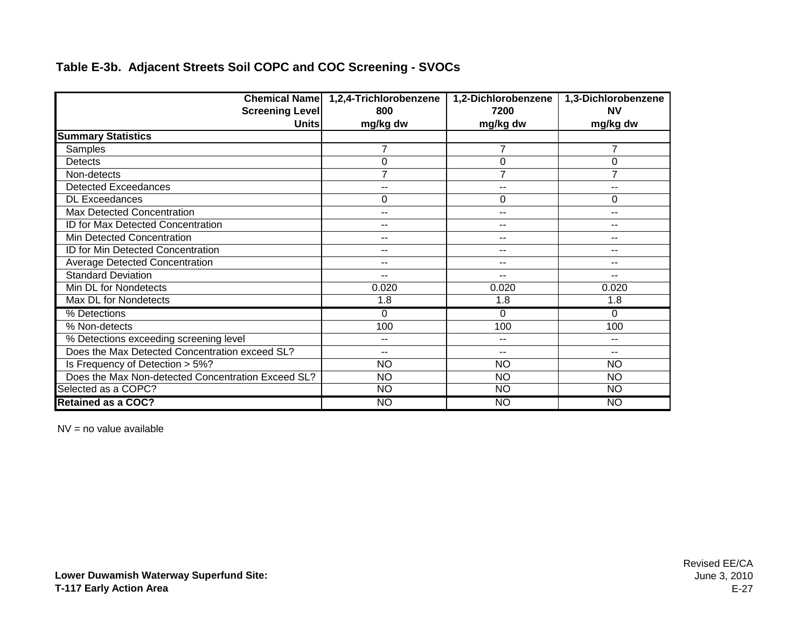|                                                    | Chemical Name   1,2,4-Trichlorobenzene | 1,2-Dichlorobenzene | 1,3-Dichlorobenzene      |
|----------------------------------------------------|----------------------------------------|---------------------|--------------------------|
| <b>Screening Level</b>                             | 800                                    | 7200                | <b>NV</b>                |
| <b>Units</b>                                       | mg/kg dw                               | mg/kg dw            | mg/kg dw                 |
| <b>Summary Statistics</b>                          |                                        |                     |                          |
| Samples                                            | $\overline{7}$                         | $\overline{7}$      | $\overline{7}$           |
| Detects                                            | 0                                      | 0                   | $\mathbf 0$              |
| Non-detects                                        | $\overline{7}$                         | $\overline{7}$      | $\overline{7}$           |
| <b>Detected Exceedances</b>                        | --                                     | $-$                 | --                       |
| <b>DL Exceedances</b>                              | 0                                      | 0                   | 0                        |
| Max Detected Concentration                         | --                                     | $-$                 | $-$                      |
| ID for Max Detected Concentration                  | --                                     | --                  | --                       |
| Min Detected Concentration                         | --                                     | --                  | $-$                      |
| ID for Min Detected Concentration                  | --                                     | --                  | $\overline{\phantom{a}}$ |
| Average Detected Concentration                     | --                                     | $-$                 | --                       |
| <b>Standard Deviation</b>                          | $\overline{\phantom{a}}$               | $-$                 | $-$                      |
| Min DL for Nondetects                              | 0.020                                  | 0.020               | 0.020                    |
| Max DL for Nondetects                              | 1.8                                    | 1.8                 | 1.8                      |
| % Detections                                       | 0                                      | $\Omega$            | $\Omega$                 |
| % Non-detects                                      | 100                                    | 100                 | 100                      |
| % Detections exceeding screening level             | --                                     | --                  | --                       |
| Does the Max Detected Concentration exceed SL?     | --                                     | $-$                 | --                       |
| Is Frequency of Detection > 5%?                    | <b>NO</b>                              | <b>NO</b>           | <b>NO</b>                |
| Does the Max Non-detected Concentration Exceed SL? | <b>NO</b>                              | <b>NO</b>           | <b>NO</b>                |
| Selected as a COPC?                                | <b>NO</b>                              | <b>NO</b>           | <b>NO</b>                |
| <b>Retained as a COC?</b>                          | NO                                     | <b>NO</b>           | <b>NO</b>                |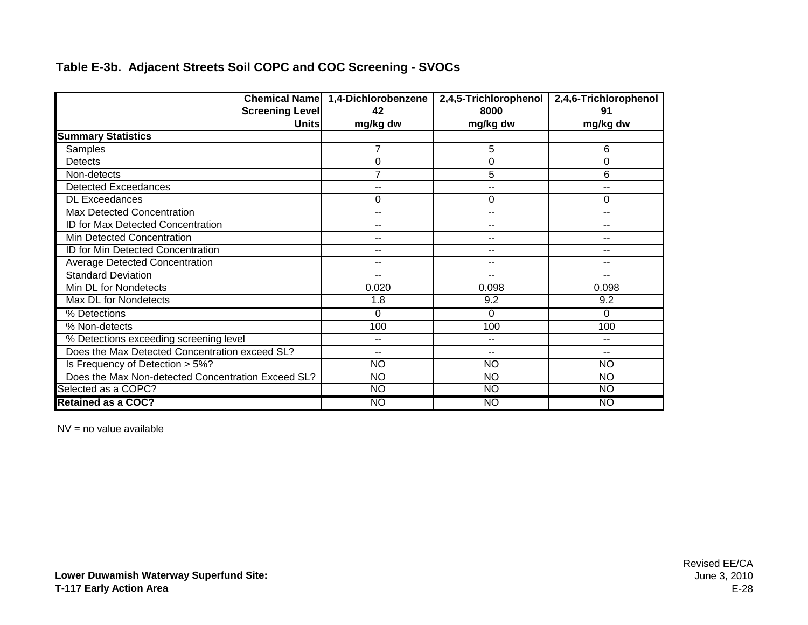|                                                    | Chemical Name 1,4-Dichlorobenzene | 2,4,5-Trichlorophenol | 2,4,6-Trichlorophenol |
|----------------------------------------------------|-----------------------------------|-----------------------|-----------------------|
| <b>Screening Level</b>                             | 42                                | 8000                  | 91                    |
| <b>Units</b>                                       | mg/kg dw                          | mg/kg dw              | mg/kg dw              |
| <b>Summary Statistics</b>                          |                                   |                       |                       |
| Samples                                            | 7                                 | 5                     | 6                     |
| Detects                                            | 0                                 | 0                     | 0                     |
| Non-detects                                        | $\overline{7}$                    | 5                     | 6                     |
| <b>Detected Exceedances</b>                        | --                                | $-$                   | --                    |
| <b>DL Exceedances</b>                              | 0                                 | 0                     | 0                     |
| Max Detected Concentration                         | $-$                               | $-$                   | --                    |
| ID for Max Detected Concentration                  | $- -$                             | --                    | --                    |
| Min Detected Concentration                         | --                                | --                    | --                    |
| ID for Min Detected Concentration                  | --                                | --                    | --                    |
| Average Detected Concentration                     | $-$                               | $\sim$                | --                    |
| <b>Standard Deviation</b>                          | $-$                               | $-$                   | --                    |
| Min DL for Nondetects                              | 0.020                             | 0.098                 | 0.098                 |
| Max DL for Nondetects                              | 1.8                               | 9.2                   | 9.2                   |
| % Detections                                       | 0                                 | $\Omega$              | 0                     |
| % Non-detects                                      | 100                               | 100                   | 100                   |
| % Detections exceeding screening level             | $- -$                             | $-$                   | --                    |
| Does the Max Detected Concentration exceed SL?     | $- -$                             | $-$                   | --                    |
| Is Frequency of Detection > 5%?                    | <b>NO</b>                         | <b>NO</b>             | <b>NO</b>             |
| Does the Max Non-detected Concentration Exceed SL? | <b>NO</b>                         | <b>NO</b>             | <b>NO</b>             |
| Selected as a COPC?                                | <b>NO</b>                         | <b>NO</b>             | <b>NO</b>             |
| <b>Retained as a COC?</b>                          | NO                                | <b>NO</b>             | <b>NO</b>             |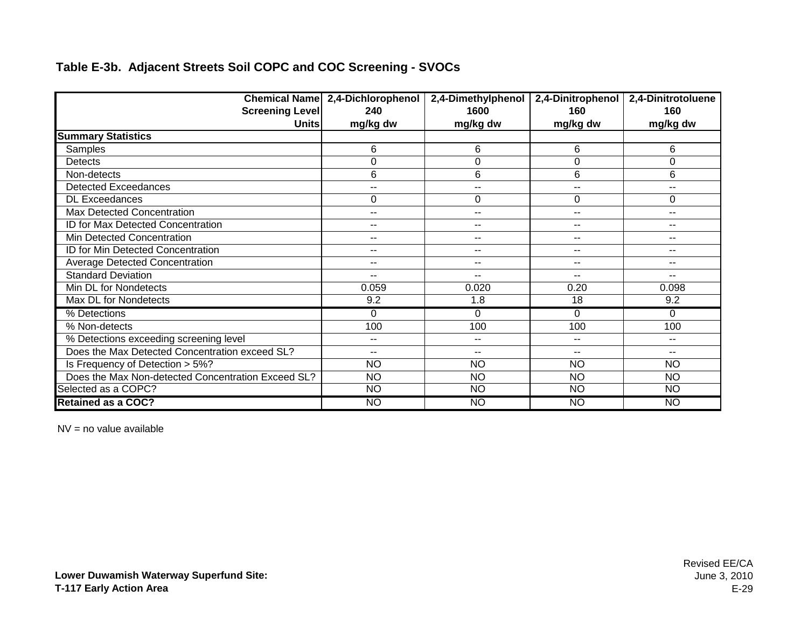|                                                    | Chemical Name 2,4-Dichlorophenol | 2,4-Dimethylphenol       | 2,4-Dinitrophenol        | 2,4-Dinitrotoluene |
|----------------------------------------------------|----------------------------------|--------------------------|--------------------------|--------------------|
| <b>Screening Level</b>                             | 240                              | 1600                     | 160                      | 160                |
| <b>Units</b>                                       | mg/kg dw                         | mg/kg dw                 | mg/kg dw                 | mg/kg dw           |
| <b>Summary Statistics</b>                          |                                  |                          |                          |                    |
| Samples                                            | 6                                | 6                        | 6                        | 6                  |
| <b>Detects</b>                                     | 0                                | 0                        | 0                        | 0                  |
| Non-detects                                        | 6                                | 6                        | 6                        | 6                  |
| <b>Detected Exceedances</b>                        | --                               | --                       | $\overline{\phantom{a}}$ | --                 |
| <b>DL Exceedances</b>                              | 0                                | 0                        | 0                        | 0                  |
| Max Detected Concentration                         | --                               | $-$                      | $-$                      | --                 |
| ID for Max Detected Concentration                  | --                               | $-$                      | $-$                      | --                 |
| Min Detected Concentration                         | --                               | $-$                      | $-$                      | --                 |
| ID for Min Detected Concentration                  | ۰.                               | --                       | $\sim$                   | --                 |
| <b>Average Detected Concentration</b>              | --                               | $\overline{\phantom{a}}$ | $\overline{\phantom{a}}$ | $-1$               |
| <b>Standard Deviation</b>                          | --                               | $-$                      | $-$                      | $-$                |
| Min DL for Nondetects                              | 0.059                            | 0.020                    | 0.20                     | 0.098              |
| Max DL for Nondetects                              | 9.2                              | 1.8                      | 18                       | 9.2                |
| % Detections                                       | 0                                | 0                        | $\Omega$                 | 0                  |
| % Non-detects                                      | 100                              | 100                      | 100                      | 100                |
| % Detections exceeding screening level             | --                               | --                       | $\sim$                   | $-1$               |
| Does the Max Detected Concentration exceed SL?     | --                               | $-$                      | $-$                      | --                 |
| Is Frequency of Detection > 5%?                    | <b>NO</b>                        | <b>NO</b>                | <b>NO</b>                | <b>NO</b>          |
| Does the Max Non-detected Concentration Exceed SL? | <b>NO</b>                        | <b>NO</b>                | <b>NO</b>                | <b>NO</b>          |
| Selected as a COPC?                                | <b>NO</b>                        | <b>NO</b>                | <b>NO</b>                | <b>NO</b>          |
| <b>Retained as a COC?</b>                          | NO                               | <b>NO</b>                | <b>NO</b>                | <b>NO</b>          |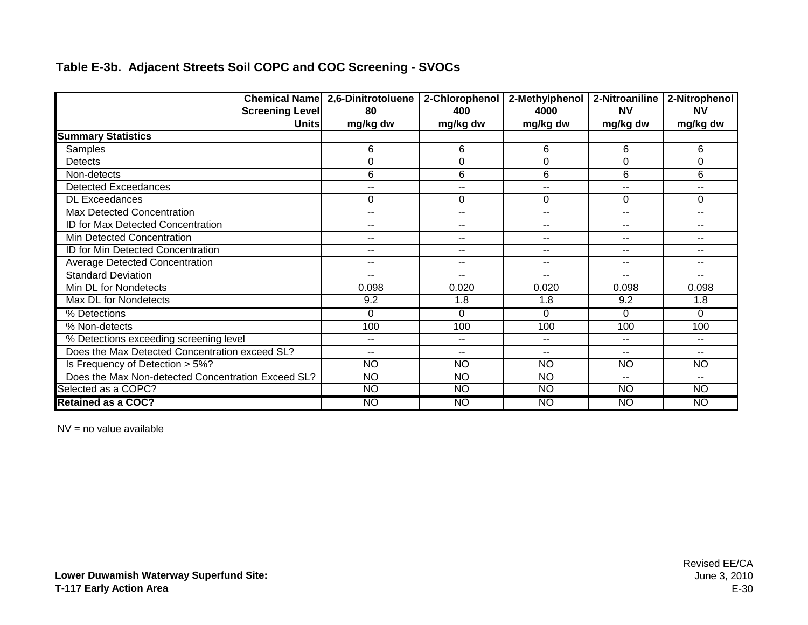|                                                    | <b>Chemical Name 2,6-Dinitrotoluene</b> | 2-Chlorophenol           | 2-Methylphenol | 2-Nitroaniline | 2-Nitrophenol            |
|----------------------------------------------------|-----------------------------------------|--------------------------|----------------|----------------|--------------------------|
| <b>Screening Level</b>                             | 80                                      | 400                      | 4000           | <b>NV</b>      | <b>NV</b>                |
| <b>Units</b>                                       | mg/kg dw                                | mg/kg dw                 | mg/kg dw       | mg/kg dw       | mg/kg dw                 |
| <b>Summary Statistics</b>                          |                                         |                          |                |                |                          |
| Samples                                            | 6                                       | 6                        | 6              | 6              | 6                        |
| <b>Detects</b>                                     | 0                                       | 0                        | $\Omega$       | 0              | $\Omega$                 |
| Non-detects                                        | 6                                       | 6                        | 6              | 6              | 6                        |
| <b>Detected Exceedances</b>                        | $\overline{\phantom{a}}$                | --                       | --             | $\sim$ $\sim$  | $-$                      |
| <b>DL Exceedances</b>                              | 0                                       | 0                        | $\Omega$       | 0              | 0                        |
| <b>Max Detected Concentration</b>                  | $\overline{\phantom{a}}$                | --                       | $- -$          | $-$            | $-$                      |
| ID for Max Detected Concentration                  | $\sim$ $\sim$                           | --                       | $- -$          | $- -$          | $-$                      |
| Min Detected Concentration                         | $\sim$ $\sim$                           | $-$                      | --             | $\sim$ $\sim$  | $-$                      |
| ID for Min Detected Concentration                  | $\overline{\phantom{a}}$                | $-$                      | $-$            | $- -$          | $\overline{\phantom{m}}$ |
| <b>Average Detected Concentration</b>              | $\qquad \qquad -$                       | $\sim$ $\sim$            | $- -$          | $\sim$ $\sim$  | $\sim$ $\sim$            |
| <b>Standard Deviation</b>                          | $\qquad \qquad -$                       | --                       | $- -$          | --             | $\sim$ $\sim$            |
| Min DL for Nondetects                              | 0.098                                   | 0.020                    | 0.020          | 0.098          | 0.098                    |
| Max DL for Nondetects                              | 9.2                                     | 1.8                      | 1.8            | 9.2            | 1.8                      |
| % Detections                                       | $\Omega$                                | $\Omega$                 | $\Omega$       | $\Omega$       | $\Omega$                 |
| % Non-detects                                      | 100                                     | 100                      | 100            | 100            | 100                      |
| % Detections exceeding screening level             | $\overline{\phantom{a}}$                | $\overline{\phantom{a}}$ | --             | $-$            | $-$                      |
| Does the Max Detected Concentration exceed SL?     | $\overline{\phantom{a}}$                | --                       |                | --             | $-$                      |
| Is Frequency of Detection > 5%?                    | <b>NO</b>                               | <b>NO</b>                | <b>NO</b>      | <b>NO</b>      | <b>NO</b>                |
| Does the Max Non-detected Concentration Exceed SL? | <b>NO</b>                               | <b>NO</b>                | <b>NO</b>      | $-$            | $-$                      |
| Selected as a COPC?                                | <b>NO</b>                               | <b>NO</b>                | <b>NO</b>      | <b>NO</b>      | <b>NO</b>                |
| <b>Retained as a COC?</b>                          | <b>NO</b>                               | <b>NO</b>                | <b>NO</b>      | NO             | <b>NO</b>                |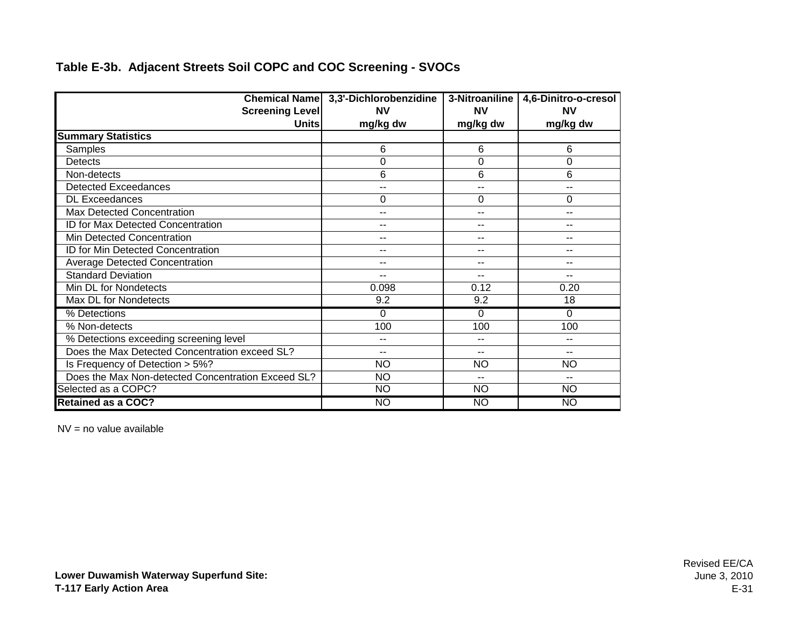|                                                    | Chemical Name 3,3'-Dichlorobenzidine | 3-Nitroaniline | 4,6-Dinitro-o-cresol |
|----------------------------------------------------|--------------------------------------|----------------|----------------------|
| <b>Screening Level</b>                             | <b>NV</b>                            | <b>NV</b>      | <b>NV</b>            |
| <b>Units</b>                                       | mg/kg dw                             | mg/kg dw       | mg/kg dw             |
| <b>Summary Statistics</b>                          |                                      |                |                      |
| Samples                                            | 6                                    | 6              | 6                    |
| <b>Detects</b>                                     | 0                                    | $\Omega$       | 0                    |
| Non-detects                                        | 6                                    | 6              | 6                    |
| <b>Detected Exceedances</b>                        | --                                   | --             | --                   |
| <b>DL Exceedances</b>                              | 0                                    | $\Omega$       | 0                    |
| Max Detected Concentration                         | --                                   | --             | --                   |
| ID for Max Detected Concentration                  | --                                   | --             | --                   |
| Min Detected Concentration                         | $-$                                  | $-$            | --                   |
| ID for Min Detected Concentration                  | --                                   | --             | --                   |
| <b>Average Detected Concentration</b>              | --                                   | --             | --                   |
| <b>Standard Deviation</b>                          | --                                   | --             | --                   |
| Min DL for Nondetects                              | 0.098                                | 0.12           | 0.20                 |
| Max DL for Nondetects                              | 9.2                                  | 9.2            | 18                   |
| % Detections                                       | 0                                    | $\Omega$       | 0                    |
| % Non-detects                                      | 100                                  | 100            | 100                  |
| % Detections exceeding screening level             | --                                   | --             | --                   |
| Does the Max Detected Concentration exceed SL?     | --                                   | --             | --                   |
| Is Frequency of Detection > 5%?                    | <b>NO</b>                            | <b>NO</b>      | <b>NO</b>            |
| Does the Max Non-detected Concentration Exceed SL? | <b>NO</b>                            | --             | --                   |
| Selected as a COPC?                                | <b>NO</b>                            | <b>NO</b>      | <b>NO</b>            |
| <b>Retained as a COC?</b>                          | <b>NO</b>                            | NO             | NO                   |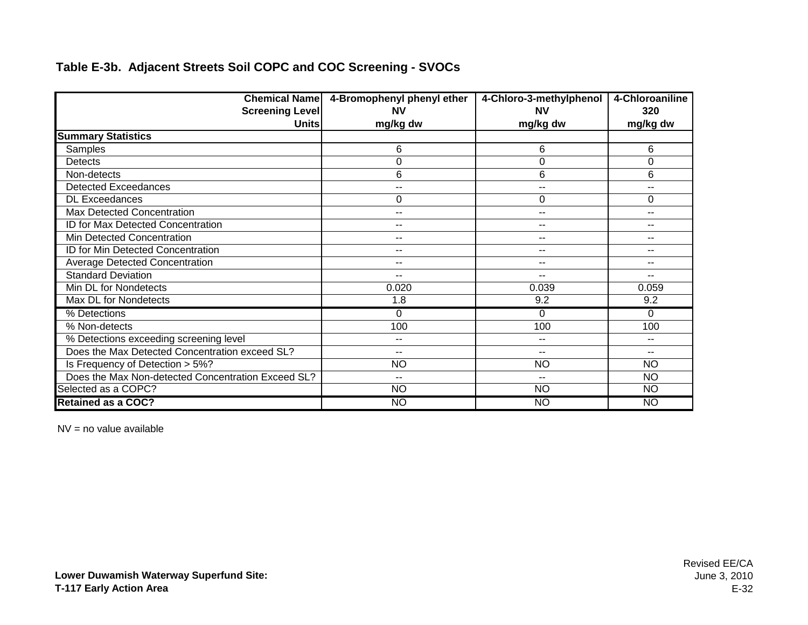| <b>Chemical Name</b>                               | 4-Bromophenyl phenyl ether | 4-Chloro-3-methylphenol | 4-Chloroaniline |
|----------------------------------------------------|----------------------------|-------------------------|-----------------|
| <b>Screening Level</b>                             | <b>NV</b>                  | <b>NV</b>               | 320             |
| <b>Units</b>                                       | mg/kg dw                   | mg/kg dw                | mg/kg dw        |
| <b>Summary Statistics</b>                          |                            |                         |                 |
| Samples                                            | 6                          | 6                       | 6               |
| Detects                                            | $\mathbf 0$                | 0                       | 0               |
| Non-detects                                        | 6                          | 6                       | 6               |
| <b>Detected Exceedances</b>                        | $\sim$ $\sim$              | --                      | --              |
| <b>DL Exceedances</b>                              | 0                          | 0                       | $\Omega$        |
| Max Detected Concentration                         | $\sim$ $\sim$              | $-$                     |                 |
| ID for Max Detected Concentration                  | $\overline{\phantom{m}}$   | --                      |                 |
| Min Detected Concentration                         | $\sim$ $\sim$              | --                      | --              |
| ID for Min Detected Concentration                  | $\overline{\phantom{a}}$   | --                      | --              |
| <b>Average Detected Concentration</b>              | $\overline{\phantom{m}}$   | $- -$                   | --              |
| <b>Standard Deviation</b>                          | $\overline{\phantom{a}}$   | $-$                     | --              |
| Min DL for Nondetects                              | 0.020                      | 0.039                   | 0.059           |
| Max DL for Nondetects                              | 1.8                        | 9.2                     | 9.2             |
| % Detections                                       | $\Omega$                   | 0                       | $\Omega$        |
| % Non-detects                                      | 100                        | 100                     | 100             |
| % Detections exceeding screening level             | $- -$                      | $- -$                   |                 |
| Does the Max Detected Concentration exceed SL?     | $\sim$ $\sim$              | --                      | --              |
| Is Frequency of Detection > 5%?                    | <b>NO</b>                  | <b>NO</b>               | <b>NO</b>       |
| Does the Max Non-detected Concentration Exceed SL? | $\overline{\phantom{a}}$   | --                      | <b>NO</b>       |
| Selected as a COPC?                                | <b>NO</b>                  | <b>NO</b>               | <b>NO</b>       |
| <b>Retained as a COC?</b>                          | <b>NO</b>                  | <b>NO</b>               | NO              |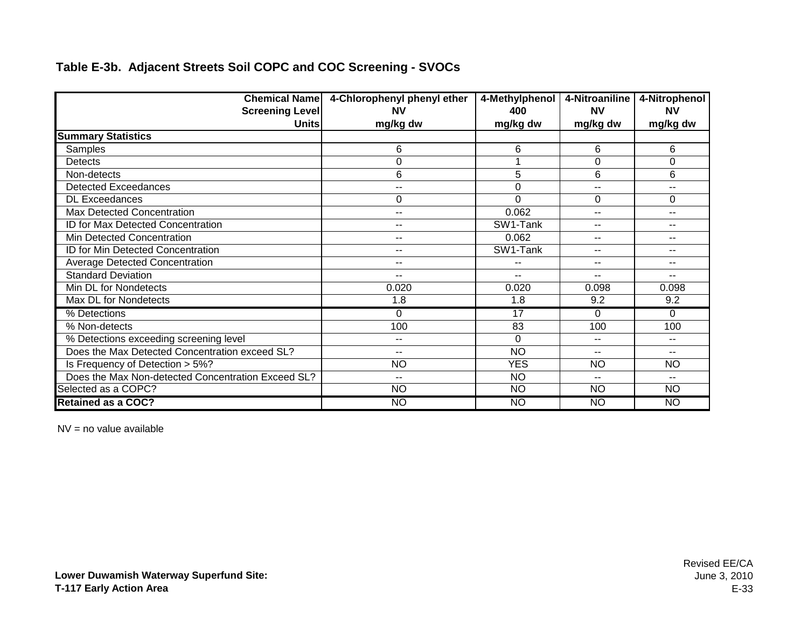| <b>Chemical Name</b>                               | 4-Chlorophenyl phenyl ether | 4-Methylphenol | 4-Nitroaniline | 4-Nitrophenol            |
|----------------------------------------------------|-----------------------------|----------------|----------------|--------------------------|
| <b>Screening Level</b>                             | <b>NV</b>                   | 400            | <b>NV</b>      | <b>NV</b>                |
| <b>Units</b>                                       | mg/kg dw                    | mg/kg dw       | mg/kg dw       | mg/kg dw                 |
| <b>Summary Statistics</b>                          |                             |                |                |                          |
| Samples                                            | 6                           | 6              | 6              | 6                        |
| <b>Detects</b>                                     | 0                           |                | 0              | $\mathbf 0$              |
| Non-detects                                        | 6                           | 5              | 6              | 6                        |
| <b>Detected Exceedances</b>                        | --                          | 0              | $-$            | $-$                      |
| <b>DL Exceedances</b>                              | 0                           | $\Omega$       | $\Omega$       | 0                        |
| Max Detected Concentration                         | $- -$                       | 0.062          |                | $\overline{a}$           |
| ID for Max Detected Concentration                  | $\sim$ $\sim$               | SW1-Tank       | --             | $\overline{\phantom{a}}$ |
| Min Detected Concentration                         | $\sim$ $\sim$               | 0.062          | $- -$          | $\overline{\phantom{a}}$ |
| ID for Min Detected Concentration                  | $\sim$ $\sim$               | SW1-Tank       | $- -$          | $- -$                    |
| <b>Average Detected Concentration</b>              | $\overline{\phantom{a}}$    |                | $-$            | $\sim$ $\sim$            |
| <b>Standard Deviation</b>                          | $\sim$ $\sim$               | $-$            | $-$            | $-$                      |
| Min DL for Nondetects                              | 0.020                       | 0.020          | 0.098          | 0.098                    |
| Max DL for Nondetects                              | 1.8                         | 1.8            | 9.2            | 9.2                      |
| % Detections                                       | $\Omega$                    | 17             | 0              | $\Omega$                 |
| % Non-detects                                      | 100                         | 83             | 100            | 100                      |
| % Detections exceeding screening level             | $- -$                       | $\Omega$       |                | $-$                      |
| Does the Max Detected Concentration exceed SL?     | $-$                         | <b>NO</b>      | --             | --                       |
| Is Frequency of Detection > 5%?                    | <b>NO</b>                   | <b>YES</b>     | <b>NO</b>      | <b>NO</b>                |
| Does the Max Non-detected Concentration Exceed SL? | $-$                         | <b>NO</b>      | $-$            | $-1$                     |
| Selected as a COPC?                                | <b>NO</b>                   | <b>NO</b>      | <b>NO</b>      | <b>NO</b>                |
| <b>Retained as a COC?</b>                          | <b>NO</b>                   | <b>NO</b>      | <b>NO</b>      | <b>NO</b>                |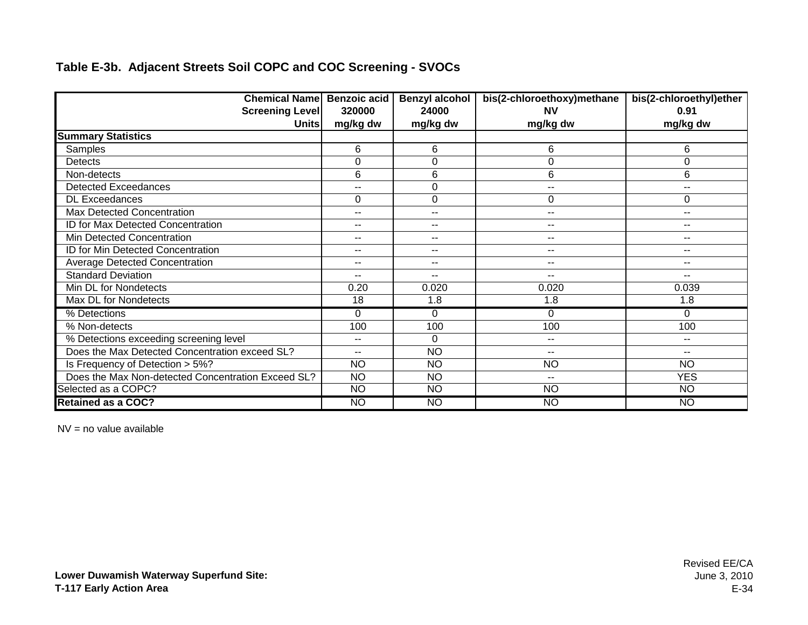| <b>Chemical Name Benzoic acid</b>                  |                          | <b>Benzyl alcohol</b>    | bis(2-chloroethoxy)methane | bis(2-chloroethyl)ether |
|----------------------------------------------------|--------------------------|--------------------------|----------------------------|-------------------------|
| <b>Screening Level</b>                             | 320000                   | 24000                    | ΝV                         | 0.91                    |
| <b>Units</b>                                       | mg/kg dw                 | mg/kg dw                 | mg/kg dw                   | mg/kg dw                |
| <b>Summary Statistics</b>                          |                          |                          |                            |                         |
| Samples                                            | 6                        | 6                        | 6                          | 6                       |
| Detects                                            | 0                        | $\Omega$                 | 0                          | 0                       |
| Non-detects                                        | 6                        | 6                        | 6                          | 6                       |
| <b>Detected Exceedances</b>                        | $-$                      | 0                        | $-$                        | --                      |
| <b>DL Exceedances</b>                              | 0                        | 0                        | 0                          | 0                       |
| Max Detected Concentration                         | $\overline{\phantom{a}}$ | $-$                      | $\overline{\phantom{a}}$   | --                      |
| ID for Max Detected Concentration                  | $\overline{\phantom{a}}$ | $\frac{1}{2}$            | $-$                        | --                      |
| Min Detected Concentration                         | $\overline{\phantom{a}}$ | $- -$                    | $-$                        | $- -$                   |
| ID for Min Detected Concentration                  | $\sim$ $\sim$            | $\overline{\phantom{a}}$ | $\sim$ $\sim$              | --                      |
| <b>Average Detected Concentration</b>              | $\sim$ $\sim$            | $\overline{\phantom{a}}$ | $\sim$ $\sim$              | $\qquad \qquad -$       |
| <b>Standard Deviation</b>                          | $\sim$ $\sim$            | $\overline{\phantom{a}}$ | $\overline{\phantom{a}}$   | $\sim$ $\sim$           |
| Min DL for Nondetects                              | 0.20                     | 0.020                    | 0.020                      | 0.039                   |
| Max DL for Nondetects                              | 18                       | 1.8                      | 1.8                        | 1.8                     |
| % Detections                                       | 0                        | 0                        | 0                          | 0                       |
| % Non-detects                                      | 100                      | 100                      | 100                        | 100                     |
| % Detections exceeding screening level             | $\sim$ $\sim$            | $\Omega$                 | $\sim$ $\sim$              | $\sim$ $\sim$           |
| Does the Max Detected Concentration exceed SL?     | $- -$                    | <b>NO</b>                | $\sim$ $\sim$              | $\qquad \qquad -$       |
| Is Frequency of Detection > 5%?                    | <b>NO</b>                | <b>NO</b>                | <b>NO</b>                  | <b>NO</b>               |
| Does the Max Non-detected Concentration Exceed SL? | <b>NO</b>                | <b>NO</b>                | $\sim$ $-$                 | <b>YES</b>              |
| Selected as a COPC?                                | N <sub>O</sub>           | N <sub>O</sub>           | N <sub>O</sub>             | $\overline{NO}$         |
| <b>Retained as a COC?</b>                          | <b>NO</b>                | <b>NO</b>                | <b>NO</b>                  | <b>NO</b>               |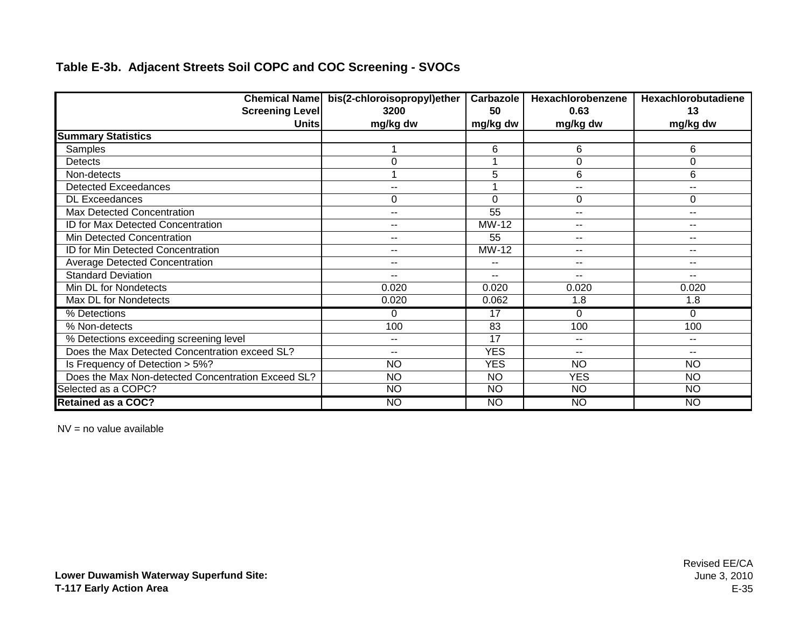|                                                    | Chemical Name bis(2-chloroisopropyl)ether | Carbazole       | Hexachlorobenzene        | Hexachlorobutadiene      |
|----------------------------------------------------|-------------------------------------------|-----------------|--------------------------|--------------------------|
| <b>Screening Level</b>                             | 3200                                      | 50              | 0.63                     | 13                       |
| <b>Units</b>                                       | mg/kg dw                                  | mg/kg dw        | mg/kg dw                 | mg/kg dw                 |
| <b>Summary Statistics</b>                          |                                           |                 |                          |                          |
| Samples                                            |                                           | 6               | 6                        | 6                        |
| Detects                                            | 0                                         |                 | 0                        | 0                        |
| Non-detects                                        |                                           | 5               | 6                        | 6                        |
| <b>Detected Exceedances</b>                        | --                                        |                 | $\overline{\phantom{a}}$ | $\overline{\phantom{a}}$ |
| <b>DL Exceedances</b>                              | 0                                         | 0               | 0                        | 0                        |
| Max Detected Concentration                         | $-1$                                      | 55              | $\overline{\phantom{a}}$ | $\sim$ $-$               |
| ID for Max Detected Concentration                  | $-$                                       | MW-12           | --                       | $-$                      |
| Min Detected Concentration                         | --                                        | 55              | $\sim$ $\sim$            | $\overline{\phantom{a}}$ |
| ID for Min Detected Concentration                  | --                                        | MW-12           | $\overline{\phantom{a}}$ | $\overline{\phantom{a}}$ |
| <b>Average Detected Concentration</b>              | $-1$                                      | --              | $- -$                    | $\sim$ $\sim$            |
| <b>Standard Deviation</b>                          | $-1$                                      | $\sim$ $\sim$   | $- -$                    | $\overline{\phantom{a}}$ |
| Min DL for Nondetects                              | 0.020                                     | 0.020           | 0.020                    | 0.020                    |
| Max DL for Nondetects                              | 0.020                                     | 0.062           | 1.8                      | 1.8                      |
| % Detections                                       | 0                                         | 17              | 0                        | $\Omega$                 |
| % Non-detects                                      | 100                                       | 83              | 100                      | 100                      |
| % Detections exceeding screening level             | --                                        | 17              | $\sim$ $\sim$            | $\overline{\phantom{a}}$ |
| Does the Max Detected Concentration exceed SL?     | $-1$                                      | <b>YES</b>      | $-$                      | $\overline{\phantom{a}}$ |
| Is Frequency of Detection > 5%?                    | <b>NO</b>                                 | <b>YES</b>      | <b>NO</b>                | <b>NO</b>                |
| Does the Max Non-detected Concentration Exceed SL? | <b>NO</b>                                 | <b>NO</b>       | <b>YES</b>               | <b>NO</b>                |
| Selected as a COPC?                                | <b>NO</b>                                 | $\overline{NO}$ | <b>NO</b>                | $\overline{NO}$          |
| <b>Retained as a COC?</b>                          | <b>NO</b>                                 | <b>NO</b>       | <b>NO</b>                | <b>NO</b>                |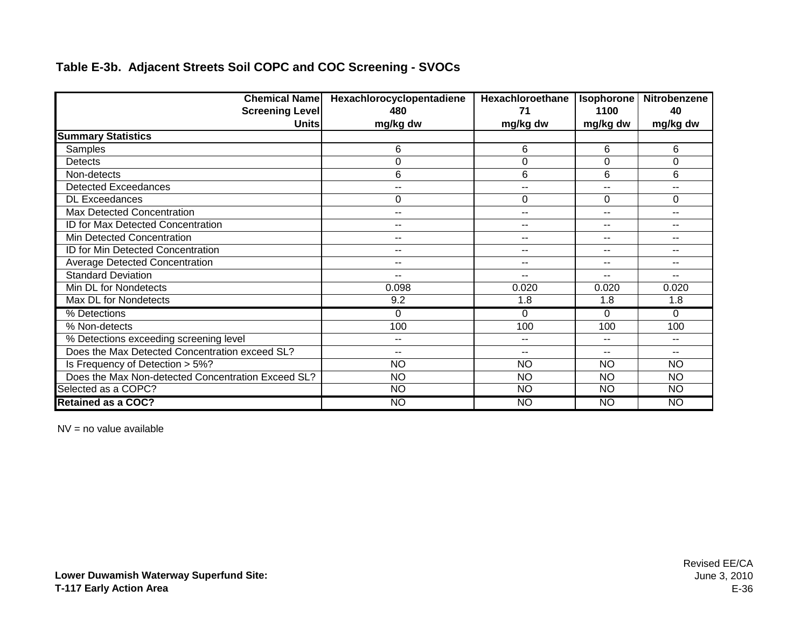| <b>Chemical Name</b>                               | Hexachlorocyclopentadiene | Hexachloroethane | <b>Isophorone</b>        | <b>Nitrobenzene</b>      |
|----------------------------------------------------|---------------------------|------------------|--------------------------|--------------------------|
| <b>Screening Level</b>                             | 480                       | 71               | 1100                     | 40                       |
| <b>Units</b>                                       | mg/kg dw                  | mg/kg dw         | mg/kg dw                 | mg/kg dw                 |
| <b>Summary Statistics</b>                          |                           |                  |                          |                          |
| Samples                                            | 6                         | 6                | 6                        | 6                        |
| <b>Detects</b>                                     | 0                         | 0                | $\Omega$                 | $\mathbf 0$              |
| Non-detects                                        | 6                         | 6                | 6                        | 6                        |
| <b>Detected Exceedances</b>                        | $\sim$ $\sim$             | --               | $-$                      | $- -$                    |
| <b>DL Exceedances</b>                              | 0                         | $\Omega$         | $\Omega$                 | $\Omega$                 |
| Max Detected Concentration                         | $- -$                     | $-$              | $-$                      | $-$                      |
| ID for Max Detected Concentration                  | $-$                       | --               | $-$                      | $-$                      |
| Min Detected Concentration                         | $\sim$ $\sim$             | $-1$             | $\overline{\phantom{a}}$ | $\overline{\phantom{a}}$ |
| ID for Min Detected Concentration                  | $\sim$ $\sim$             | $-1$             | $\overline{\phantom{a}}$ | $\overline{\phantom{a}}$ |
| Average Detected Concentration                     | $- -$                     | --               | $- -$                    | $- -$                    |
| <b>Standard Deviation</b>                          | $-$                       | --               | $- -$                    | $- -$                    |
| Min DL for Nondetects                              | 0.098                     | 0.020            | 0.020                    | 0.020                    |
| Max DL for Nondetects                              | 9.2                       | 1.8              | 1.8                      | 1.8                      |
| % Detections                                       | 0                         | $\Omega$         | 0                        | $\Omega$                 |
| % Non-detects                                      | 100                       | 100              | 100                      | 100                      |
| % Detections exceeding screening level             | $\sim$ $\sim$             | --               | $-$                      | $\sim$                   |
| Does the Max Detected Concentration exceed SL?     | $-$                       | --               | --                       | --                       |
| Is Frequency of Detection > 5%?                    | <b>NO</b>                 | <b>NO</b>        | <b>NO</b>                | <b>NO</b>                |
| Does the Max Non-detected Concentration Exceed SL? | <b>NO</b>                 | <b>NO</b>        | <b>NO</b>                | <b>NO</b>                |
| Selected as a COPC?                                | <b>NO</b>                 | <b>NO</b>        | <b>NO</b>                | <b>NO</b>                |
| <b>Retained as a COC?</b>                          | <b>NO</b>                 | <b>NO</b>        | NO                       | <b>NO</b>                |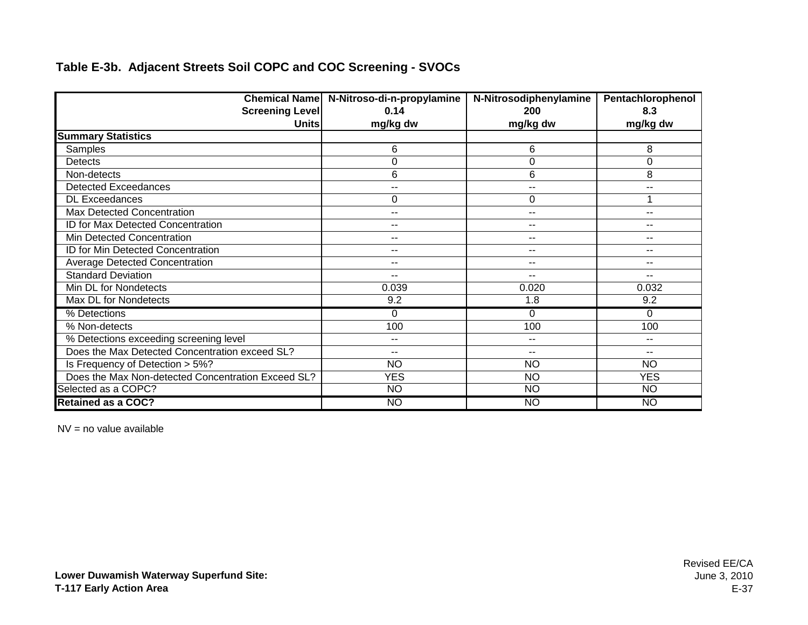|                                                    | Chemical Name N-Nitroso-di-n-propylamine | N-Nitrosodiphenylamine | Pentachlorophenol        |
|----------------------------------------------------|------------------------------------------|------------------------|--------------------------|
| <b>Screening Level</b>                             | 0.14                                     | <b>200</b>             | 8.3                      |
| <b>Units</b>                                       | mg/kg dw                                 | mg/kg dw               | mg/kg dw                 |
| <b>Summary Statistics</b>                          |                                          |                        |                          |
| Samples                                            | 6                                        | 6                      | 8                        |
| <b>Detects</b>                                     | 0                                        | 0                      | $\Omega$                 |
| Non-detects                                        | 6                                        | 6                      | 8                        |
| <b>Detected Exceedances</b>                        | --                                       | --                     | --                       |
| <b>DL Exceedances</b>                              | 0                                        | 0                      | 1                        |
| Max Detected Concentration                         | $- -$                                    | --                     | $\overline{a}$           |
| ID for Max Detected Concentration                  | --                                       | --                     | --                       |
| Min Detected Concentration                         | $\sim$ $\sim$                            | --                     | --                       |
| ID for Min Detected Concentration                  | $\overline{\phantom{a}}$                 | --                     | $\overline{\phantom{a}}$ |
| <b>Average Detected Concentration</b>              | $\sim$ $\sim$                            | --                     | $\overline{\phantom{a}}$ |
| <b>Standard Deviation</b>                          | $\overline{\phantom{a}}$                 | $-1$                   | --                       |
| Min DL for Nondetects                              | 0.039                                    | 0.020                  | 0.032                    |
| Max DL for Nondetects                              | 9.2                                      | 1.8                    | 9.2                      |
| % Detections                                       | $\Omega$                                 | 0                      | $\Omega$                 |
| % Non-detects                                      | 100                                      | 100                    | 100                      |
| % Detections exceeding screening level             | $\sim$ $\sim$                            | --                     | $\overline{\phantom{a}}$ |
| Does the Max Detected Concentration exceed SL?     | $\overline{\phantom{m}}$                 | --                     | $-$                      |
| Is Frequency of Detection > 5%?                    | <b>NO</b>                                | <b>NO</b>              | <b>NO</b>                |
| Does the Max Non-detected Concentration Exceed SL? | <b>YES</b>                               | <b>NO</b>              | <b>YES</b>               |
| Selected as a COPC?                                | <b>NO</b>                                | <b>NO</b>              | <b>NO</b>                |
| <b>Retained as a COC?</b>                          | <b>NO</b>                                | NO                     | <b>NO</b>                |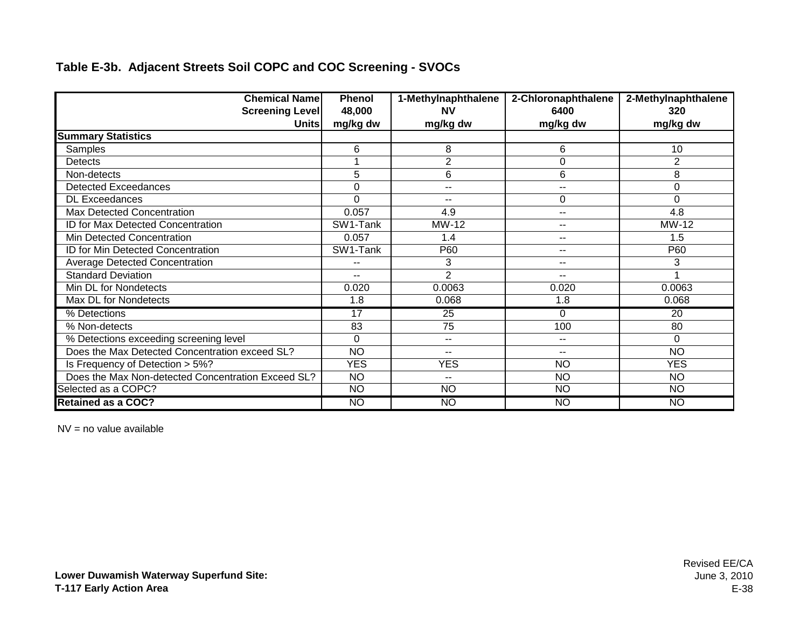| <b>Chemical Name</b>                               | <b>Phenol</b>            | 1-Methylnaphthalene | 2-Chloronaphthalene | 2-Methylnaphthalene |
|----------------------------------------------------|--------------------------|---------------------|---------------------|---------------------|
| <b>Screening Level</b>                             | 48,000                   | <b>NV</b>           | 6400                | 320                 |
| <b>Units</b>                                       | mg/kg dw                 | mg/kg dw            | mg/kg dw            | mg/kg dw            |
| <b>Summary Statistics</b>                          |                          |                     |                     |                     |
| Samples                                            | 6                        | 8                   | 6                   | 10                  |
| Detects                                            |                          | $\overline{2}$      | $\Omega$            | $\overline{2}$      |
| Non-detects                                        | 5                        | 6                   | 6                   | 8                   |
| <b>Detected Exceedances</b>                        | $\mathbf 0$              | --                  | --                  | 0                   |
| <b>DL</b> Exceedances                              | $\Omega$                 | --                  | 0                   | 0                   |
| Max Detected Concentration                         | 0.057                    | 4.9                 | --                  | 4.8                 |
| ID for Max Detected Concentration                  | SW1-Tank                 | MW-12               | --                  | MW-12               |
| Min Detected Concentration                         | 0.057                    | 1.4                 | --                  | 1.5                 |
| ID for Min Detected Concentration                  | SW1-Tank                 | P60                 | --                  | P60                 |
| <b>Average Detected Concentration</b>              | $-$                      | 3                   | $- -$               | 3                   |
| <b>Standard Deviation</b>                          | $\overline{\phantom{a}}$ | $\overline{2}$      | $- -$               |                     |
| Min DL for Nondetects                              | 0.020                    | 0.0063              | 0.020               | 0.0063              |
| Max DL for Nondetects                              | 1.8                      | 0.068               | 1.8                 | 0.068               |
| % Detections                                       | 17                       | 25                  | 0                   | 20                  |
| % Non-detects                                      | 83                       | 75                  | 100                 | 80                  |
| % Detections exceeding screening level             | $\Omega$                 | $- -$               | --                  | $\Omega$            |
| Does the Max Detected Concentration exceed SL?     | <b>NO</b>                | $-$                 | --                  | <b>NO</b>           |
| Is Frequency of Detection > 5%?                    | <b>YES</b>               | <b>YES</b>          | <b>NO</b>           | <b>YES</b>          |
| Does the Max Non-detected Concentration Exceed SL? | <b>NO</b>                | $-1$                | <b>NO</b>           | <b>NO</b>           |
| Selected as a COPC?                                | N <sub>O</sub>           | $\overline{NO}$     | <b>NO</b>           | <b>NO</b>           |
| <b>Retained as a COC?</b>                          | <b>NO</b>                | <b>NO</b>           | <b>NO</b>           | <b>NO</b>           |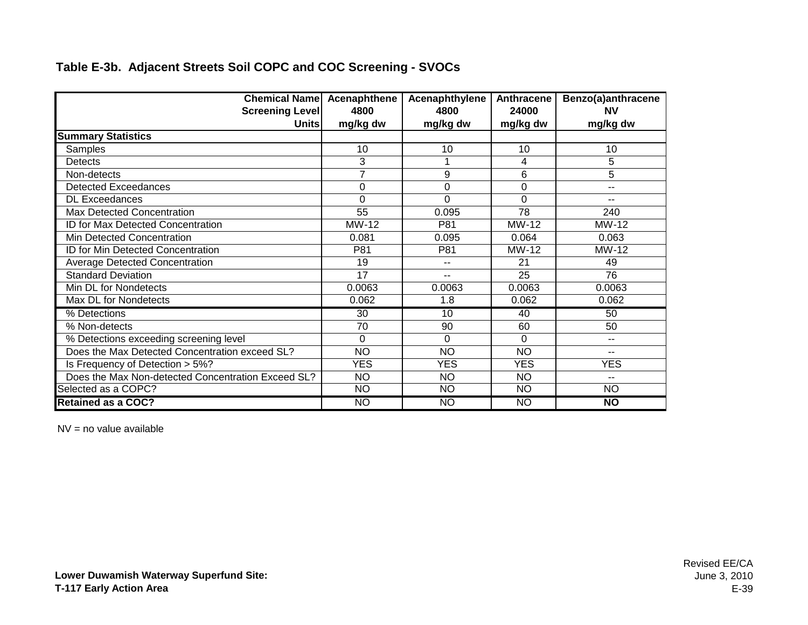| <b>Chemical Name Acenaphthene</b>                  |                | Acenaphthylene | Anthracene | Benzo(a)anthracene |
|----------------------------------------------------|----------------|----------------|------------|--------------------|
| <b>Screening Level</b>                             | 4800           | 4800           | 24000      | <b>NV</b>          |
| Unitsl                                             | mg/kg dw       | mg/kg dw       | mg/kg dw   | mg/kg dw           |
| <b>Summary Statistics</b>                          |                |                |            |                    |
| Samples                                            | 10             | 10             | 10         | 10                 |
| <b>Detects</b>                                     | 3              |                | 4          | 5                  |
| Non-detects                                        | $\overline{7}$ | 9              | 6          | 5                  |
| <b>Detected Exceedances</b>                        | 0              | 0              | 0          | --                 |
| <b>DL Exceedances</b>                              | 0              | $\Omega$       | $\Omega$   | --                 |
| Max Detected Concentration                         | 55             | 0.095          | 78         | 240                |
| ID for Max Detected Concentration                  | MW-12          | P81            | MW-12      | MW-12              |
| Min Detected Concentration                         | 0.081          | 0.095          | 0.064      | 0.063              |
| ID for Min Detected Concentration                  | P81            | P81            | MW-12      | MW-12              |
| <b>Average Detected Concentration</b>              | 19             | --             | 21         | 49                 |
| <b>Standard Deviation</b>                          | 17             | $-$            | 25         | 76                 |
| Min DL for Nondetects                              | 0.0063         | 0.0063         | 0.0063     | 0.0063             |
| Max DL for Nondetects                              | 0.062          | 1.8            | 0.062      | 0.062              |
| % Detections                                       | 30             | 10             | 40         | 50                 |
| % Non-detects                                      | 70             | 90             | 60         | 50                 |
| % Detections exceeding screening level             | $\Omega$       | $\Omega$       | $\Omega$   | $-$                |
| Does the Max Detected Concentration exceed SL?     | <b>NO</b>      | <b>NO</b>      | <b>NO</b>  | --                 |
| Is Frequency of Detection > 5%?                    | <b>YES</b>     | <b>YES</b>     | <b>YES</b> | <b>YES</b>         |
| Does the Max Non-detected Concentration Exceed SL? | <b>NO</b>      | <b>NO</b>      | <b>NO</b>  | --                 |
| Selected as a COPC?                                | <b>NO</b>      | <b>NO</b>      | <b>NO</b>  | <b>NO</b>          |
| <b>Retained as a COC?</b>                          | NO             | <b>NO</b>      | <b>NO</b>  | N <sub>O</sub>     |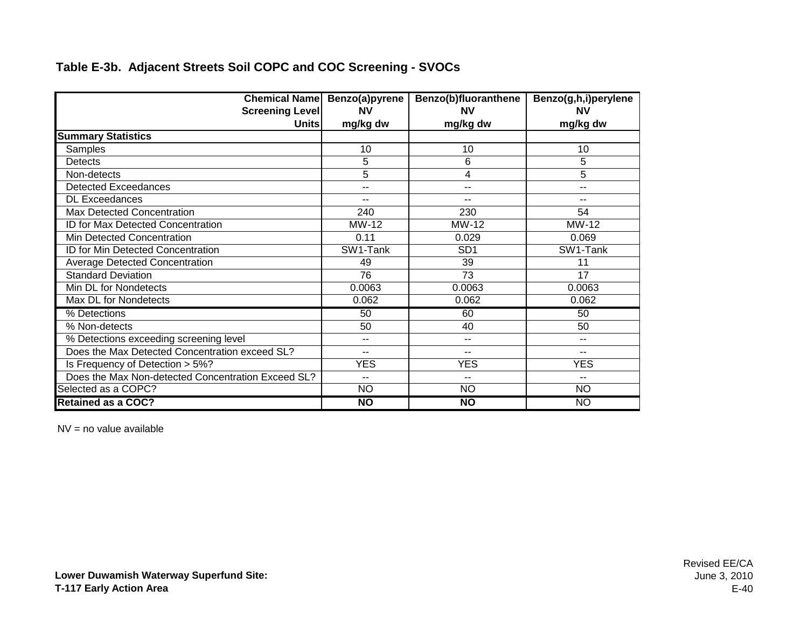| <b>Chemical Name</b>                               | Benzo(a)pyrene  | Benzo(b)fluoranthene     | Benzo(g,h,i)perylene     |
|----------------------------------------------------|-----------------|--------------------------|--------------------------|
| <b>Screening Level</b>                             | <b>NV</b>       | <b>NV</b>                | <b>NV</b>                |
| <b>Units</b>                                       | mg/kg dw        | mg/kg dw                 | mg/kg dw                 |
| <b>Summary Statistics</b>                          |                 |                          |                          |
| Samples                                            | 10              | 10                       | 10                       |
| <b>Detects</b>                                     | 5               | 6                        | 5                        |
| Non-detects                                        | 5               | 4                        | 5                        |
| <b>Detected Exceedances</b>                        | $\overline{a}$  | $-$                      | $-$                      |
| <b>DL Exceedances</b>                              |                 | $-$                      | $-$                      |
| Max Detected Concentration                         | 240             | 230                      | 54                       |
| ID for Max Detected Concentration                  | MW-12           | MW-12                    | MW-12                    |
| Min Detected Concentration                         | 0.11            | 0.029                    | 0.069                    |
| ID for Min Detected Concentration                  | SW1-Tank        | SD <sub>1</sub>          | SW1-Tank                 |
| <b>Average Detected Concentration</b>              | 49              | 39                       | 11                       |
| <b>Standard Deviation</b>                          | 76              | 73                       | 17                       |
| Min DL for Nondetects                              | 0.0063          | 0.0063                   | 0.0063                   |
| Max DL for Nondetects                              | 0.062           | 0.062                    | 0.062                    |
| % Detections                                       | 50              | 60                       | 50                       |
| % Non-detects                                      | 50              | 40                       | 50                       |
| % Detections exceeding screening level             |                 | --                       | $\sim$ $\sim$            |
| Does the Max Detected Concentration exceed SL?     | $- -$           | $\overline{\phantom{a}}$ | $\overline{\phantom{a}}$ |
| Is Frequency of Detection > 5%?                    | <b>YES</b>      | <b>YES</b>               | <b>YES</b>               |
| Does the Max Non-detected Concentration Exceed SL? | $-$             | $- -$                    | $- -$                    |
| Selected as a COPC?                                | <b>NO</b>       | <b>NO</b>                | <b>NO</b>                |
| <b>Retained as a COC?</b>                          | $\overline{NQ}$ | $\overline{NQ}$          | <b>NO</b>                |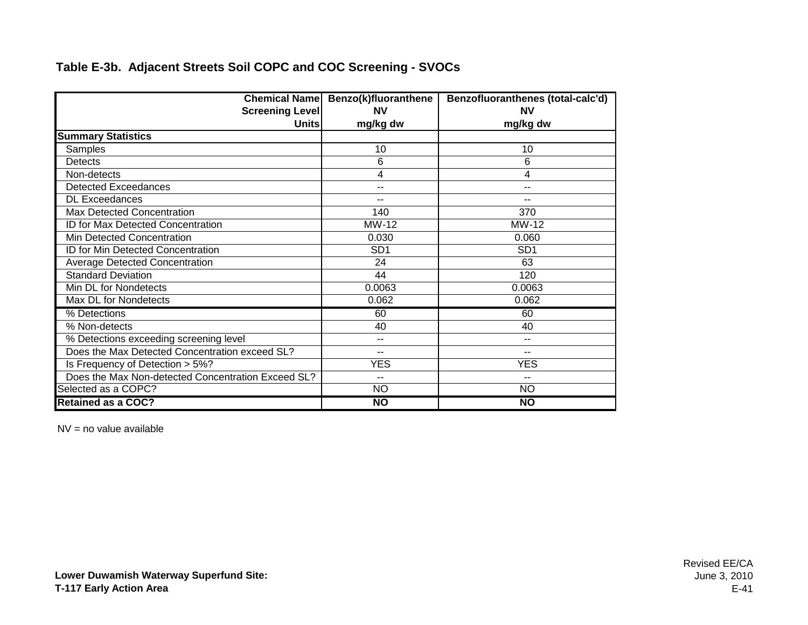|                                                    | Chemical Name Benzo(k)fluoranthene | Benzofluoranthenes (total-calc'd) |
|----------------------------------------------------|------------------------------------|-----------------------------------|
| <b>Screening Level</b>                             | <b>NV</b>                          | <b>NV</b>                         |
| <b>Units</b>                                       | mg/kg dw                           | mg/kg dw                          |
| <b>Summary Statistics</b>                          |                                    |                                   |
| Samples                                            | 10                                 | 10                                |
| <b>Detects</b>                                     | 6                                  | 6                                 |
| Non-detects                                        | 4                                  | 4                                 |
| <b>Detected Exceedances</b>                        | --                                 | --                                |
| <b>DL Exceedances</b>                              |                                    |                                   |
| Max Detected Concentration                         | 140                                | 370                               |
| ID for Max Detected Concentration                  | MW-12                              | MW-12                             |
| Min Detected Concentration                         | 0.030                              | 0.060                             |
| ID for Min Detected Concentration                  | SD <sub>1</sub>                    | SD <sub>1</sub>                   |
| <b>Average Detected Concentration</b>              | 24                                 | 63                                |
| <b>Standard Deviation</b>                          | 44                                 | 120                               |
| Min DL for Nondetects                              | 0.0063                             | 0.0063                            |
| Max DL for Nondetects                              | 0.062                              | 0.062                             |
| % Detections                                       | 60                                 | 60                                |
| % Non-detects                                      | 40                                 | 40                                |
| % Detections exceeding screening level             | --                                 | $\sim$ $\sim$                     |
| Does the Max Detected Concentration exceed SL?     | $- -$                              | $-$                               |
| Is Frequency of Detection > 5%?                    | <b>YES</b>                         | <b>YES</b>                        |
| Does the Max Non-detected Concentration Exceed SL? | $\overline{\phantom{a}}$           | $- -$                             |
| Selected as a COPC?                                | <b>NO</b>                          | <b>NO</b>                         |
| <b>Retained as a COC?</b>                          | $\overline{NQ}$                    | <b>NO</b>                         |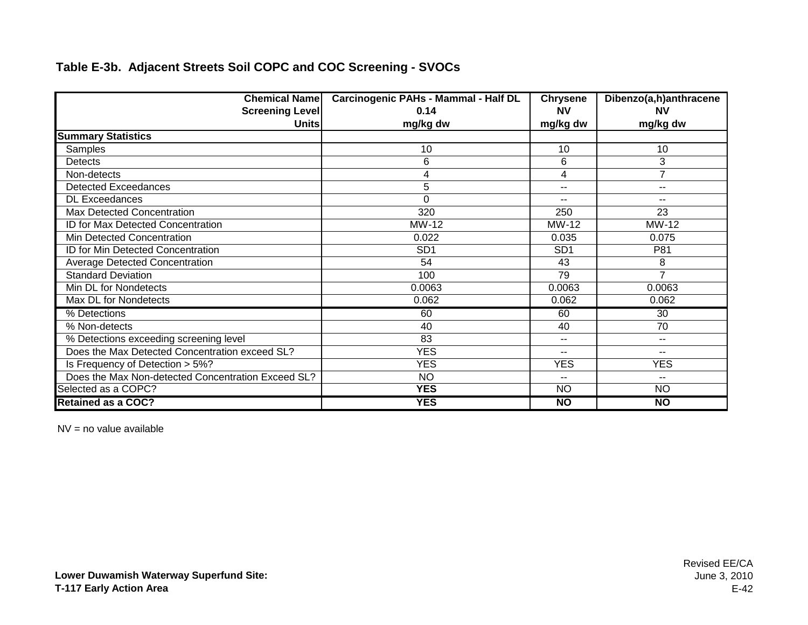| <b>Chemical Name</b>                               | <b>Carcinogenic PAHs - Mammal - Half DL</b> | <b>Chrysene</b> | Dibenzo(a,h)anthracene |
|----------------------------------------------------|---------------------------------------------|-----------------|------------------------|
| <b>Screening Level</b>                             | 0.14                                        | <b>NV</b>       | <b>NV</b>              |
| <b>Units</b>                                       | mg/kg dw                                    | mg/kg dw        | mg/kg dw               |
| <b>Summary Statistics</b>                          |                                             |                 |                        |
| Samples                                            | 10                                          | 10              | 10                     |
| Detects                                            | 6                                           | 6               | 3                      |
| Non-detects                                        | 4                                           | 4               | 7                      |
| <b>Detected Exceedances</b>                        | 5                                           | $\sim$ $\sim$   | --                     |
| <b>DL Exceedances</b>                              | $\Omega$                                    | --              | --                     |
| Max Detected Concentration                         | 320                                         | 250             | 23                     |
| ID for Max Detected Concentration                  | MW-12                                       | MW-12           | MW-12                  |
| Min Detected Concentration                         | 0.022                                       | 0.035           | 0.075                  |
| ID for Min Detected Concentration                  | SD <sub>1</sub>                             | SD <sub>1</sub> | P81                    |
| <b>Average Detected Concentration</b>              | 54                                          | 43              | 8                      |
| <b>Standard Deviation</b>                          | 100                                         | 79              | $\overline{7}$         |
| Min DL for Nondetects                              | 0.0063                                      | 0.0063          | 0.0063                 |
| Max DL for Nondetects                              | 0.062                                       | 0.062           | 0.062                  |
| % Detections                                       | 60                                          | 60              | 30                     |
| % Non-detects                                      | 40                                          | 40              | 70                     |
| % Detections exceeding screening level             | 83                                          | $\sim$ $\sim$   | --                     |
| Does the Max Detected Concentration exceed SL?     | <b>YES</b>                                  | --              | --                     |
| Is Frequency of Detection > 5%?                    | <b>YES</b>                                  | <b>YES</b>      | <b>YES</b>             |
| Does the Max Non-detected Concentration Exceed SL? | <b>NO</b>                                   | --              | --                     |
| Selected as a COPC?                                | <b>YES</b>                                  | <b>NO</b>       | <b>NO</b>              |
| <b>Retained as a COC?</b>                          | <b>YES</b>                                  | N <sub>O</sub>  | <b>NO</b>              |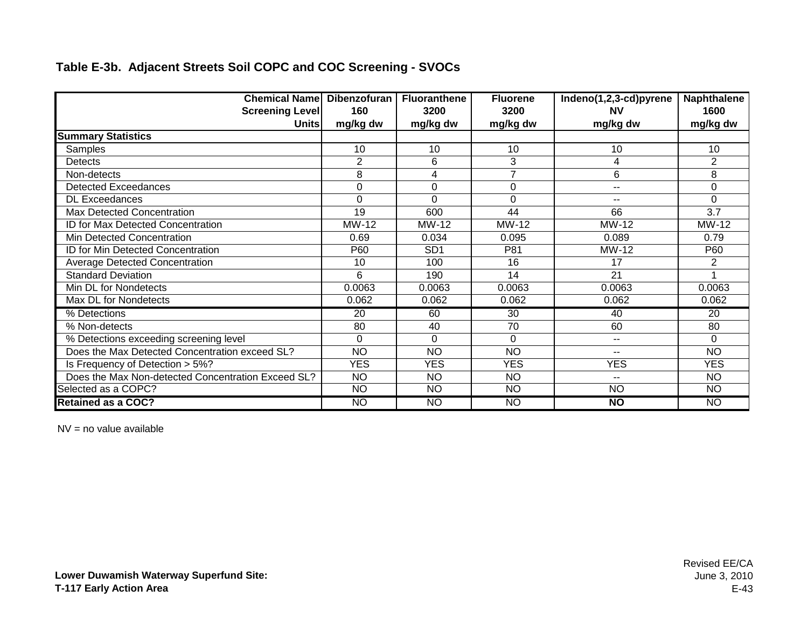| <b>Chemical Name Dibenzofuran</b>                  |                | <b>Fluoranthene</b> | <b>Fluorene</b> | Indeno(1,2,3-cd)pyrene   | <b>Naphthalene</b> |
|----------------------------------------------------|----------------|---------------------|-----------------|--------------------------|--------------------|
| <b>Screening Level</b>                             | 160            | 3200                | 3200            | <b>NV</b>                | 1600               |
| Unitsl                                             | mg/kg dw       | mg/kg dw            | mg/kg dw        | mg/kg dw                 | mg/kg dw           |
| <b>Summary Statistics</b>                          |                |                     |                 |                          |                    |
| Samples                                            | 10             | 10                  | 10              | 10                       | 10                 |
| <b>Detects</b>                                     | $\overline{2}$ | 6                   | 3               | 4                        | $\overline{2}$     |
| Non-detects                                        | 8              | 4                   | $\overline{7}$  | 6                        | 8                  |
| <b>Detected Exceedances</b>                        | $\mathbf 0$    | $\mathbf 0$         | 0               | $\sim$ $\sim$            | $\mathbf 0$        |
| <b>DL Exceedances</b>                              | $\Omega$       | $\Omega$            | $\mathbf 0$     | $-$                      | $\Omega$           |
| Max Detected Concentration                         | 19             | 600                 | 44              | 66                       | 3.7                |
| ID for Max Detected Concentration                  | MW-12          | MW-12               | MW-12           | MW-12                    | MW-12              |
| Min Detected Concentration                         | 0.69           | 0.034               | 0.095           | 0.089                    | 0.79               |
| ID for Min Detected Concentration                  | P60            | SD <sub>1</sub>     | P81             | MW-12                    | P60                |
| <b>Average Detected Concentration</b>              | 10             | 100                 | 16              | 17                       | 2                  |
| <b>Standard Deviation</b>                          | 6              | 190                 | 14              | 21                       |                    |
| Min DL for Nondetects                              | 0.0063         | 0.0063              | 0.0063          | 0.0063                   | 0.0063             |
| Max DL for Nondetects                              | 0.062          | 0.062               | 0.062           | 0.062                    | 0.062              |
| % Detections                                       | 20             | 60                  | 30              | 40                       | 20                 |
| % Non-detects                                      | 80             | 40                  | 70              | 60                       | 80                 |
| % Detections exceeding screening level             | $\Omega$       | $\Omega$            | $\Omega$        | $\sim$ $\sim$            | $\Omega$           |
| Does the Max Detected Concentration exceed SL?     | <b>NO</b>      | <b>NO</b>           | <b>NO</b>       | $-$                      | <b>NO</b>          |
| Is Frequency of Detection > 5%?                    | <b>YES</b>     | <b>YES</b>          | <b>YES</b>      | <b>YES</b>               | <b>YES</b>         |
| Does the Max Non-detected Concentration Exceed SL? | <b>NO</b>      | <b>NO</b>           | <b>NO</b>       | $\overline{\phantom{a}}$ | <b>NO</b>          |
| Selected as a COPC?                                | N <sub>O</sub> | <b>NO</b>           | N <sub>O</sub>  | $\overline{NO}$          | <b>NO</b>          |
| <b>Retained as a COC?</b>                          | <b>NO</b>      | <b>NO</b>           | <b>NO</b>       | $\overline{NQ}$          | <b>NO</b>          |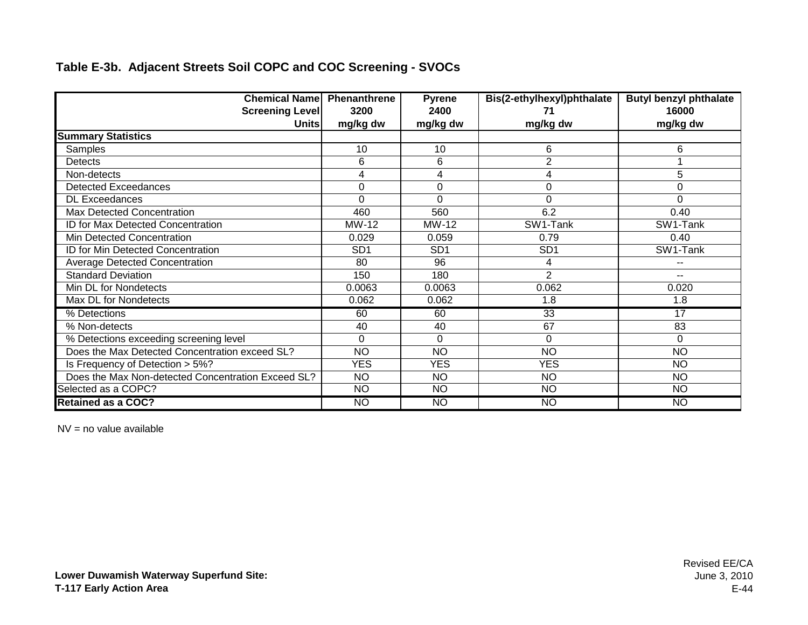| <b>Chemical Name Phenanthrene</b>                  |                 | Pyrene          | Bis(2-ethylhexyl)phthalate | <b>Butyl benzyl phthalate</b> |
|----------------------------------------------------|-----------------|-----------------|----------------------------|-------------------------------|
| <b>Screening Level</b>                             | 3200            | 2400            | 71                         | 16000                         |
| <b>Units</b>                                       | mg/kg dw        | mg/kg dw        | mg/kg dw                   | mg/kg dw                      |
| <b>Summary Statistics</b>                          |                 |                 |                            |                               |
| Samples                                            | 10              | 10              | 6                          | 6                             |
| Detects                                            | 6               | 6               | $\overline{2}$             |                               |
| Non-detects                                        | 4               | 4               | 4                          | 5                             |
| <b>Detected Exceedances</b>                        | 0               | 0               | 0                          | 0                             |
| <b>DL Exceedances</b>                              | $\Omega$        | $\Omega$        | $\Omega$                   | 0                             |
| Max Detected Concentration                         | 460             | 560             | 6.2                        | 0.40                          |
| ID for Max Detected Concentration                  | MW-12           | MW-12           | SW1-Tank                   | SW1-Tank                      |
| Min Detected Concentration                         | 0.029           | 0.059           | 0.79                       | 0.40                          |
| ID for Min Detected Concentration                  | SD <sub>1</sub> | SD <sub>1</sub> | SD <sub>1</sub>            | SW1-Tank                      |
| <b>Average Detected Concentration</b>              | 80              | 96              | 4                          | --                            |
| <b>Standard Deviation</b>                          | 150             | 180             | $\overline{2}$             | --                            |
| Min DL for Nondetects                              | 0.0063          | 0.0063          | 0.062                      | 0.020                         |
| Max DL for Nondetects                              | 0.062           | 0.062           | 1.8                        | 1.8                           |
| % Detections                                       | 60              | 60              | $\overline{33}$            | 17                            |
| % Non-detects                                      | 40              | 40              | 67                         | 83                            |
| % Detections exceeding screening level             | $\Omega$        | $\Omega$        | $\Omega$                   | 0                             |
| Does the Max Detected Concentration exceed SL?     | <b>NO</b>       | <b>NO</b>       | <b>NO</b>                  | <b>NO</b>                     |
| Is Frequency of Detection > 5%?                    | <b>YES</b>      | <b>YES</b>      | <b>YES</b>                 | <b>NO</b>                     |
| Does the Max Non-detected Concentration Exceed SL? | <b>NO</b>       | <b>NO</b>       | <b>NO</b>                  | <b>NO</b>                     |
| Selected as a COPC?                                | $\overline{NO}$ | N <sub>O</sub>  | $\overline{NO}$            | N <sub>O</sub>                |
| <b>Retained as a COC?</b>                          | <b>NO</b>       | <b>NO</b>       | <b>NO</b>                  | <b>NO</b>                     |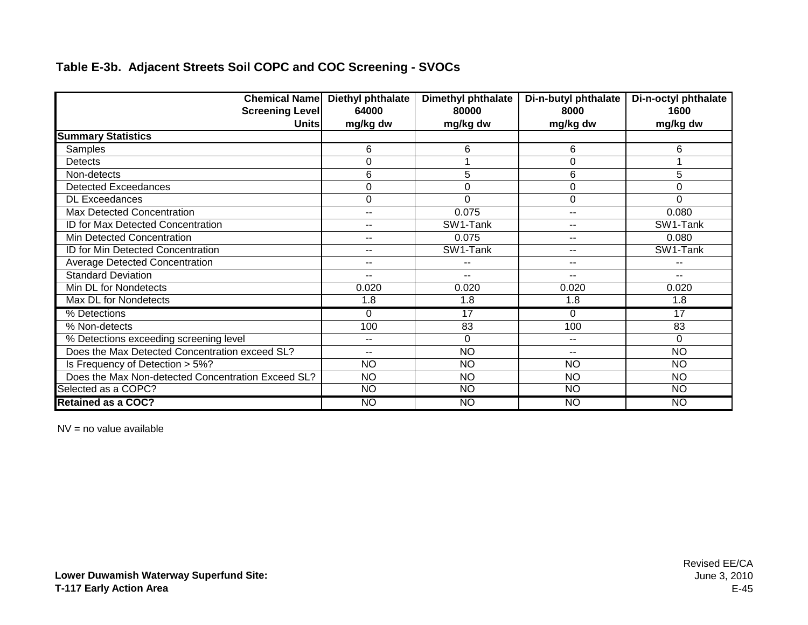|                                                    | <b>Chemical Name Diethyl phthalate</b> | <b>Dimethyl phthalate</b> | Di-n-butyl phthalate | Di-n-octyl phthalate |
|----------------------------------------------------|----------------------------------------|---------------------------|----------------------|----------------------|
| <b>Screening Level</b>                             | 64000                                  | 80000                     | 8000                 | 1600                 |
| <b>Units</b>                                       | mg/kg dw                               | mg/kg dw                  | mg/kg dw             | mg/kg dw             |
| <b>Summary Statistics</b>                          |                                        |                           |                      |                      |
| Samples                                            | 6                                      | 6                         | 6                    | 6                    |
| Detects                                            | $\Omega$                               |                           | 0                    |                      |
| Non-detects                                        | 6                                      | 5                         | 6                    | 5                    |
| <b>Detected Exceedances</b>                        | $\mathbf 0$                            | $\mathbf 0$               | 0                    | 0                    |
| <b>DL Exceedances</b>                              | 0                                      | $\Omega$                  | 0                    | $\Omega$             |
| Max Detected Concentration                         | $-$                                    | 0.075                     | --                   | 0.080                |
| ID for Max Detected Concentration                  | $- -$                                  | SW1-Tank                  | --                   | SW1-Tank             |
| Min Detected Concentration                         | $-$                                    | 0.075                     | --                   | 0.080                |
| ID for Min Detected Concentration                  | $-$                                    | SW1-Tank                  | --                   | SW1-Tank             |
| <b>Average Detected Concentration</b>              | $- -$                                  | $-$                       | $-$                  |                      |
| <b>Standard Deviation</b>                          | $- -$                                  | $\overline{\phantom{a}}$  | $- -$                | $- -$                |
| Min DL for Nondetects                              | 0.020                                  | 0.020                     | 0.020                | 0.020                |
| Max DL for Nondetects                              | 1.8                                    | 1.8                       | 1.8                  | 1.8                  |
| % Detections                                       | 0                                      | 17                        | 0                    | 17                   |
| % Non-detects                                      | 100                                    | 83                        | 100                  | 83                   |
| % Detections exceeding screening level             | $\overline{\phantom{a}}$               | $\Omega$                  | $-$                  | 0                    |
| Does the Max Detected Concentration exceed SL?     | $- -$                                  | <b>NO</b>                 | --                   | <b>NO</b>            |
| Is Frequency of Detection > 5%?                    | <b>NO</b>                              | <b>NO</b>                 | <b>NO</b>            | <b>NO</b>            |
| Does the Max Non-detected Concentration Exceed SL? | <b>NO</b>                              | <b>NO</b>                 | <b>NO</b>            | <b>NO</b>            |
| Selected as a COPC?                                | <b>NO</b>                              | <b>NO</b>                 | <b>NO</b>            | <b>NO</b>            |
| <b>Retained as a COC?</b>                          | <b>NO</b>                              | <b>NO</b>                 | <b>NO</b>            | <b>NO</b>            |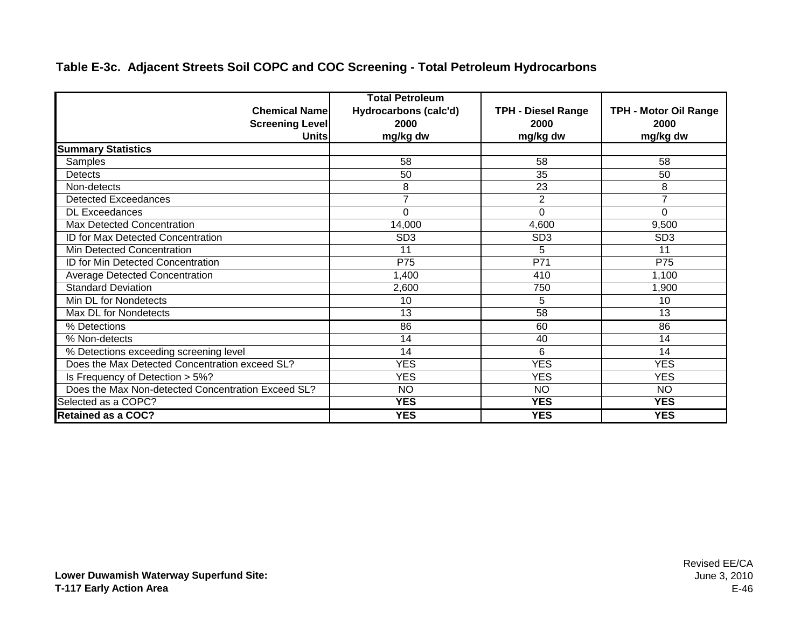#### **Table E-3c. Adjacent Streets Soil COPC and COC Screening - Total Petroleum Hydrocarbons**

|                                                    | <b>Total Petroleum</b> |                           |                              |
|----------------------------------------------------|------------------------|---------------------------|------------------------------|
| <b>Chemical Namel</b>                              | Hydrocarbons (calc'd)  | <b>TPH - Diesel Range</b> | <b>TPH - Motor Oil Range</b> |
| <b>Screening Level</b>                             | 2000                   | 2000                      | 2000                         |
| <b>Units</b>                                       | mg/kg dw               | mg/kg dw                  | mg/kg dw                     |
| <b>Summary Statistics</b>                          |                        |                           |                              |
| Samples                                            | 58                     | 58                        | 58                           |
| Detects                                            | 50                     | 35                        | 50                           |
| Non-detects                                        | 8                      | 23                        | 8                            |
| <b>Detected Exceedances</b>                        | 7                      | $\overline{c}$            | 7                            |
| <b>DL Exceedances</b>                              | 0                      | 0                         | $\Omega$                     |
| Max Detected Concentration                         | 14,000                 | 4,600                     | 9,500                        |
| <b>ID for Max Detected Concentration</b>           | SD <sub>3</sub>        | SD <sub>3</sub>           | SD <sub>3</sub>              |
| Min Detected Concentration                         | 11                     | 5                         | 11                           |
| ID for Min Detected Concentration                  | P75                    | P71                       | P75                          |
| <b>Average Detected Concentration</b>              | 1,400                  | 410                       | 1,100                        |
| <b>Standard Deviation</b>                          | 2,600                  | 750                       | 1,900                        |
| Min DL for Nondetects                              | 10                     | 5                         | 10                           |
| Max DL for Nondetects                              | 13                     | 58                        | 13                           |
| % Detections                                       | 86                     | 60                        | 86                           |
| % Non-detects                                      | 14                     | 40                        | 14                           |
| % Detections exceeding screening level             | 14                     | 6                         | 14                           |
| Does the Max Detected Concentration exceed SL?     | <b>YES</b>             | <b>YES</b>                | <b>YES</b>                   |
| Is Frequency of Detection > 5%?                    | <b>YES</b>             | <b>YES</b>                | <b>YES</b>                   |
| Does the Max Non-detected Concentration Exceed SL? | <b>NO</b>              | <b>NO</b>                 | <b>NO</b>                    |
| Selected as a COPC?                                | <b>YES</b>             | <b>YES</b>                | <b>YES</b>                   |
| <b>Retained as a COC?</b>                          | <b>YES</b>             | <b>YES</b>                | <b>YES</b>                   |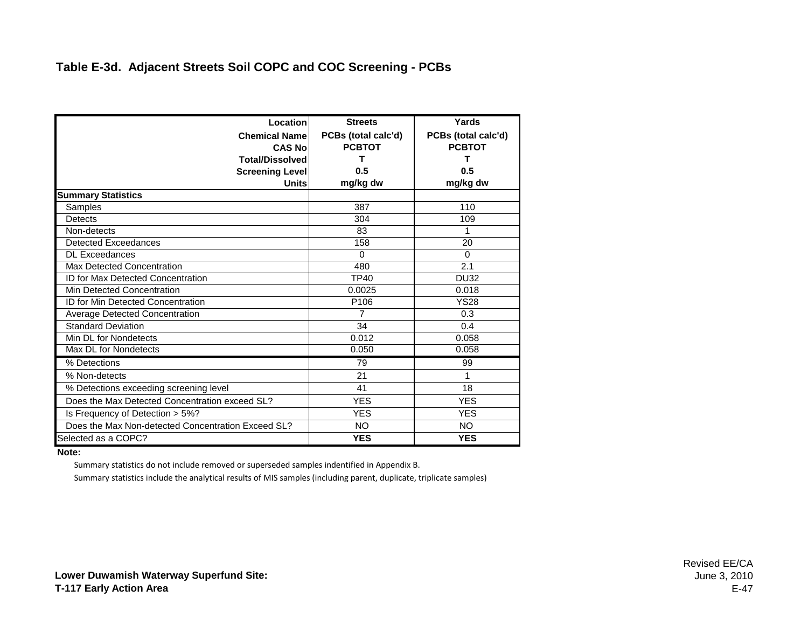| Location                                           | <b>Streets</b>      | Yards               |
|----------------------------------------------------|---------------------|---------------------|
| <b>Chemical Namel</b>                              | PCBs (total calc'd) | PCBs (total calc'd) |
| <b>CAS No</b>                                      | <b>PCBTOT</b>       | <b>PCBTOT</b>       |
| <b>Total/Dissolved</b>                             | т                   |                     |
| <b>Screening Level</b>                             | 0.5                 | 0.5                 |
| <b>Units</b>                                       | mg/kg dw            | mg/kg dw            |
| <b>Summary Statistics</b>                          |                     |                     |
| Samples                                            | 387                 | 110                 |
| Detects                                            | 304                 | 109                 |
| Non-detects                                        | 83                  | 1                   |
| <b>Detected Exceedances</b>                        | 158                 | 20                  |
| <b>DL</b> Exceedances                              | $\Omega$            | $\mathbf 0$         |
| Max Detected Concentration                         | 480                 | 2.1                 |
| <b>ID for Max Detected Concentration</b>           | <b>TP40</b>         | <b>DU32</b>         |
| Min Detected Concentration                         | 0.0025              | 0.018               |
| <b>ID for Min Detected Concentration</b>           | P <sub>106</sub>    | <b>YS28</b>         |
| Average Detected Concentration                     | 7                   | 0.3                 |
| <b>Standard Deviation</b>                          | 34                  | 0.4                 |
| Min DL for Nondetects                              | 0.012               | 0.058               |
| Max DL for Nondetects                              | 0.050               | 0.058               |
| % Detections                                       | 79                  | 99                  |
| % Non-detects                                      | 21                  | 1                   |
| % Detections exceeding screening level             | 41                  | 18                  |
| Does the Max Detected Concentration exceed SL?     | <b>YES</b>          | <b>YES</b>          |
| Is Frequency of Detection > 5%?                    | <b>YES</b>          | <b>YES</b>          |
| Does the Max Non-detected Concentration Exceed SL? | <b>NO</b>           | NO.                 |
| Selected as a COPC?                                | <b>YES</b>          | <b>YES</b>          |

#### **Note:**

Summary statistics do not include removed or superseded samples indentified in Appendix B.

Summary statistics include the analytical results of MIS samples (including parent, duplicate, triplicate samples)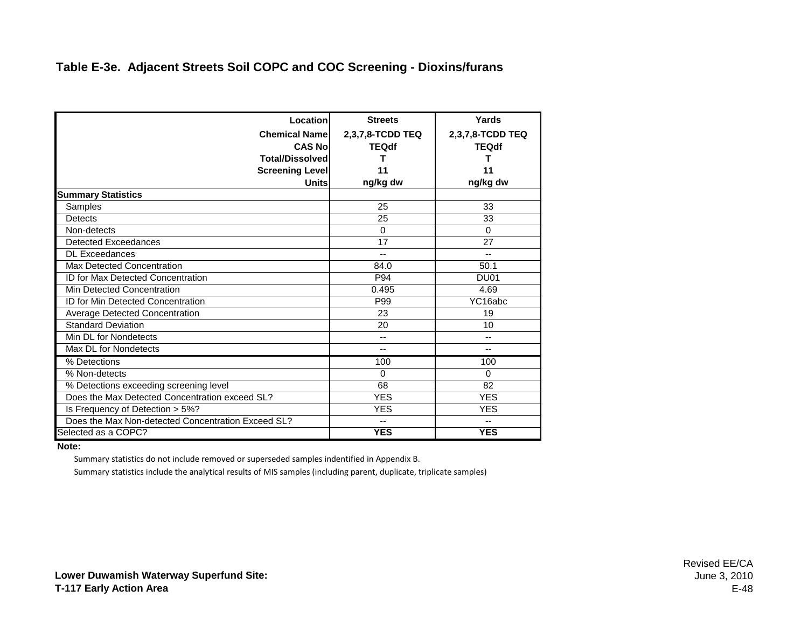#### **Table E-3e. Adjacent Streets Soil COPC and COC Screening - Dioxins/furans**

| Location                                           | <b>Streets</b>           | Yards            |
|----------------------------------------------------|--------------------------|------------------|
| <b>Chemical Namel</b>                              | 2,3,7,8-TCDD TEQ         | 2,3,7,8-TCDD TEQ |
| <b>CAS No</b>                                      | <b>TEQdf</b>             | <b>TEQdf</b>     |
| <b>Total/Dissolved</b>                             | т                        | т                |
| <b>Screening Level</b>                             | 11                       | 11               |
| Units                                              | ng/kg dw                 | ng/kg dw         |
| <b>Summary Statistics</b>                          |                          |                  |
| Samples                                            | 25                       | 33               |
| Detects                                            | 25                       | 33               |
| Non-detects                                        | $\Omega$                 | $\Omega$         |
| Detected Exceedances                               | 17                       | 27               |
| <b>DL Exceedances</b>                              | --                       | --               |
| <b>Max Detected Concentration</b>                  | 84.0                     | 50.1             |
| <b>ID for Max Detected Concentration</b>           | P94                      | DU <sub>01</sub> |
| Min Detected Concentration                         | 0.495                    | 4.69             |
| <b>ID for Min Detected Concentration</b>           | P99                      | YC16abc          |
| Average Detected Concentration                     | 23                       | 19               |
| <b>Standard Deviation</b>                          | 20                       | 10               |
| Min DL for Nondetects                              | $\overline{\phantom{a}}$ | --               |
| Max DL for Nondetects                              | $\overline{\phantom{a}}$ | $\overline{a}$   |
| % Detections                                       | 100                      | 100              |
| % Non-detects                                      | $\Omega$                 | $\Omega$         |
| % Detections exceeding screening level             | 68                       | 82               |
| Does the Max Detected Concentration exceed SL?     | <b>YES</b>               | <b>YES</b>       |
| Is Frequency of Detection > 5%?                    | <b>YES</b>               | <b>YES</b>       |
| Does the Max Non-detected Concentration Exceed SL? | --                       | --               |
| Selected as a COPC?                                | <b>YES</b>               | <b>YES</b>       |

#### **Note:**

Summary statistics do not include removed or superseded samples indentified in Appendix B.

Summary statistics include the analytical results of MIS samples (including parent, duplicate, triplicate samples)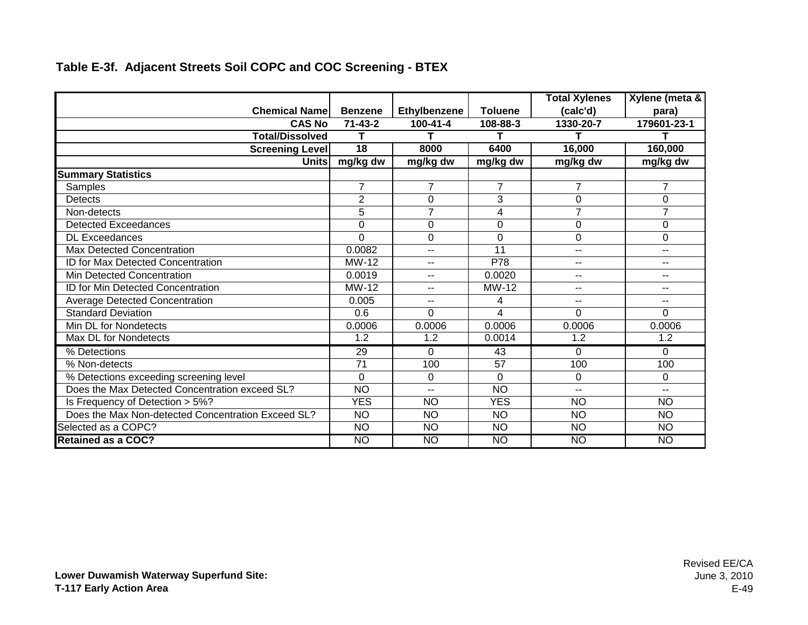|                                                    |                 |                          |                 | <b>Total Xylenes</b> | Xylene (meta &           |
|----------------------------------------------------|-----------------|--------------------------|-----------------|----------------------|--------------------------|
| <b>Chemical Namel</b>                              | <b>Benzene</b>  | Ethylbenzene             | <b>Toluene</b>  | (calc'd)             | para)                    |
| <b>CAS No</b>                                      | $71 - 43 - 2$   | $100 - 41 - 4$           | 108-88-3        | 1330-20-7            | 179601-23-1              |
| <b>Total/Dissolved</b>                             | т               | т                        |                 |                      | т                        |
| <b>Screening Level</b>                             | 18              | 8000                     | 6400            | 16,000               | 160,000                  |
| <b>Units</b>                                       | mg/kg dw        | mg/kg dw                 | mg/kg dw        | mg/kg dw             | mg/kg dw                 |
| <b>Summary Statistics</b>                          |                 |                          |                 |                      |                          |
| Samples                                            | 7               | $\overline{7}$           | $\overline{7}$  | $\overline{7}$       | $\overline{7}$           |
| <b>Detects</b>                                     | $\overline{2}$  | $\mathbf 0$              | 3               | 0                    | 0                        |
| Non-detects                                        | 5               | $\overline{7}$           | 4               | $\overline{7}$       | $\overline{7}$           |
| <b>Detected Exceedances</b>                        | 0               | $\mathbf 0$              | 0               | 0                    | 0                        |
| <b>DL Exceedances</b>                              | $\Omega$        | $\Omega$                 | 0               | 0                    | 0                        |
| <b>Max Detected Concentration</b>                  | 0.0082          | $\overline{\phantom{a}}$ | 11              | $- -$                | $\overline{\phantom{a}}$ |
| <b>ID for Max Detected Concentration</b>           | MW-12           | $-$                      | P78             | $-$                  | --                       |
| <b>Min Detected Concentration</b>                  | 0.0019          | $- -$                    | 0.0020          | $-$                  | --                       |
| ID for Min Detected Concentration                  | MW-12           | $\sim$ $\sim$            | MW-12           | $\overline{a}$       | --                       |
| <b>Average Detected Concentration</b>              | 0.005           | $- -$                    | 4               | $-$                  | --                       |
| <b>Standard Deviation</b>                          | 0.6             | $\Omega$                 | 4               | $\Omega$             | $\Omega$                 |
| Min DL for Nondetects                              | 0.0006          | 0.0006                   | 0.0006          | 0.0006               | 0.0006                   |
| Max DL for Nondetects                              | 1.2             | 1.2                      | 0.0014          | 1.2                  | 1.2                      |
| % Detections                                       | $\overline{29}$ | $\Omega$                 | 43              | $\Omega$             | $\Omega$                 |
| % Non-detects                                      | $\overline{71}$ | 100                      | 57              | 100                  | 100                      |
| % Detections exceeding screening level             | $\mathbf 0$     | $\Omega$                 | $\Omega$        | 0                    | 0                        |
| Does the Max Detected Concentration exceed SL?     | <b>NO</b>       | $\sim$ $\sim$            | <b>NO</b>       | $\overline{a}$       | $- -$                    |
| Is Frequency of Detection > 5%?                    | <b>YES</b>      | <b>NO</b>                | <b>YES</b>      | <b>NO</b>            | <b>NO</b>                |
| Does the Max Non-detected Concentration Exceed SL? | <b>NO</b>       | <b>NO</b>                | <b>NO</b>       | <b>NO</b>            | <b>NO</b>                |
| Selected as a COPC?                                | NO              | <b>NO</b>                | $\overline{NO}$ | <b>NO</b>            | <b>NO</b>                |
| <b>Retained as a COC?</b>                          | <b>NO</b>       | <b>NO</b>                | <b>NO</b>       | <b>NO</b>            | <b>NO</b>                |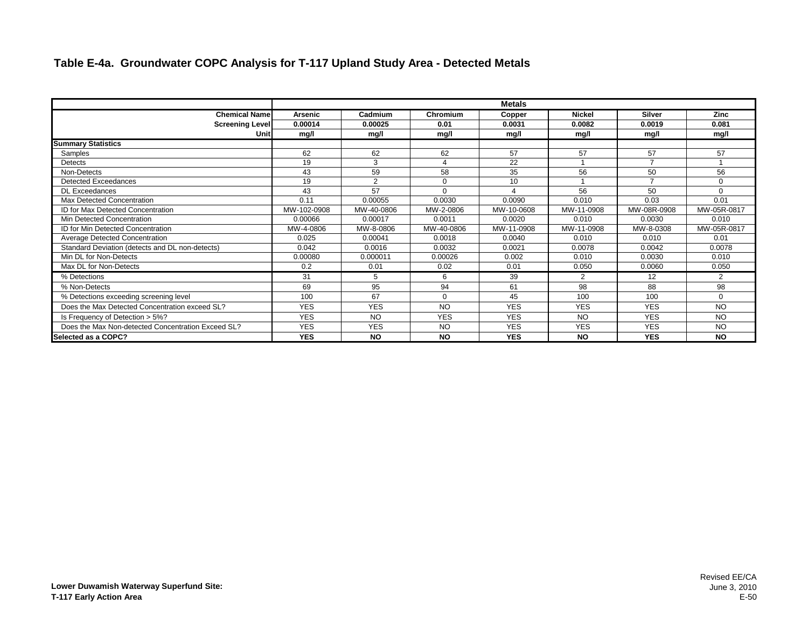#### **Table E-4a. Groundwater COPC Analysis for T-117 Upland Study Area - Detected Metals**

|                                                    | <b>Metals</b>  |            |                |            |               |                |             |  |  |
|----------------------------------------------------|----------------|------------|----------------|------------|---------------|----------------|-------------|--|--|
| <b>Chemical Name</b>                               | <b>Arsenic</b> | Cadmium    | Chromium       | Copper     | <b>Nickel</b> | <b>Silver</b>  | Zinc        |  |  |
| <b>Screening Level</b>                             | 0.00014        | 0.00025    | 0.01           | 0.0031     | 0.0082        | 0.0019         | 0.081       |  |  |
| Unit                                               | mg/l           | mg/l       | mg/l           | mg/l       | mg/l          | mg/l           | mg/l        |  |  |
| <b>Summary Statistics</b>                          |                |            |                |            |               |                |             |  |  |
| Samples                                            | 62             | 62         | 62             | 57         | 57            | 57             | 57          |  |  |
| Detects                                            | 19             | 3          | $\overline{4}$ | 22         |               | $\overline{ }$ |             |  |  |
| Non-Detects                                        | 43             | 59         | 58             | 35         | 56            | 50             | 56          |  |  |
| Detected Exceedances                               | 19             | 2          | $\Omega$       | 10         |               | $\overline{ }$ | $\Omega$    |  |  |
| <b>DL Exceedances</b>                              | 43             | 57         | $\Omega$       | $\lambda$  | 56            | 50             | $\Omega$    |  |  |
| Max Detected Concentration                         | 0.11           | 0.00055    | 0.0030         | 0.0090     | 0.010         | 0.03           | 0.01        |  |  |
| <b>ID for Max Detected Concentration</b>           | MW-102-0908    | MW-40-0806 | MW-2-0806      | MW-10-0608 | MW-11-0908    | MW-08R-0908    | MW-05R-0817 |  |  |
| Min Detected Concentration                         | 0.00066        | 0.00017    | 0.0011         | 0.0020     | 0.010         | 0.0030         | 0.010       |  |  |
| <b>ID for Min Detected Concentration</b>           | MW-4-0806      | MW-8-0806  | MW-40-0806     | MW-11-0908 | MW-11-0908    | MW-8-0308      | MW-05R-0817 |  |  |
| <b>Average Detected Concentration</b>              | 0.025          | 0.00041    | 0.0018         | 0.0040     | 0.010         | 0.010          | 0.01        |  |  |
| Standard Deviation (detects and DL non-detects)    | 0.042          | 0.0016     | 0.0032         | 0.0021     | 0.0078        | 0.0042         | 0.0078      |  |  |
| Min DL for Non-Detects                             | 0.00080        | 0.000011   | 0.00026        | 0.002      | 0.010         | 0.0030         | 0.010       |  |  |
| Max DL for Non-Detects                             | 0.2            | 0.01       | 0.02           | 0.01       | 0.050         | 0.0060         | 0.050       |  |  |
| % Detections                                       | 31             | 5          | 6              | 39         | 2             | 12             | 2           |  |  |
| % Non-Detects                                      | 69             | 95         | 94             | 61         | 98            | 88             | 98          |  |  |
| % Detections exceeding screening level             | 100            | 67         | $\Omega$       | 45         | 100           | 100            | $\Omega$    |  |  |
| Does the Max Detected Concentration exceed SL?     | <b>YES</b>     | <b>YES</b> | <b>NO</b>      | <b>YES</b> | <b>YES</b>    | <b>YES</b>     | <b>NO</b>   |  |  |
| Is Frequency of Detection > 5%?                    | <b>YES</b>     | <b>NO</b>  | <b>YES</b>     | <b>YES</b> | <b>NO</b>     | <b>YES</b>     | <b>NO</b>   |  |  |
| Does the Max Non-detected Concentration Exceed SL? | <b>YES</b>     | <b>YES</b> | <b>NO</b>      | <b>YES</b> | <b>YES</b>    | <b>YES</b>     | <b>NO</b>   |  |  |
| Selected as a COPC?                                | <b>YES</b>     | <b>NO</b>  | <b>NO</b>      | <b>YES</b> | <b>NO</b>     | <b>YES</b>     | <b>NO</b>   |  |  |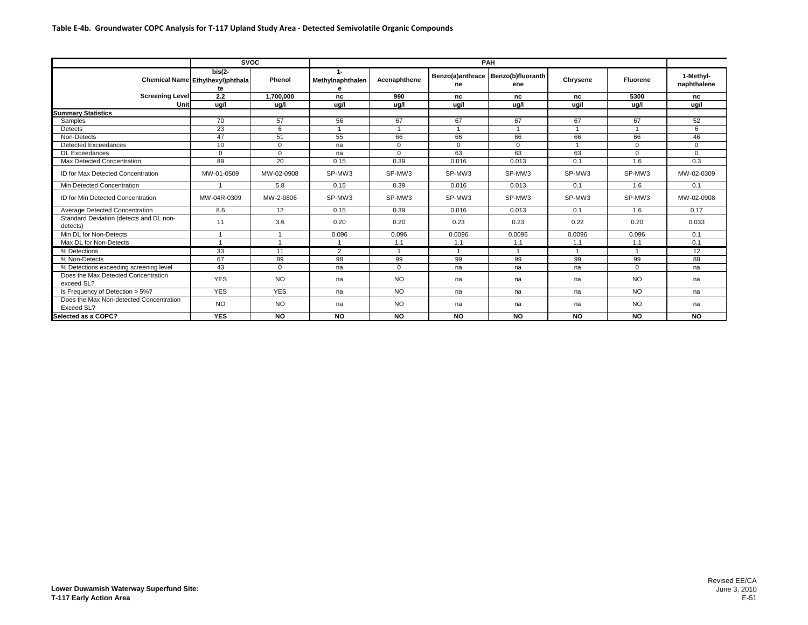|                                                       | <b>SVOC</b>                                         |                |                                       |                | <b>PAH</b>   |                                               |           |                |                          |
|-------------------------------------------------------|-----------------------------------------------------|----------------|---------------------------------------|----------------|--------------|-----------------------------------------------|-----------|----------------|--------------------------|
|                                                       | $bis(2 -$<br>Chemical Name Ethylhexyl)phthala<br>te | Phenol         | $1 -$<br><b>Methylnaphthalen</b><br>e | Acenaphthene   | ne           | Benzo(a)anthrace   Benzo(b)fluoranth  <br>ene | Chrysene  | Fluorene       | 1-Methyl-<br>naphthalene |
| <b>Screening Level</b>                                | 2.2                                                 | 1,700,000      | nc                                    | 990            | nc           | nc                                            | nc        | 5300           | nc                       |
| Unit                                                  | ug/l                                                | ug/l           | ug/l                                  | ug/l           | ug/l         | ua/l                                          | ug/l      | ua/l           | ua/l                     |
| <b>Summary Statistics</b>                             |                                                     |                |                                       |                |              |                                               |           |                |                          |
| Samples                                               | 70                                                  | 57             | 56                                    | 67             | 67           | 67                                            | 67        | 67             | 52                       |
| Detects                                               | 23                                                  | 6              | $\overline{1}$                        | $\overline{A}$ |              |                                               |           |                | 6                        |
| Non-Detects                                           | 47                                                  | 51             | 55                                    | 66             | 66           | 66                                            | 66        | 66             | 46                       |
| <b>Detected Exceedances</b>                           | 10                                                  | $\overline{0}$ | na                                    | $\mathbf{0}$   | $\mathbf{0}$ | $\Omega$                                      |           | $\overline{0}$ | $\Omega$                 |
| <b>DL</b> Exceedances                                 | $\mathbf{0}$                                        | $\Omega$       | na                                    | $\Omega$       | 63           | 63                                            | 63        | $\Omega$       | $\Omega$                 |
| Max Detected Concentration                            | 89                                                  | 20             | 0.15                                  | 0.39           | 0.016        | 0.013                                         | 0.1       | 1.6            | 0.3                      |
| ID for Max Detected Concentration                     | MW-01-0509                                          | MW-02-0908     | SP-MW3                                | SP-MW3         | SP-MW3       | SP-MW3                                        | SP-MW3    | SP-MW3         | MW-02-0309               |
| Min Detected Concentration                            |                                                     | 5.8            | 0.15                                  | 0.39           | 0.016        | 0.013                                         | 0.1       | 1.6            | 0.1                      |
| ID for Min Detected Concentration                     | MW-04R-0309                                         | MW-2-0806      | SP-MW3                                | SP-MW3         | SP-MW3       | SP-MW3                                        | SP-MW3    | SP-MW3         | MW-02-0908               |
| Average Detected Concentration                        | 8.6                                                 | 12             | 0.15                                  | 0.39           | 0.016        | 0.013                                         | 0.1       | 1.6            | 0.17                     |
| Standard Deviation (detects and DL non-<br>detects)   | 11                                                  | 3.6            | 0.20                                  | 0.20           | 0.23         | 0.23                                          | 0.22      | 0.20           | 0.033                    |
| Min DL for Non-Detects                                |                                                     |                | 0.096                                 | 0.096          | 0.0096       | 0.0096                                        | 0.0096    | 0.096          | 0.1                      |
| Max DL for Non-Detects                                |                                                     |                | $\overline{1}$                        | 1.1            | 1.1          | 1.1                                           | 1.1       | 1.1            | 0.1                      |
| % Detections                                          | 33                                                  | 11             | 2                                     | -1             |              |                                               |           | $\overline{4}$ | 12                       |
| % Non-Detects                                         | 67                                                  | 89             | 98                                    | 99             | 99           | 99                                            | 99        | 99             | 88                       |
| % Detections exceeding screening level                | 43                                                  | $\Omega$       | na                                    | $\Omega$       | na           | na                                            | na        | $\Omega$       | na                       |
| Does the Max Detected Concentration<br>exceed SL?     | <b>YES</b>                                          | NO             | na                                    | <b>NO</b>      | na           | na                                            | na        | <b>NO</b>      | na                       |
| Is Frequency of Detection > 5%?                       | <b>YES</b>                                          | <b>YES</b>     | na                                    | <b>NO</b>      | na           | na                                            | na        | <b>NO</b>      | na                       |
| Does the Max Non-detected Concentration<br>Exceed SL? | NO.                                                 | NO             | na                                    | <b>NO</b>      | na           | na                                            | na        | <b>NO</b>      | na                       |
| Selected as a COPC?                                   | <b>YES</b>                                          | <b>NO</b>      | <b>NO</b>                             | <b>NO</b>      | <b>NO</b>    | <b>NO</b>                                     | <b>NO</b> | <b>NO</b>      | <b>NO</b>                |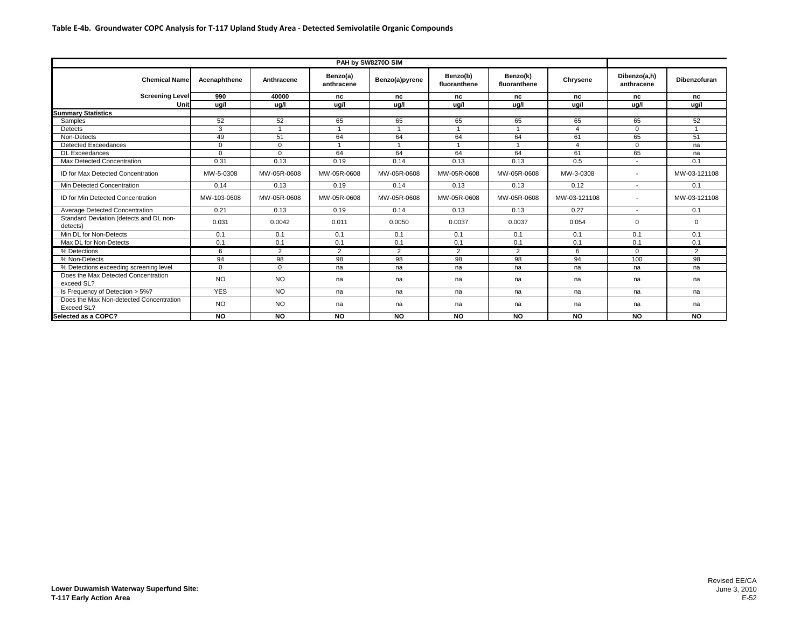|                                                       | PAH by SW8270D SIM |                |                        |                |                          |                          |              |                            |                |  |
|-------------------------------------------------------|--------------------|----------------|------------------------|----------------|--------------------------|--------------------------|--------------|----------------------------|----------------|--|
| <b>Chemical Name</b>                                  | Acenaphthene       | Anthracene     | Benzo(a)<br>anthracene | Benzo(a)pyrene | Benzo(b)<br>fluoranthene | Benzo(k)<br>fluoranthene | Chrysene     | Dibenzo(a,h)<br>anthracene | Dibenzofuran   |  |
| <b>Screening Level</b>                                | 990                | 40000          | nc                     | nc             | nc                       | nc                       | nc           | nc                         | nc             |  |
| Unit                                                  | ug/l               | ug/l           | ug/l                   | ug/l           | ug/l                     | ug/l                     | ug/l         | ug/l                       | ug/l           |  |
| <b>Summary Statistics</b>                             |                    |                |                        |                |                          |                          |              |                            |                |  |
| Samples                                               | 52                 | 52             | 65                     | 65             | 65                       | 65                       | 65           | 65                         | 52             |  |
| Detects                                               | 3                  |                |                        |                |                          |                          |              | $\mathbf{0}$               |                |  |
| Non-Detects                                           | 49                 | 51             | 64                     | 64             | 64                       | 64                       | 61           | 65                         | 51             |  |
| <b>Detected Exceedances</b>                           | $\Omega$           | $\Omega$       |                        |                |                          |                          |              | $\Omega$                   | na             |  |
| <b>DL Exceedances</b>                                 | $\Omega$           | $\Omega$       | 64                     | 64             | 64                       | 64                       | 61           | 65                         | na             |  |
| Max Detected Concentration                            | 0.31               | 0.13           | 0.19                   | 0.14           | 0.13                     | 0.13                     | 0.5          | $\overline{\phantom{a}}$   | 0.1            |  |
| ID for Max Detected Concentration                     | MW-5-0308          | MW-05R-0608    | MW-05R-0608            | MW-05R-0608    | MW-05R-0608              | MW-05R-0608              | MW-3-0308    | $\overline{\phantom{a}}$   | MW-03-121108   |  |
| Min Detected Concentration                            | 0.14               | 0.13           | 0.19                   | 0.14           | 0.13                     | 0.13                     | 0.12         | $\sim$                     | 0.1            |  |
| ID for Min Detected Concentration                     | MW-103-0608        | MW-05R-0608    | MW-05R-0608            | MW-05R-0608    | MW-05R-0608              | MW-05R-0608              | MW-03-121108 | $\overline{\phantom{a}}$   | MW-03-121108   |  |
| Average Detected Concentration                        | 0.21               | 0.13           | 0.19                   | 0.14           | 0.13                     | 0.13                     | 0.27         | $\overline{\phantom{a}}$   | 0.1            |  |
| Standard Deviation (detects and DL non-<br>detects)   | 0.031              | 0.0042         | 0.011                  | 0.0050         | 0.0037                   | 0.0037                   | 0.054        | $\Omega$                   | $\Omega$       |  |
| Min DL for Non-Detects                                | 0.1                | 0.1            | 0.1                    | 0.1            | 0.1                      | 0.1                      | 0.1          | 0.1                        | 0.1            |  |
| Max DL for Non-Detects                                | 0.1                | 0.1            | 0.1                    | 0.1            | 0.1                      | 0.1                      | 0.1          | 0.1                        | 0.1            |  |
| % Detections                                          | 6                  | $\overline{2}$ | $\overline{2}$         | $\overline{2}$ | $\overline{2}$           | $\overline{2}$           | 6            | $\mathbf{0}$               | $\overline{2}$ |  |
| % Non-Detects                                         | 94                 | 98             | 98                     | 98             | 98                       | 98                       | 94           | 100                        | 98             |  |
| % Detections exceeding screening level                | $\Omega$           | $\Omega$       | na                     | na             | na                       | na                       | na           | na                         | na             |  |
| Does the Max Detected Concentration<br>exceed SL?     | <b>NO</b>          | NO.            | na                     | na             | na                       | na                       | na           | na                         | na             |  |
| Is Frequency of Detection > 5%?                       | <b>YES</b>         | <b>NO</b>      | na                     | na             | na                       | na                       | na           | na                         | na             |  |
| Does the Max Non-detected Concentration<br>Exceed SL? | <b>NO</b>          | <b>NO</b>      | na                     | na             | na                       | na                       | na           | na                         | na             |  |
| Selected as a COPC?                                   | <b>NO</b>          | <b>NO</b>      | <b>NO</b>              | <b>NO</b>      | <b>NO</b>                | <b>NO</b>                | <b>NO</b>    | <b>NO</b>                  | NO             |  |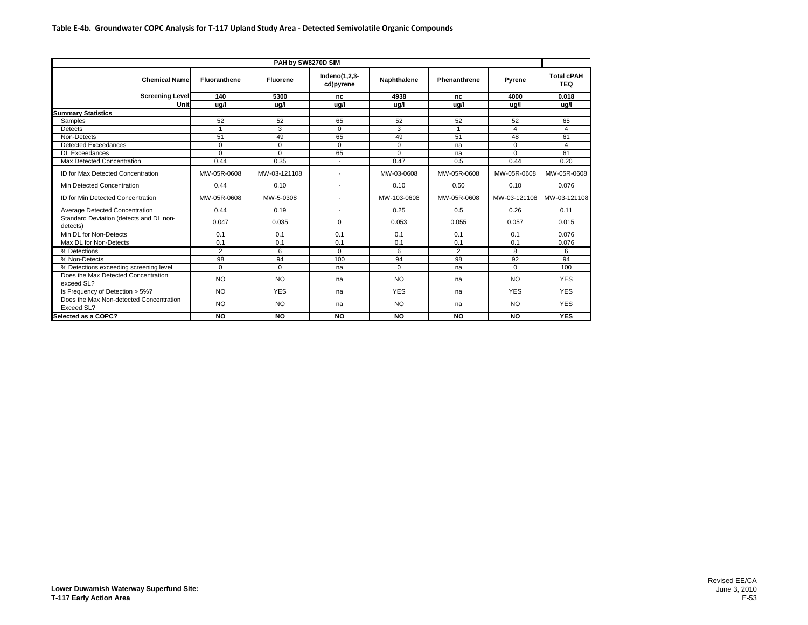| PAH by SW8270D SIM                                    |                |                 |                               |             |                |              |                                 |  |  |  |
|-------------------------------------------------------|----------------|-----------------|-------------------------------|-------------|----------------|--------------|---------------------------------|--|--|--|
| <b>Chemical Name</b>                                  | Fluoranthene   | <b>Fluorene</b> | Indeno $(1,2,3-$<br>cd)pyrene | Naphthalene | Phenanthrene   | Pyrene       | <b>Total cPAH</b><br><b>TEQ</b> |  |  |  |
| <b>Screening Level</b>                                | 140            | 5300            | nc                            | 4938        | nc             | 4000         | 0.018                           |  |  |  |
| Unit                                                  | ug/l           | ug/l            | ug/l                          | ug/l        | ug/l           | ug/l         | ug/l                            |  |  |  |
| <b>Summary Statistics</b>                             |                |                 |                               |             |                |              |                                 |  |  |  |
| Samples                                               | 52             | 52              | 65                            | 52          | 52             | 52           | 65                              |  |  |  |
| Detects                                               |                | 3               | $\Omega$                      | 3           | $\overline{1}$ | 4            | 4                               |  |  |  |
| Non-Detects                                           | 51             | 49              | 65                            | 49          | 51             | 48           | 61                              |  |  |  |
| <b>Detected Exceedances</b>                           | $\Omega$       | $\Omega$        | $\Omega$                      | $\Omega$    | na             | $\mathbf 0$  | 4                               |  |  |  |
| <b>DL Exceedances</b>                                 | $\Omega$       | $\Omega$        | 65                            | $\Omega$    | na             | $\Omega$     | 61                              |  |  |  |
| Max Detected Concentration                            | 0.44           | 0.35            | $\overline{\phantom{a}}$      | 0.47        | 0.5            | 0.44         | 0.20                            |  |  |  |
| <b>ID for Max Detected Concentration</b>              | MW-05R-0608    | MW-03-121108    |                               | MW-03-0608  | MW-05R-0608    | MW-05R-0608  | MW-05R-0608                     |  |  |  |
| Min Detected Concentration                            | 0.44           | 0.10            |                               | 0.10        | 0.50           | 0.10         | 0.076                           |  |  |  |
| ID for Min Detected Concentration                     | MW-05R-0608    | MW-5-0308       |                               | MW-103-0608 | MW-05R-0608    | MW-03-121108 | MW-03-121108                    |  |  |  |
| Average Detected Concentration                        | 0.44           | 0.19            | $\overline{\phantom{0}}$      | 0.25        | 0.5            | 0.26         | 0.11                            |  |  |  |
| Standard Deviation (detects and DL non-<br>detects)   | 0.047          | 0.035           | $\Omega$                      | 0.053       | 0.055          | 0.057        | 0.015                           |  |  |  |
| Min DL for Non-Detects                                | 0.1            | 0.1             | 0.1                           | 0.1         | 0.1            | 0.1          | 0.076                           |  |  |  |
| Max DL for Non-Detects                                | 0.1            | 0.1             | 0.1                           | 0.1         | 0.1            | 0.1          | 0.076                           |  |  |  |
| % Detections                                          | $\overline{2}$ | 6               | $\Omega$                      | 6           | $\overline{2}$ | 8            | 6                               |  |  |  |
| % Non-Detects                                         | 98             | 94              | 100                           | 94          | 98             | 92           | 94                              |  |  |  |
| % Detections exceeding screening level                | $\Omega$       | $\Omega$        | na                            | $\Omega$    | na             | $\Omega$     | 100                             |  |  |  |
| Does the Max Detected Concentration<br>exceed SL?     | N <sub>O</sub> | <b>NO</b>       | na                            | <b>NO</b>   | na             | <b>NO</b>    | <b>YES</b>                      |  |  |  |
| Is Frequency of Detection > 5%?                       | <b>NO</b>      | <b>YES</b>      | na                            | <b>YES</b>  | na             | <b>YES</b>   | <b>YES</b>                      |  |  |  |
| Does the Max Non-detected Concentration<br>Exceed SL? | <b>NO</b>      | <b>NO</b>       | na                            | <b>NO</b>   | na             | <b>NO</b>    | <b>YES</b>                      |  |  |  |
| Selected as a COPC?                                   | <b>NO</b>      | <b>NO</b>       | <b>NO</b>                     | <b>NO</b>   | <b>NO</b>      | <b>NO</b>    | <b>YES</b>                      |  |  |  |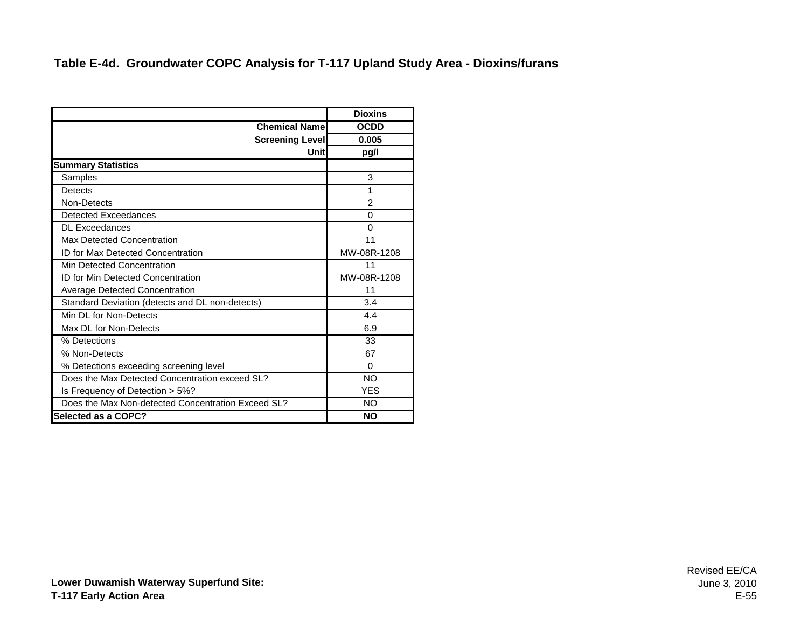#### **Table E-4d. Groundwater COPC Analysis for T-117 Upland Study Area - Dioxins/furans**

|                                                    | <b>Dioxins</b> |
|----------------------------------------------------|----------------|
| <b>Chemical Name</b>                               | <b>OCDD</b>    |
| <b>Screening Level</b>                             | 0.005          |
| Unitl                                              | pg/l           |
| <b>Summary Statistics</b>                          |                |
| Samples                                            | 3              |
| Detects                                            | 1              |
| Non-Detects                                        | 2              |
| <b>Detected Exceedances</b>                        | 0              |
| <b>DL Exceedances</b>                              | 0              |
| Max Detected Concentration                         | 11             |
| ID for Max Detected Concentration                  | MW-08R-1208    |
| Min Detected Concentration                         | 11             |
| <b>ID for Min Detected Concentration</b>           | MW-08R-1208    |
| <b>Average Detected Concentration</b>              | 11             |
| Standard Deviation (detects and DL non-detects)    | 3.4            |
| Min DL for Non-Detects                             | 4.4            |
| Max DL for Non-Detects                             | 6.9            |
| % Detections                                       | 33             |
| % Non-Detects                                      | 67             |
| % Detections exceeding screening level             | 0              |
| Does the Max Detected Concentration exceed SL?     | NO             |
| Is Frequency of Detection > 5%?                    | <b>YES</b>     |
| Does the Max Non-detected Concentration Exceed SL? | NO             |
| <b>Selected as a COPC?</b>                         | <b>NO</b>      |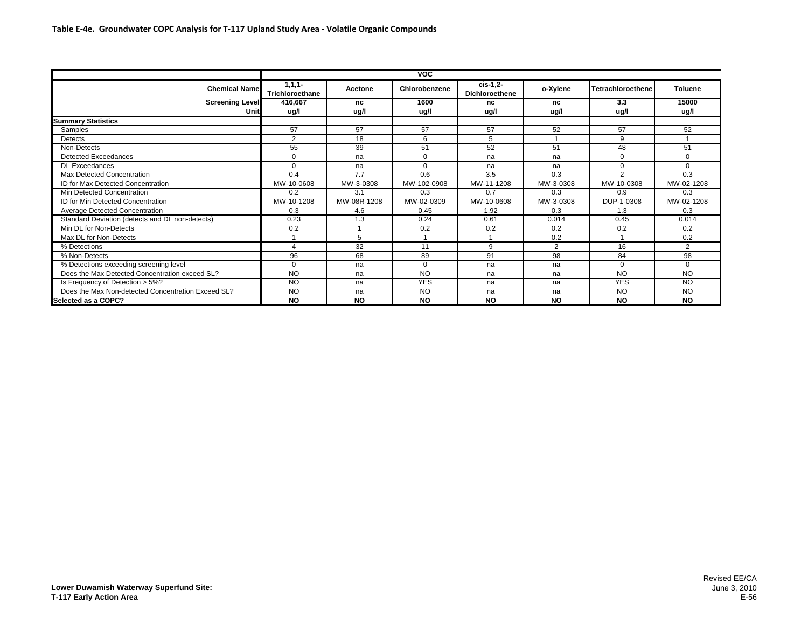|                                                    | <b>VOC</b>                  |             |               |                                    |           |                   |                |  |  |  |
|----------------------------------------------------|-----------------------------|-------------|---------------|------------------------------------|-----------|-------------------|----------------|--|--|--|
| <b>Chemical Name</b>                               | $1,1,1-$<br>Trichloroethane | Acetone     | Chlorobenzene | $cis-1,2$<br><b>Dichloroethene</b> | o-Xylene  | Tetrachloroethene | <b>Toluene</b> |  |  |  |
| <b>Screening Level</b>                             | 416,667                     | nc          | 1600          | nc                                 | nc        | 3.3               | 15000          |  |  |  |
| Unit                                               | ug/l                        | ug/l        | ug/l          | ug/l                               | ug/l      | ug/l              | ug/l           |  |  |  |
| <b>Summary Statistics</b>                          |                             |             |               |                                    |           |                   |                |  |  |  |
| Samples                                            | 57                          | 57          | 57            | 57                                 | 52        | 57                | 52             |  |  |  |
| Detects                                            | 2                           | 18          | 6             | 5                                  |           | 9                 |                |  |  |  |
| Non-Detects                                        | 55                          | 39          | 51            | 52                                 | 51        | 48                | 51             |  |  |  |
| Detected Exceedances                               | $\mathbf 0$                 | na          | $\Omega$      | na                                 | na        | $\Omega$          | $\Omega$       |  |  |  |
| <b>DL Exceedances</b>                              | $\mathbf 0$                 | na          | $\Omega$      | na                                 | na        | $\Omega$          | $\Omega$       |  |  |  |
| Max Detected Concentration                         | 0.4                         | 7.7         | 0.6           | 3.5                                | 0.3       | $\mathcal{P}$     | 0.3            |  |  |  |
| <b>ID for Max Detected Concentration</b>           | MW-10-0608                  | MW-3-0308   | MW-102-0908   | MW-11-1208                         | MW-3-0308 | MW-10-0308        | MW-02-1208     |  |  |  |
| Min Detected Concentration                         | 0.2                         | 3.1         | 0.3           | 0.7                                | 0.3       | 0.9               | 0.3            |  |  |  |
| <b>ID for Min Detected Concentration</b>           | MW-10-1208                  | MW-08R-1208 | MW-02-0309    | MW-10-0608                         | MW-3-0308 | DUP-1-0308        | MW-02-1208     |  |  |  |
| Average Detected Concentration                     | 0.3                         | 4.6         | 0.45          | 1.92                               | 0.3       | 1.3               | 0.3            |  |  |  |
| Standard Deviation (detects and DL non-detects)    | 0.23                        | 1.3         | 0.24          | 0.61                               | 0.014     | 0.45              | 0.014          |  |  |  |
| Min DL for Non-Detects                             | 0.2                         |             | 0.2           | 0.2                                | 0.2       | 0.2               | 0.2            |  |  |  |
| Max DL for Non-Detects                             |                             | 5           |               |                                    | 0.2       |                   | 0.2            |  |  |  |
| % Detections                                       | $\boldsymbol{\varDelta}$    | 32          | 11            | 9                                  | 2         | 16                | 2              |  |  |  |
| % Non-Detects                                      | 96                          | 68          | 89            | 91                                 | 98        | 84                | 98             |  |  |  |
| % Detections exceeding screening level             | $\mathbf 0$                 | na          | $\Omega$      | na                                 | na        | $\Omega$          | $\Omega$       |  |  |  |
| Does the Max Detected Concentration exceed SL?     | <b>NO</b>                   | na          | <b>NO</b>     | na                                 | na        | <b>NO</b>         | N <sub>O</sub> |  |  |  |
| Is Frequency of Detection > 5%?                    | <b>NO</b>                   | na          | <b>YES</b>    | na                                 | na        | <b>YES</b>        | <b>NO</b>      |  |  |  |
| Does the Max Non-detected Concentration Exceed SL? | <b>NO</b>                   | na          | <b>NO</b>     | na                                 | na        | <b>NO</b>         | <b>NO</b>      |  |  |  |
| Selected as a COPC?                                | <b>NO</b>                   | <b>NO</b>   | <b>NO</b>     | <b>NO</b>                          | <b>NO</b> | <b>NO</b>         | <b>NO</b>      |  |  |  |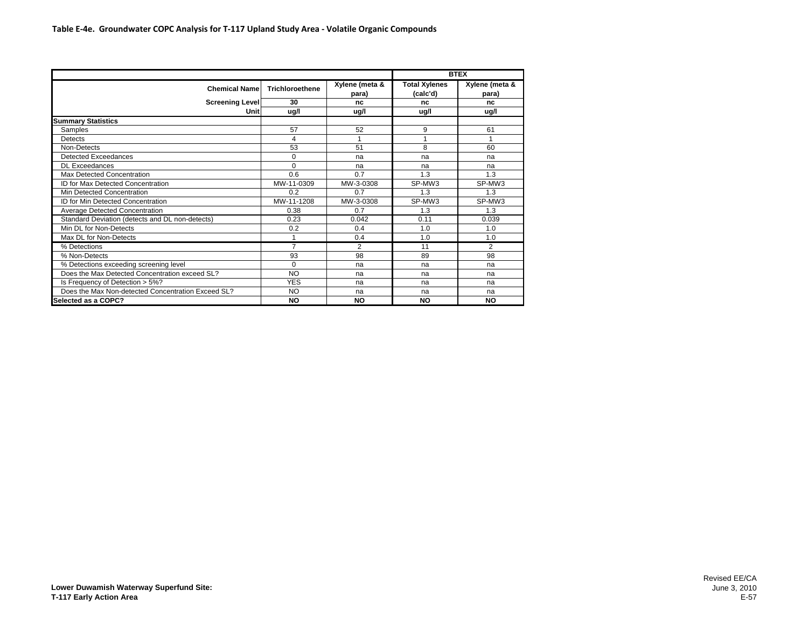| <b>Chemical Name</b>                               | <b>Trichloroethene</b> | Xylene (meta &<br>para) | <b>Total Xylenes</b><br>(calc'd) | Xylene (meta &<br>para) |  |  |
|----------------------------------------------------|------------------------|-------------------------|----------------------------------|-------------------------|--|--|
| <b>Screening Level</b>                             | 30                     | nc                      | nc                               | nc                      |  |  |
| Unit                                               | ug/l                   | ug/l                    | ug/l                             | ug/l                    |  |  |
| <b>Summary Statistics</b>                          |                        |                         |                                  |                         |  |  |
| Samples                                            | 57                     | 52                      | 9                                | 61                      |  |  |
| <b>Detects</b>                                     | 4                      | 1                       |                                  |                         |  |  |
| Non-Detects                                        | 53                     | 51                      | 8                                | 60                      |  |  |
| Detected Exceedances                               | $\mathbf 0$            | na                      | na                               | na                      |  |  |
| <b>DL</b> Exceedances                              | $\Omega$               | na                      | na                               | na                      |  |  |
| Max Detected Concentration                         | 0.6                    | 0.7                     | 1.3                              | 1.3                     |  |  |
| <b>ID for Max Detected Concentration</b>           | MW-11-0309             | MW-3-0308               | SP-MW3                           | SP-MW3                  |  |  |
| Min Detected Concentration                         | 0.2                    | 0.7                     | 1.3                              | 1.3                     |  |  |
| <b>ID for Min Detected Concentration</b>           | MW-11-1208             | MW-3-0308               | SP-MW3                           | SP-MW3                  |  |  |
| Average Detected Concentration                     | 0.38                   | 0.7                     | 1.3                              | 1.3                     |  |  |
| Standard Deviation (detects and DL non-detects)    | 0.23                   | 0.042                   | 0.11                             | 0.039                   |  |  |
| Min DL for Non-Detects                             | 0.2                    | 0.4                     | 1.0                              | 1.0                     |  |  |
| Max DL for Non-Detects                             | 1                      | 0.4                     | 1.0                              | 1.0                     |  |  |
| % Detections                                       | $\overline{7}$         | $\overline{2}$          | 11                               | $\overline{2}$          |  |  |
| % Non-Detects                                      | 93                     | 98                      | 89                               | 98                      |  |  |
| % Detections exceeding screening level             | $\Omega$               | na                      | na                               | na                      |  |  |
| Does the Max Detected Concentration exceed SL?     | NO                     | na                      | na                               | na                      |  |  |
| Is Frequency of Detection > 5%?                    | <b>YES</b>             | na                      | na                               | na                      |  |  |
| Does the Max Non-detected Concentration Exceed SL? | NO                     | na                      | na                               | na                      |  |  |
| Selected as a COPC?                                | <b>NO</b>              | <b>NO</b>               | <b>NO</b>                        | <b>NO</b>               |  |  |